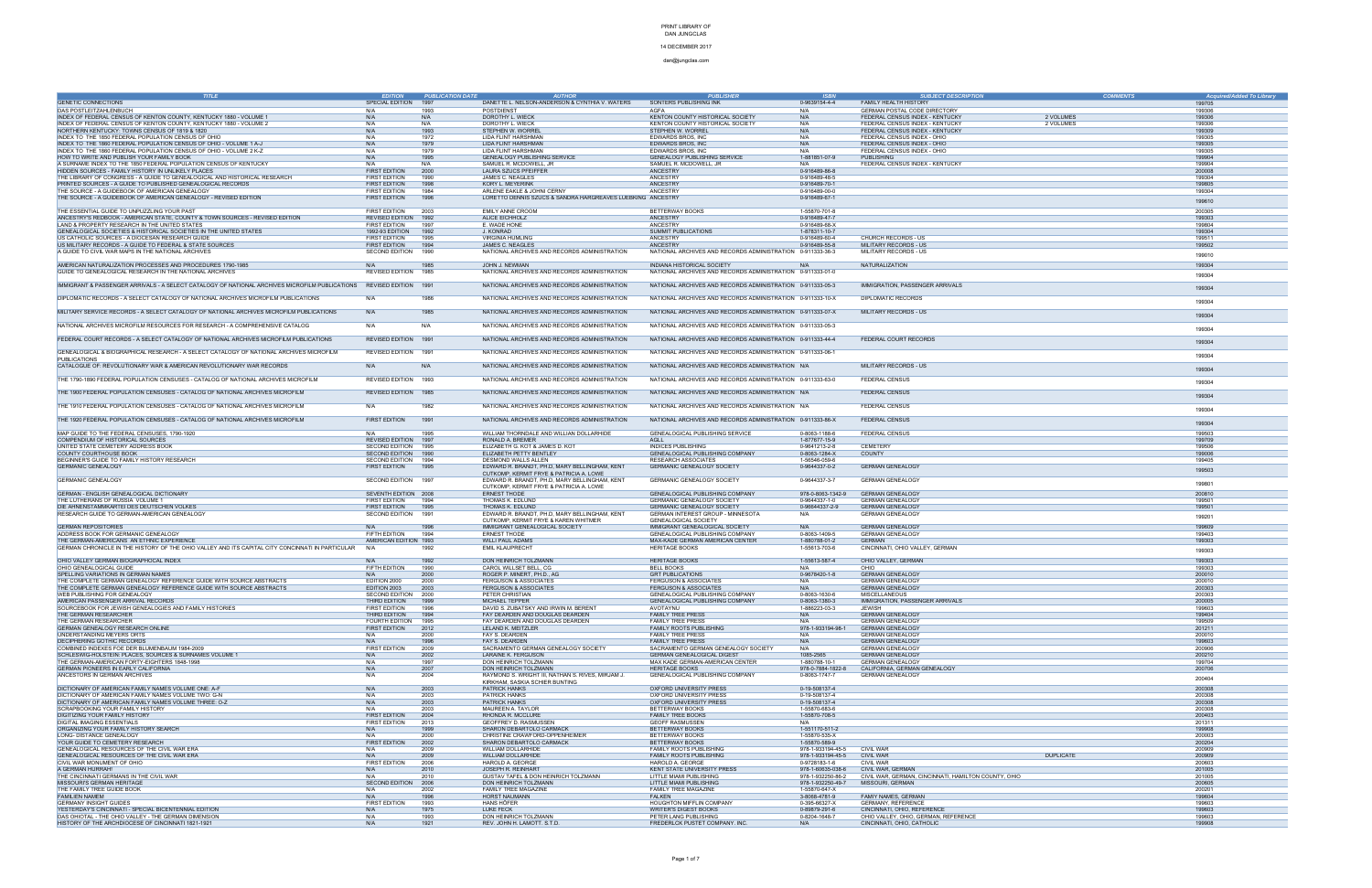14 DECEMBER 2017 dan@jungclas.com

| <b>TITLE</b>                                                                                                        | <b>EDITION</b>         | <b>PUBLICATION DATE</b> | <b>AUTHOR</b>                                              | <b>PUBLISHER</b>                                           | <b>ISBN</b>       | <b>SUBJECT DESCRIPTION</b>                           | <b>COMMENTS</b> | Acquired/Added To Library |
|---------------------------------------------------------------------------------------------------------------------|------------------------|-------------------------|------------------------------------------------------------|------------------------------------------------------------|-------------------|------------------------------------------------------|-----------------|---------------------------|
| <b>GENETIC CONNECTIONS</b>                                                                                          | SPECIAL EDITION        | 1997                    | DANETTE L. NELSON-ANDERSON & CYNTHIA V. WATERS             | SONTERS PUBLISHING INK                                     | 0-9639154-4-4     | FAMILY HEALTH HISTORY                                |                 | 199705                    |
|                                                                                                                     |                        |                         |                                                            |                                                            |                   |                                                      |                 |                           |
| DAS POSTLEITZAHLENBUCH                                                                                              | N/A                    | 1993                    | POSTDIENST                                                 | AGFA                                                       | N/A               | GERMAN POSTAL CODE DIRECTORY                         |                 | 199306                    |
| INDEX OF FEDERAL CENSUS OF KENTON COUNTY, KENTUCKY 1880 - VOLUME 1                                                  | N/A                    | N/A                     | DOROTHY L. WIECK                                           | KENTON COUNTY HISTORICAL SOCIETY                           | N/A               | FEDERAL CENSUS INDEX - KENTUCKY                      | 2 VOLUMES       | 199306                    |
| INDEX OF FEDERAL CENSUS OF KENTON COUNTY, KENTUCKY 1880 - VOLUME 2                                                  | N/A                    | N/A                     | DOROTHY L. WIECK                                           | KENTON COUNTY HISTORICAL SOCIETY                           | N/A               | FEDERAL CENSUS INDEX - KENTUCKY                      | 2 VOLUMES       | 199306                    |
| NORTHERN KENTUCKY: TOWNS CENSUS OF 1819 & 1820                                                                      | N/A                    | 1993                    | STEPHEN W. WORREL                                          | STEPHEN W. WORREL                                          | N/A               | FEDERAL CENSUS INDEX - KENTUCKY                      |                 | 199309                    |
| INDEX TO THE 1850 FEDERAL POPULATION CENSUS OF OHIO                                                                 | N/A                    | 1972                    | LIDA FLINT HARSHMAN                                        | EDWARDS BROS, INC                                          | N/A               | FEDERAL CENSUS INDEX - OHIO                          |                 | 199305                    |
| INDEX TO THE 1860 FEDERAL POPULATION CENSUS OF OHIO - VOLUME 1 A-J                                                  | N/A                    | 1979                    | LIDA FLINT HARSHMAN                                        | EDWARDS BROS, INC                                          | N/A               | FEDERAL CENSUS INDEX - OHIO                          |                 | 199305                    |
| INDEX TO THE 1860 FEDERAL POPULATION CENSUS OF OHIO - VOLUME 2 K-Z                                                  | N/A                    | 1979                    | <b>LIDA FLINT HARSHMAN</b>                                 | EDWARDS BROS, INC                                          | N/A               | FEDERAL CENSUS INDEX - OHIO                          |                 | 199305                    |
| HOW TO WRITE AND PUBLISH YOUR FAMILY BOOK                                                                           | N/A                    | 1995                    | GENEALOGY PUBLISHING SERVICE                               | <b>GENEALOGY PUBLISHING SERVICE</b>                        | 1-881851-07-9     | <b>PUBLISHING</b>                                    |                 | 199904                    |
| A SURNAME INDEX TO THE 1850 FEDERAL POPULATION CENSUS OF KENTUCKY                                                   | N/A                    | N/A                     | SAMUEL R. MCDOWELL, JR                                     | SAMUEL R. MCDOWELL, JR                                     | N/A               | FEDERAL CENSUS INDEX - KENTUCKY                      |                 | 199904                    |
| HIDDEN SOURCES - FAMILY HISTORY IN UNLIKELY PLACES                                                                  | <b>FIRST EDITION</b>   | 2000                    | LAURA SZUCS PFEIFFER                                       | ANCESTRY                                                   | 0-916489-86-8     |                                                      |                 | 200008                    |
| THE LIBRARY OF CONGRESS - A GUIDE TO GENEALOGICAL AND HISTORICAL RESEARCH                                           | FIRST EDITION          | 1990                    | JAMES C. NEAGLES                                           | ANCESTRY                                                   | 0-916489-48-5     |                                                      |                 | 199304                    |
| PRINTED SOURCES - A GUIDE TO PUBLISHED GENEALOGICAL RECORDS                                                         | <b>FIRST EDITION</b>   | 1998                    | KORY L. MEYERINK                                           | <b>ANCESTRY</b>                                            | 0-916489-70-1     |                                                      |                 | 199805                    |
| THE SOURCE - A GUIDEBOOK OF AMERICAN GENEALOGY                                                                      | FIRST EDITION          | 1984                    | ARLENE EAKLE & JOHNI CERNY                                 | ANCESTRY                                                   | 0-916489-00-0     |                                                      |                 | 199304                    |
| THE SOURCE - A GUIDEBOOK OF AMERICAN GENEALOGY - REVISED EDITION                                                    | <b>FIRST EDITION</b>   | 1996                    | LORETTO DENNIS SZUCS & SANDRA HARGREAVES LUEBKING ANCESTRY |                                                            | 0-916489-67-1     |                                                      |                 |                           |
|                                                                                                                     |                        |                         |                                                            |                                                            |                   |                                                      |                 | 199610                    |
| THE ESSENTIAL GUIDE TO UNPUZZLING YOUR PAST                                                                         | <b>FIRST EDITION</b>   | 2003                    | <b>EMILY ANNE CROOM</b>                                    | BETTERWAY BOOKS                                            | 1-55870-701-8     |                                                      |                 | 200305                    |
| ANCESTRY'S REDBOOK - AMERICAN STATE, COUNTY & TOWN SOURCES - REVISED EDITION                                        | REVISED EDITION        | 1992                    | ALICE EICHHOLZ                                             | <b>ANCESTRY</b>                                            | 0-916489-47-7     |                                                      |                 | 199303                    |
| LAND & PROPERTY RESEARCH IN THE UNITED STATES                                                                       | FIRST EDITION          | 1997                    | E. WADE HONE                                               | ANCESTRY                                                   | 0-916489-68-X     |                                                      |                 | 199804                    |
|                                                                                                                     |                        |                         |                                                            |                                                            |                   |                                                      |                 |                           |
| GENEALOGICAL SOCIETIES & HISTORICAL SOCIETIES IN THE UNITED STATES                                                  | 1992-93 EDITION        | 1992                    | J. KONRAD                                                  | SUMMIT PUBLICATIONS                                        | 1-878311-10-7     |                                                      |                 | 199304                    |
| US CATHOLIC SOURCES - A DIOCESAN RESEARCH GUIDE                                                                     | FIRST EDITION          | 1995                    | <b>VIRGINIA HUMLING</b>                                    | ANCESTRY                                                   | 0-916489-60-4     | CHURCH RECORDS - US                                  |                 | 199511                    |
| US MILITARY RECORDS - A GUIDE TO FEDERAL & STATE SOURCES                                                            | FIRST EDITION          | 1994                    | JAMES C. NEAGLES                                           | <b>ANCESTRY</b>                                            | 0-916489-55-8     | MILITARY RECORDS - US                                |                 | 199502                    |
| A GUIDE TO CIVIL WAR MAPS IN THE NATIONAL ARCHIVES                                                                  | SECOND EDITION         | 1990                    | NATIONAL ARCHIVES AND RECORDS ADMINISTRATION               | NATIONAL ARCHIVES AND RECORDS ADMINISTRATION 0-911333-36-3 |                   | MILITARY RECORDS - US                                |                 | 199010                    |
|                                                                                                                     |                        |                         |                                                            |                                                            |                   |                                                      |                 |                           |
| AMERICAN NATURALIZATION PROCESSES AND PROCEDURES 1790-1985                                                          | N/A                    | 1985                    | JOHN J. NEWMAN                                             | INDIANA HISTORICAL SOCIETY                                 | N/A               | NATURALIZATION                                       |                 | 199304                    |
| GUIDE TO GENEALOGICAL RESEARCH IN THE NATIONAL ARCHIVES                                                             | <b>REVISED EDITION</b> | 1985                    | NATIONAL ARCHIVES AND RECORDS ADMINISTRATION               | NATIONAL ARCHIVES AND RECORDS ADMINISTRATION 0-911333-01-0 |                   |                                                      |                 | 199304                    |
|                                                                                                                     |                        |                         |                                                            |                                                            |                   |                                                      |                 |                           |
| IMMIGRANT & PASSENGER ARRIVALS - A SELECT CATALOGY OF NATIONAL ARCHIVES MICROFILM PUBLICATIONS REVISED EDITION 1991 |                        |                         | NATIONAL ARCHIVES AND RECORDS ADMINISTRATION               | NATIONAL ARCHIVES AND RECORDS ADMINISTRATION 0-911333-05-3 |                   | IMMIGRATION, PASSENGER ARRIVALS                      |                 | 199304                    |
|                                                                                                                     |                        |                         |                                                            |                                                            |                   |                                                      |                 |                           |
| DIPLOMATIC RECORDS - A SELECT CATALOGY OF NATIONAL ARCHIVES MICROFILM PUBLICATIONS                                  | N/A                    | 1986                    | NATIONAL ARCHIVES AND RECORDS ADMINISTRATION               | NATIONAL ARCHIVES AND RECORDS ADMINISTRATION 0-911333-10-X |                   | DIPLOMATIC RECORDS                                   |                 |                           |
|                                                                                                                     |                        |                         |                                                            |                                                            |                   |                                                      |                 | 199304                    |
| MILITARY SERVICE RECORDS - A SELECT CATALOGY OF NATIONAL ARCHIVES MICROFILM PUBLICATIONS                            | N/A                    | 1985                    | NATIONAL ARCHIVES AND RECORDS ADMINISTRATION               | NATIONAL ARCHIVES AND RECORDS ADMINISTRATION 0-911333-07-X |                   | MILITARY RECORDS - US                                |                 |                           |
|                                                                                                                     |                        |                         |                                                            |                                                            |                   |                                                      |                 | 199304                    |
| NATIONAL ARCHIVES MICROFILM RESOURCES FOR RESEARCH - A COMPREHENSIVE CATALOG                                        | N/A                    | N/A                     | NATIONAL ARCHIVES AND RECORDS ADMINISTRATION               | NATIONAL ARCHIVES AND RECORDS ADMINISTRATION 0-911333-05-3 |                   |                                                      |                 |                           |
|                                                                                                                     |                        |                         |                                                            |                                                            |                   |                                                      |                 | 199304                    |
| FEDERAL COURT RECORDS - A SELECT CATALOGY OF NATIONAL ARCHIVES MICROFILM PUBLICATIONS                               | REVISED EDITION 1991   |                         | NATIONAL ARCHIVES AND RECORDS ADMINISTRATION               | NATIONAL ARCHIVES AND RECORDS ADMINISTRATION 0-911333-44-4 |                   | FEDERAL COURT RECORDS                                |                 |                           |
|                                                                                                                     |                        |                         |                                                            |                                                            |                   |                                                      |                 | 199304                    |
|                                                                                                                     |                        |                         |                                                            |                                                            |                   |                                                      |                 |                           |
| GENEALOGICAL & BIOGRAPHICAL RESEARCH - A SELECT CATALOGY OF NATIONAL ARCHIVES MICROFILM                             | REVISED EDITION 1991   |                         | NATIONAL ARCHIVES AND RECORDS ADMINISTRATION               | NATIONAL ARCHIVES AND RECORDS ADMINISTRATION 0-911333-06-1 |                   |                                                      |                 | 199304                    |
| <b>PUBLICATIONS</b>                                                                                                 |                        |                         |                                                            |                                                            |                   |                                                      |                 |                           |
| CATALOGUE OF: REVOLUTIONARY WAR & AMERICAN REVOLUTIONARY WAR RECORDS                                                | N/A                    | N/A                     | NATIONAL ARCHIVES AND RECORDS ADMINISTRATION               | NATIONAL ARCHIVES AND RECORDS ADMINISTRATION N/A           |                   | MILITARY RECORDS - US                                |                 | 199304                    |
|                                                                                                                     |                        |                         |                                                            |                                                            |                   |                                                      |                 |                           |
| THE 1790-1890 FEDERAL POPULATION CENSUSES - CATALOG OF NATIONAL ARCHIVES MICROFILM                                  | REVISED EDITION 1993   |                         | NATIONAL ARCHIVES AND RECORDS ADMINISTRATION               | NATIONAL ARCHIVES AND RECORDS ADMINISTRATION 0-911333-63-0 |                   | FEDERAL CENSUS                                       |                 | 199304                    |
|                                                                                                                     |                        |                         |                                                            |                                                            |                   |                                                      |                 |                           |
| THE 1900 FEDERAL POPULATION CENSUSES - CATALOG OF NATIONAL ARCHIVES MICROFILM                                       | REVISED EDITION 1985   |                         | NATIONAL ARCHIVES AND RECORDS ADMINISTRATION               | NATIONAL ARCHIVES AND RECORDS ADMINISTRATION N/A           |                   | <b>FEDERAL CENSUS</b>                                |                 | 199304                    |
|                                                                                                                     |                        |                         |                                                            |                                                            |                   |                                                      |                 |                           |
| THE 1910 FEDERAL POPULATION CENSUSES - CATALOG OF NATIONAL ARCHIVES MICROFILM                                       | N/A                    | 1982                    | NATIONAL ARCHIVES AND RECORDS ADMINISTRATION               | NATIONAL ARCHIVES AND RECORDS ADMINISTRATION N/A           |                   | FEDERAL CENSUS                                       |                 |                           |
|                                                                                                                     |                        |                         |                                                            |                                                            |                   |                                                      |                 | 199304                    |
| THE 1920 FEDERAL POPULATION CENSUSES - CATALOG OF NATIONAL ARCHIVES MICROFILM                                       | <b>FIRST EDITION</b>   | 1991                    | NATIONAL ARCHIVES AND RECORDS ADMINISTRATION               | NATIONAL ARCHIVES AND RECORDS ADMINISTRATION 0-911333-86-X |                   | <b>FEDERAL CENSUS</b>                                |                 |                           |
|                                                                                                                     |                        |                         |                                                            |                                                            |                   |                                                      |                 | 199304                    |
| MAP GUIDE TO THE FEDERAL CENSUSES, 1790-1920                                                                        | N/A                    | 1995                    | WILLIAM THORNDALE AND WILLIAN DOLLARHIDE                   | GENEALOGICAL PUBLISHING SERVICE                            | 0-8063-1188-6     | FEDERAL CENSUS                                       |                 | 199503                    |
| COMPENDIUM OF HISTORICAL SOURCES                                                                                    | REVISED EDITION 1997   |                         | RONALD A. BREMER                                           | AGLL                                                       | 1-877677-15-9     |                                                      |                 | 199709                    |
| UNITED STATE CEMETERY ADDRESS BOOK                                                                                  | SECOND EDITION         | 1995                    | ELIZABETH G. KOT & JAMES D. KOT                            | INDICES PUBLISHING                                         | 0-9641213-2-8     | <b>CEMETERY</b>                                      |                 | 199506                    |
|                                                                                                                     |                        |                         |                                                            |                                                            |                   |                                                      |                 | 199006                    |
| COUNTY COURTHOUSE BOOK                                                                                              | SECOND EDITION 1990    |                         | ELIZABETH PETTY BENTLEY                                    | GENEALOGICAL PUBLISHING COMPANY                            | 0-8063-1284-X     | COUNTY                                               |                 |                           |
| BEGINNER'S GUIDE TO FAMILY HISTORY RESEARCH                                                                         | SECOND EDITION 1994    |                         | DESMOND WALLS ALLEN                                        | <b>RESEARCH ASSOCIATES</b>                                 | 1-56546-059-6     |                                                      |                 | 199405                    |
| <b>GERMANIC GENEALOGY</b>                                                                                           | FIRST EDITION          | 1995                    | EDWARD R. BRANDT, PH.D, MARY BELLINGHAM, KENT              | <b>GERMANIC GENEALOGY SOCIETY</b>                          | 0-9644337-0-2     | <b>GERMAN GENEALOGY</b>                              |                 | 199503                    |
|                                                                                                                     |                        |                         | CUTKOMP, KERMIT FRYE & PATRICIA A. LOWE                    |                                                            |                   |                                                      |                 |                           |
| <b>GERMANIC GENEALOGY</b>                                                                                           | SECOND EDITION 1997    |                         | EDWARD R. BRANDT, PH.D, MARY BELLINGHAM, KENT              | <b>GERMANIC GENEALOGY SOCIETY</b>                          | 0-9644337-3-7     | <b>GERMAN GENEALOGY</b>                              |                 | 199801                    |
|                                                                                                                     |                        |                         | CUTKOMP, KERMIT FRYE & PATRICIA A. LOWE                    |                                                            |                   |                                                      |                 |                           |
| GERMAN - ENGLISH GENEALOGICAL DICTIONARY                                                                            | SEVENTH EDITION 2008   |                         | <b>ERNEST THODE</b>                                        | GENEALOGICAL PUBLISHING COMPANY                            | 978-0-8063-1342-9 | <b>GERMAN GENEALOGY</b>                              |                 | 200810                    |
| THE LUTHERANS OF RUSSIA VOLUME 1                                                                                    | FIRST EDITION          | 1994                    | THOMAS K. EDLUND                                           | GERMANIC GENEALOGY SOCIETY                                 | 0-9644337-1-0     | <b>GERMAN GENEALOGY</b>                              |                 | 199501                    |
| DIE AHNENSTAMMKARTEI DES DEUTSCHEN VOLKES                                                                           | FIRST EDITION          | 1995                    | THOMAS K. EDLUND                                           | GERMANIC GENEALOGY SOCIETY                                 | 0-96644337-2-9    | <b>GERMAN GENEALOGY</b>                              |                 | 199501                    |
| RESEARCH GUIDE TO GERMAN-AMERICAN GENEALOGY                                                                         | SECOND EDITION         | 1991                    | EDWARD R. BRANDT, PH.D, MARY BELLINGHAM, KENT              | GERMAN INTEREST GROUP - MINNESOTA                          | N/A               | <b>GERMAN GENEALOGY</b>                              |                 |                           |
|                                                                                                                     |                        |                         | CUTKOMP, KERMIT FRYE & KAREN WHITMER                       | <b>GENEALOGICAL SOCIETY</b>                                |                   |                                                      |                 | 199201                    |
| GERMAN REPOSITORIES                                                                                                 | N/A                    | 1996                    | IMMIGRANT GENEALOGICAL SOCIETY                             | IMMIGRANT GENEALOGICAL SOCIETY                             | N/A               | <b>GERMAN GENEALOGY</b>                              |                 | 199609                    |
| ADDRESS BOOK FOR GERMANIC GENEALOGY                                                                                 | FIFTH EDITION          | 1994                    | <b>ERNEST THODE</b>                                        | GENEALOGICAL PUBLISHING COMPANY                            | 0-8063-1409-5     | <b>GERMAN GENEALOGY</b>                              |                 | 199403                    |
| THE GERMAN-AMERICANS AN ETHNIC EXPERIENCE                                                                           | AMERICAN EDITION 1993  |                         | WILLI PAUL ADAMS                                           | MAX-KADE GERMAN AMERICAN CENTER                            | 1-880788-01-2     | <b>GERMAN</b>                                        |                 | 199303                    |
| GERMAN CHRONICLE IN THE HISTORY OF THE OHIO VALLEY AND ITS CAPITAL CITY CONCINNATI IN PARTICULAR                    | N/A                    | 1992                    | <b>EMIL KLAUPRECHT</b>                                     | <b>HERITAGE BOOKS</b>                                      |                   | CINCINNATI, OHIO VALLEY, GERMAN                      |                 |                           |
|                                                                                                                     |                        |                         |                                                            |                                                            | 1-55613-703-6     |                                                      |                 | 199303                    |
|                                                                                                                     |                        |                         |                                                            |                                                            |                   |                                                      |                 |                           |
| OHIO VALLEY GERMAN BIOGRAPHOCAL INDEX                                                                               | N/A                    | 1992                    | DON HEINRICH TOLZMANN                                      | <b>HERITAGE BOOKS</b>                                      | 1-55613-587-4     | OHIO VALLEY, GERMAN                                  |                 | 199303                    |
| OHIO GENEALOGICAL GUIDE                                                                                             | FIFTH EDITION          | 1990                    | CAROL WILLSET BELL, CG                                     | <b>BELL BOOKS</b>                                          | N/A               | OHIO                                                 |                 | 199303                    |
| SPELLING VARIATIONS IN GERMAN NAMES                                                                                 | N/A                    | 2000                    | ROGER P. MINERT, PH.D., AC                                 | <b>GRT PUBLICATIONS</b>                                    | 0-9678420-1-8     | <b>GERMAN GENEALOGY</b>                              |                 | 200010                    |
| THE COMPLETE GERMAN GENEALOGY REFERENCE GUIDE WITH SOURCE ABSTRACTS                                                 | EDITION 2000           | 2000                    | <b>FERGUSON &amp; ASSOCIATES</b>                           | <b>FERGUSON &amp; ASSOCIATES</b>                           | N/A               | <b>GERMAN GENEALOGY</b>                              |                 | 200010                    |
| THE COMPLETE GERMAN GENEALOGY REFERENCE GUIDE WITH SOURCE ABSTRACTS                                                 | EDITION 2003           | 2003                    | <b>FERGUSON &amp; ASSOCIATES</b>                           | <b>FERGUSON &amp; ASSOCIATES</b>                           | N/A               | <b>GERMAN GENEALOGY</b>                              |                 | 200303                    |
| WEB PUBLISHING FOR GENEALOGY                                                                                        | SECOND EDITION 2000    |                         | PETER CHRISTIAN                                            | GENEALOGICAL PUBLISHING COMPANY                            | 0-8063-1630-6     | MISCELLANEOUS                                        |                 | 200303                    |
| AMERICAN PASSENGER ARRIVAL RECORDS                                                                                  | THIRD EDITION          | 1999                    | MICHAEL TEPPER                                             | GENEALOGICAL PUBLISHING COMPANY                            | 0-8063-1380-3     | IMMIGRATION, PASSENGER ARRIVALS                      |                 | 200005                    |
| SOURCEBOOK FOR JEWISH GENEALOGIES AND FAMILY HISTORIES                                                              | FIRST EDITION          | 1996                    | DAVID S. ZUBATSKY AND IRWIN M. BERENT                      | AVOTAYNU                                                   | 1-886223-03-3     | JEWISH                                               |                 | 199603                    |
| THE GERMAN RESEARCHER                                                                                               | THIRD EDITION          | 1994                    | FAY DEARDEN AND DOUGLAS DEARDEN                            | <b>FAMILY TREE PRESS</b>                                   | N/A               | <b>GERMAN GENEALOGY</b>                              |                 | 199404                    |
| THE GERMAN RESEARCHER                                                                                               | FOURTH EDITION         | 1995                    | FAY DEARDEN AND DOUGLAS DEARDEN                            | <b>FAMILY TREE PRESS</b>                                   | N/A               | <b>GERMAN GENEALOGY</b>                              |                 | 199509                    |
| GERMAN GENEALOGY RESEARCH ONLINE                                                                                    | FIRST EDITION          | 2012                    | LELAND K. MEITZLER                                         | FAMILY ROOTS PUBLISHING                                    | 978-1-933194-98-1 | <b>GERMAN GENEALOGY</b>                              |                 | 201211                    |
| UNDERSTANDING MEYERS ORTS                                                                                           | N/A                    | 2000                    | FAY S. DEARDEN                                             | <b>FAMILY TREE PRESS</b>                                   | N/A               | <b>GERMAN GENEALOGY</b>                              |                 | 200010                    |
| DECIPHERING GOTHIC RECORDS                                                                                          | N/A                    | 1996                    | FAY S. DEARDEN                                             | <b>FAMILY TREE PRESS</b>                                   | N/A               | <b>GERMAN GENEALOGY</b>                              |                 | 199603                    |
| COMBINED INDEXES FOE DER BLUMENBAUM 1984-2009                                                                       | <b>FIRST EDITION</b>   | 2009                    | SACRAMENTO GERMAN GENEALOGY SOCIETY                        | SACRAMENTO GERMAN GENEALOGY SOCIETY                        | N/A               | <b>GERMAN GENEALOGY</b>                              |                 | 200906                    |
| SCHLESWIG-HOLSTEIN: PLACES, SOURCES & SURNAMES VOLUME 1                                                             | N/A                    | 2002                    | LARAINE K. FERGUSON                                        | GERMAN GENEALOGICAL DIGEST                                 | 1085-2565         | <b>GERMAN GENEALOGY</b>                              |                 | 200210                    |
| THE GERMAN-AMERICAN FORTY-EIGHTERS 1848-1998                                                                        | N/A                    | 1997                    | DON HEINRICH TOLZMANN                                      | MAX KADE GERMAN-AMERICAN CENTER                            | 1-880788-10-1     | <b>GERMAN GENEALOGY</b>                              |                 | 199704                    |
| GERMAN PIONEERS IN EARLY CALIFORNIA                                                                                 | N/A                    | 2007                    | DON HEINRICH TOLZMANN                                      | <b>HERITAGE BOOKS</b>                                      | 978-0-7884-1822-8 | CALIFORNIA, GERMAN GENEALOGY                         |                 | 200706                    |
| ANCESTORS IN GERMAN ARCHIVES                                                                                        | N/A                    | 2004                    | RAYMOND S. WRIGHT III, NATHAN S. RIVES, MIRJAM J.          | GENEALOGICAL PUBLISHING COMPANY                            | 0-8063-1747-7     | <b>GERMAN GENEALOGY</b>                              |                 |                           |
|                                                                                                                     |                        |                         | KIRKHAM, SASKIA SCHIER BUNTING                             |                                                            |                   |                                                      |                 | 200404                    |
| DICTIONARY OF AMERICAN FAMILY NAMES VOLUME ONE: A-F                                                                 | N/A                    | 2003                    | <b>PATRICK HANKS</b>                                       | OXFORD UNIVERSITY PRESS                                    | 0-19-508137-4     |                                                      |                 | 200308                    |
|                                                                                                                     |                        |                         |                                                            |                                                            |                   |                                                      |                 |                           |
| DICTIONARY OF AMERICAN FAMILY NAMES VOLUME TWO: G-N                                                                 | N/A                    | 2003                    | <b>PATRICK HANKS</b><br><b>PATRICK HANKS</b>               | OXFORD UNIVERSITY PRESS                                    | 0-19-508137-4     |                                                      |                 | 200308                    |
| DICTIONARY OF AMERICAN FAMILY NAMES VOLUME THREE: O-Z                                                               | N/A                    | 2003                    |                                                            | OXFORD UNIVERSITY PRESS                                    | 0-19-508137-4     |                                                      |                 | 200308                    |
| SCRAPBOOKING YOUR FAMILY HISTORY                                                                                    | N/A                    | 2003                    | MAUREEN A. TAYLOR                                          | BETTERWAY BOOKS                                            | 1-55870-683-6     |                                                      |                 | 200308                    |
| DIGITIZING YOUR FAMILY HISTORY                                                                                      | <b>FIRST EDITION</b>   | 2004                    | RHONDA R. MCCLURE                                          | <b>FAMILY TREE BOOKS</b>                                   | 1-55870-708-5     |                                                      |                 | 200403                    |
| DIGITAL IMAGING ESSENTIALS                                                                                          | <b>FIRST EDITION</b>   | 2013                    | GEOFFREY D. RASMUSSEN                                      | <b>GEOFF RASMUSSEN</b>                                     | N/A               |                                                      |                 | 201311                    |
| ORGANIZING YOUR FAMILY HISTORY SEARCH                                                                               | N/A                    | 1999                    | SHARON DEBARTOLO CARMACK                                   | BETTERWAY BOOKS                                            | 1-551170-511-2    |                                                      |                 | 199908                    |
| LONG- DISTANCE GENEALOGY                                                                                            | N/A                    | 2000                    | CHRISTINE CRAWFORD-OPPENHEIMER                             | BETTERWAY BOOKS                                            | 1-55870-535-X     |                                                      |                 | 200003                    |
| YOUR GUIDE TO CEMETERY RESEARCH                                                                                     | <b>FIRST EDITION</b>   | 2002                    | SHARON DEBARTOLO CARMACK                                   | BETTERWAY BOOKS                                            | 1-55870-589-9     |                                                      |                 | 200204                    |
| GENEALOGICAL RESOURCES OF THE CIVIL WAR ERA                                                                         | N/A                    | 2009                    | <b>WILLIAM DOLLARHIDE</b>                                  | FAMILY ROOTS PUBLISHING                                    | 978-1-933194-45-5 | <b>CIVIL WAR</b>                                     |                 | 200909                    |
| GENEALOGICAL RESOURCES OF THE CIVIL WAR ERA                                                                         | N/A                    | 2009                    | WILLIAM DOLLARHIDE                                         | FAMILY ROOTS PUBLISHING                                    | 978-1-933194-45-5 | <b>CIVIL WAR</b>                                     | <b>DUPLICAT</b> | 200909                    |
| CIVIL WAR MONUMENT OF OHIO                                                                                          | <b>FIRST EDITION</b>   | 2006                    | HAROLD A. GEORGE                                           | HAROLD A. GEORGE                                           | 0-9728183-1-6     | <b>CIVIL WAR</b>                                     |                 | 200603                    |
| A GERMAN HURRAH!                                                                                                    | N/A                    | 2010                    | JOSEPH R. REINHART                                         | KENT STATE UNIVERSITY PRESS                                | 978-1-60635-038-6 | CIVIL WAR, GERMAN                                    |                 | 201005                    |
| THE CINCINNATI GERMANS IN THE CIVIL WAR                                                                             | N/A                    | 2010                    | GUSTAV TAFEL & DON HEINRICH TOLZMANN                       | LITTLE MIAMI PUBLISHING                                    | 978-1-932250-86-2 | CIVIL WAR, GERMAN, CINCINNATI, HAMILTON COUNTY, OHIO |                 | 201005                    |
| MISSOURI'S GERMAN HERITAGE                                                                                          | SECOND EDITION         | 2006                    | DON HEINRICH TOLZMANN                                      | LITTLE MIAMI PUBLISHING                                    | 978-1-932250-49-7 | MISSOURI, GERMAN                                     |                 | 200605                    |
| THE FAMILY TREE GUIDE BOOK                                                                                          | N/A                    | 2002                    | FAMILY TREE MAGAZINE                                       | FAMILY TREE MAGAZINE                                       | 1-55870-647-X     |                                                      |                 | 200201                    |
| FAMILIEN NAMEM                                                                                                      | N/A                    | 1996                    | HORST NAUMANN                                              | <b>FALKEN</b>                                              | 3-8068-4781-9     | FAMIY NAMES, GERMAN                                  |                 | 199604                    |
| GERMANY INSIGHT GUIDES                                                                                              | <b>FIRST EDITION</b>   | 1993                    | HANS HÖFER                                                 | HOUGHTON MIFFLIN COMPANY                                   | 0-395-66327-X     | <b>GERMANY, REFERENCE</b>                            |                 | 199603                    |
| YESTERDAY'S CINCINNATI - SPECIAL BICENTENNIAL EDITION                                                               | N/A                    | 1975                    | <b>LUKE FECK</b>                                           | WRITER'S DIGEST BOOKS                                      | 0-89879-291-6     | CINCINNATI, OHIO, REFERENCE                          |                 | 199603                    |
|                                                                                                                     |                        |                         | DON HEINRICH TOLZMANN                                      |                                                            |                   | OHIO VALLEY, OHIO, GERMAN, REFERENCE                 |                 |                           |
| DAS OHIOTAL - THE OHIO VALLEY - THE GERMAN DIMENSION                                                                | N/A                    | 1993                    |                                                            | PETER LANG PUBLISHING                                      | 0-8204-1648-7     |                                                      |                 | 199603                    |
| HISTORY OF THE ARCHDIOCESE OF CINCINNATI 1821-1921                                                                  | N/A                    | 1921                    | REV. JOHN H. LAMOTT. S.T.D.                                | FREDERLCK PUSTET COMPANY. INC.                             | N/A               | CINCINNATI, OHIO, CATHOLIC                           |                 | 199908                    |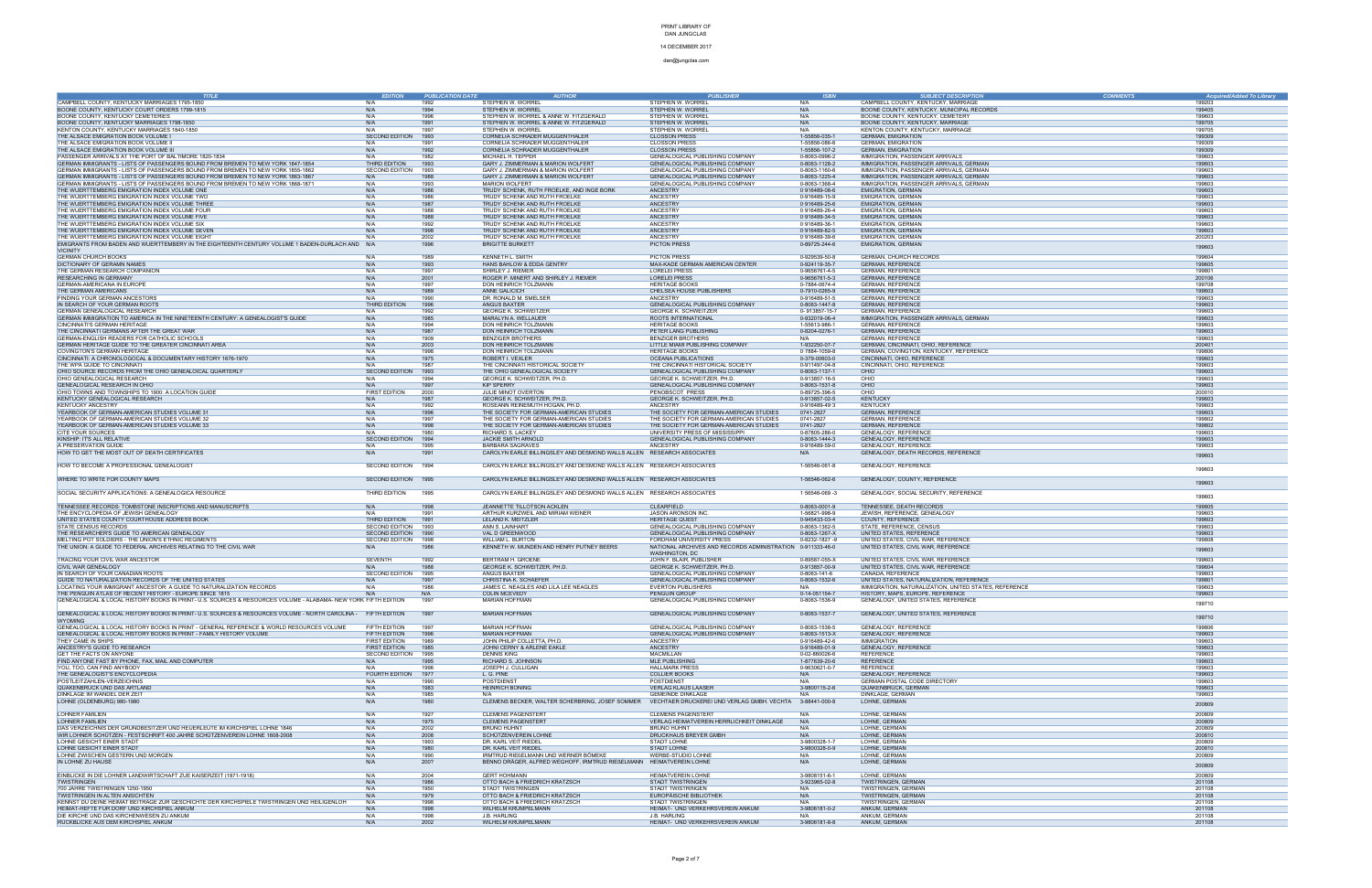14 DECEMBER 2017 dan@jungclas.com

| <b>TITLE</b>                                                                                                                             | <b>EDITION</b>                         | <b>PUBLICATION DATE</b> | <b>AUTHOR</b>                                                                                               | <b>PUBLISHER</b>                                                                   | <b>ISBN</b>                                | <b>SUBJECT DESCRIPTION</b>                                                 | <b>COMMENTS</b> | Acquired/Added To Library |
|------------------------------------------------------------------------------------------------------------------------------------------|----------------------------------------|-------------------------|-------------------------------------------------------------------------------------------------------------|------------------------------------------------------------------------------------|--------------------------------------------|----------------------------------------------------------------------------|-----------------|---------------------------|
| CAMPBELL COUNTY, KENTUCKY MARRIAGES 1795-1850                                                                                            | N/A                                    | 1992                    | STEPHEN W. WORREL                                                                                           | STEPHEN W. WORRE                                                                   | N/A                                        | CAMPBELL COUNTY, KENTUCKY, MARRIAGE                                        |                 | 199203                    |
| BOONE COUNTY, KENTUCKY COURT ORDERS 1799-1815                                                                                            | N/A                                    | 1994                    | STEPHEN W. WORREL                                                                                           | STEPHEN W. WORRE                                                                   | N/A                                        | BOONE COUNTY, KENTUCKY, MUNICIPAL RECORDS                                  |                 | 199405                    |
| BOONE COUNTY, KENTUCKY CEMETERIES                                                                                                        | N/A                                    | 1996                    | STEPHEN W. WORREL & ANNE W. FITZGERALD                                                                      | STEPHEN W. WORRE                                                                   | N/A                                        | BOONE COUNTY, KENTUCKY, CEMETERY                                           |                 | 199603                    |
| BOONE COUNTY, KENTUCKY MARRIAGES 1798-1850<br>KENTON COUNTY, KENTUCKY MARRIAGES 1840-1850                                                | N/A<br>N/A                             | 1991<br>1997            | STEPHEN W. WORREL & ANNE W. FITZGERALD<br>STEPHEN W. WORREL                                                 | STEPHEN W. WORREL<br>STEPHEN W. WORREI                                             | N/A<br>N/A                                 | BOONE COUNTY, KENTUCKY, MARRIAGE<br>KENTON COUNTY, KENTUCKY, MARRIAGE      |                 | 199705<br>199705          |
| THE ALSACE EMIGRATION BOOK VOLUME                                                                                                        | SECOND EDITION                         | 1993                    | CORNELIA SCHRADER MUGGENTHALER                                                                              | <b>CLOSSON PRESS</b>                                                               | 1-55856-035-1                              | <b>GERMAN, EMIGRATION</b>                                                  |                 | 199309                    |
| THE ALSACE EMIGRATION BOOK VOLUME                                                                                                        | N/A                                    | 1991                    | CORNELIA SCHRADER MUGGENTHALER                                                                              | <b>CLOSSON PRESS</b>                                                               | 1-55856-086-6                              | <b>GERMAN, EMIGRATION</b>                                                  |                 | 199309                    |
| THE ALSACE EMIGRATION BOOK VOLUME III                                                                                                    | N/A                                    | 1992                    | CORNELIA SCHRADER MUGGENTHALER                                                                              | <b>CLOSSON PRESS</b>                                                               | 1-55856-107-2                              | <b>GERMAN, EMIGRATION</b>                                                  |                 | 199309                    |
| PASSENGER ARRIVALS AT THE PORT OF BALTIMORE 1820-1834<br>GERMAN IMMIGRANTS - LISTS OF PASSENGERS BOUND FROM BREMEN TO NEW YORK 1847-1854 | N/A<br>THIRD EDITION                   | 1982<br>1993            | MICHAEL H. TEPPER                                                                                           | GENEALOGICAL PUBLISHING COMPANY<br><b>GENEALOGICAL PUBLISHING COMPANY</b>          | 0-8063-0996-2<br>0-8063-1128-2             | IMMIGRATION, PASSENGER ARRIVALS<br>IMMIGRATION, PASSENGER ARRIVALS, GERMAN |                 | 199603                    |
| GERMAN IMMIGRANTS - LISTS OF PASSENGERS BOUND FROM BREMEN TO NEW YORK 1855-1862                                                          | SECOND EDITION                         | 1993                    | GARY J. ZIMMERMAN & MARION WOLFERT<br>GARY J. ZIMMERMAN & MARION WOLFERT                                    | GENEALOGICAL PUBLISHING COMPANY                                                    | 0-8063-1160-6                              | IMMIGRATION, PASSENGER ARRIVALS, GERMAN                                    |                 | 199603<br>199603          |
| GERMAN IMMIGRANTS - LISTS OF PASSENGERS BOUND FROM BREMEN TO NEW YORK 1863-1867                                                          | N/A                                    |                         | GARY J. ZIMMERMAN & MARION WOLFERT                                                                          | GENEALOGICAL PUBLISHING COMPANY                                                    | 0-8063-1225-4                              | IMMIGRATION, PASSENGER ARRIVALS, GERMAN                                    |                 | 199603                    |
| GERMAN IMMIGRANTS - LISTS OF PASSENGERS BOUND FROM BREMEN TO NEW YORK 1868-1871                                                          | N/A                                    | 1993                    | <b>MARION WOLFERT</b>                                                                                       | GENEALOGICAL PUBLISHING COMPANY                                                    | 0-8063-1368-4                              | IMMIGRATION, PASSENGER ARRIVALS, GERMAN                                    |                 | 199603                    |
| THE WUERTTEMBERG EMIGRATION INDEX VOLUME ONE                                                                                             | N/A                                    | 1986                    | TRUDY SCHENK, RUTH FROELKE, AND INGE BORK                                                                   | <b>ANCESTRY</b>                                                                    | $0.916489 - 08 - 6$                        | <b>EMIGRATION, GERMAN</b>                                                  |                 | 199603                    |
| THE WUERTTEMBERG EMIGRATION INDEX VOLUME TWO                                                                                             | N/A                                    | 1986                    | TRUDY SCHENK AND RUTH FROELKE                                                                               | ANCESTRY                                                                           | 0-916489-15-9                              | <b>EMIGRATION, GERMAN</b>                                                  |                 | 199603                    |
| THE WUERTTEMBERG EMIGRATION INDEX VOLUME THREE<br>THE WUERTTEMBERG EMIGRATION INDEX VOLUME FOUR                                          | N/A<br>N/A                             | 1987<br>1988            | TRUDY SCHENK AND RUTH FROELKE<br>TRUDY SCHENK AND RUTH FROELKE                                              | <b>ANCESTRY</b><br>ANCESTRY                                                        | $0.916489 - 25 - 6$<br>$0.916489 - 26 - 4$ | <b>EMIGRATION, GERMAN</b><br><b>EMIGRATION, GERMAN</b>                     |                 | 199603<br>199603          |
| THE WUERTTEMBERG EMIGRATION INDEX VOLUME FIVE                                                                                            | N/A                                    | 1988                    | TRUDY SCHENK AND RUTH FROELKE                                                                               | <b>ANCESTRY</b>                                                                    | $0.916489 - 34 - 5$                        | <b>EMIGRATION, GERMAN</b>                                                  |                 | 199603                    |
| THE WUERTTEMBERG EMIGRATION INDEX VOLUME SIX                                                                                             | N/A                                    | 1992                    | TRUDY SCHENK AND RUTH FROELKE                                                                               | ANCESTRY                                                                           | $0.916489 - 36 - 1$                        | <b>EMIGRATION, GERMAN</b>                                                  |                 | 199603                    |
| THE WUERTTEMBERG EMIGRATION INDEX VOLUME SEVEN                                                                                           | N/A                                    | 1998                    | TRUDY SCHENK AND RUTH FROELKE                                                                               | <b>ANCESTRY</b>                                                                    | $0.916489 - 82 - 5$                        | <b>EMIGRATION, GERMAN</b>                                                  |                 | 199603                    |
| THE WUERTTEMBERG EMIGRATION INDEX VOLUME EIGHT                                                                                           |                                        | 2002                    | TRUDY SCHENK AND RUTH FROELKE                                                                               | ANCESTRY                                                                           | $0.916489 - 39 - 6$                        | <b>EMIGRATION, GERMAN</b>                                                  |                 | 200203                    |
| EMIGRANTS FROM BADEN AND WUERTTEMBERY IN THE EIGHTEENTH CENTURY VOLUME 1 BADEN-DURLACH AND N/A                                           |                                        | 1996                    | <b>BRIGITTE BURKETT</b>                                                                                     | <b>PICTON PRESS</b>                                                                | 0-89725-244-6                              | <b>EMIGRATION, GERMAN</b>                                                  |                 | 199603                    |
| <b>VICINITY</b><br><b>GERMAN CHURCH BOOKS</b>                                                                                            | N/A                                    | 1989                    | KENNETH L. SMITH                                                                                            | <b>PICTON PRESS</b>                                                                | 0-929539-50-8                              | <b>GERMAN, CHURCH RECORDS</b>                                              |                 | 199604                    |
| DICTIONARY OF GERAMN NAMES                                                                                                               | N/A                                    | 1993                    | HANS BAHLOW & EDDA GENTRY                                                                                   | MAX-KADE GERMAN AMERICAN CENTER                                                    | 0-924119-35-7                              | <b>GERMAN, REFERENCE</b>                                                   |                 | 199605                    |
| THE GERMAN RESEARCH COMPANION                                                                                                            | N/A                                    | 1997                    | SHIRLEY J. RIEMER                                                                                           | <b>LORELEI PRESS</b>                                                               | 0-9656761-4-5                              | <b>GERMAN, REFERENCE</b>                                                   |                 | 199801                    |
| <b>RESEARCHING IN GERMANY</b>                                                                                                            | N/A                                    | 2001                    | ROGER P. MINERT AND SHIRLEY J. RIEMER                                                                       | <b>LORELEI PRESS</b>                                                               | 0-9656761-5-3                              | <b>GERMAN, REFERENCE</b>                                                   |                 | 200106                    |
| <b>GERMAN-AMERICANA IN EUROPE</b>                                                                                                        | N/A                                    | 1997                    | DON HEINRICH TOLZMANN                                                                                       | <b>HERITAGE BOOKS</b>                                                              | 0-7884-0674-4                              | <b>GERMAN, REFERENCE</b>                                                   |                 | 199708                    |
| THE GERMAN AMERICANS                                                                                                                     | N/A                                    | 1989                    | ANNE GALICICH                                                                                               | CHELSEA HOUSE PUBLISHERS                                                           | 0-7910-0265-9                              | <b>GERMAN, REFERENCE</b>                                                   |                 | 199603                    |
| FINDING YOUR GERMAN ANCESTORS                                                                                                            | N/A                                    | 1990                    | DR. RONALD M. SMELSER                                                                                       | ANCESTRY                                                                           | 0-916489-51-5                              | <b>GERMAN, REFERENCE</b>                                                   |                 | 199603                    |
| IN SEARCH OF YOUR GERMAN ROOTS<br>GERMAN GENEALOGICAL RESEARCH                                                                           | THIRD EDITION<br>N/A                   | 1996<br>1992            | ANGUS BAXTER<br><b>GEORGE K. SCHWEITZER</b>                                                                 | GENEALOGICAL PUBLISHING COMPANY<br><b>GEORGE K. SCHWEITZER</b>                     | 0-8063-1447-8<br>0-913857-15-7             | <b>GERMAN, REFERENCE</b><br><b>GERMAN, REFERENCE</b>                       |                 | 199603<br>199603          |
| GERMAN IMMIGRATION TO AMERICA IN THE NINETEENTH CENTURY: A GENEALOGIST'S GUIDE                                                           | N/A                                    | 1985                    | MARALYN A. WELLAUER                                                                                         | ROOTS INTERNATIONAL                                                                | 0-932019-06-4                              | IMMIGRATION, PASSENGER ARRIVALS, GERMAN                                    |                 | 199603                    |
| <b>CINCINNATI'S GERMAN HERITAGE</b>                                                                                                      | N/A                                    | 1994                    | DON HEINRICH TOLZMANN                                                                                       | <b>HERITAGE BOOKS</b>                                                              | 1-55613-986-1                              | <b>GERMAN, REFERENCE</b>                                                   |                 | 199603                    |
| THE CINCINNATI GERMANS AFTER THE GREAT WAR                                                                                               | N/A                                    | 1987                    | DON HEINRICH TOLZMANN                                                                                       | PETER LANG PUBLISHING                                                              | 0-8204-0276-1                              | <b>GERMAN, REFERENCE</b>                                                   |                 | 199603                    |
| GERMAN-ENGLISH READERS FOR CATHOLIC SCHOOLS                                                                                              | N/A                                    | 1909                    | <b>BENZIGER BROTHERS</b>                                                                                    | <b>BENZIGER BROTHERS</b>                                                           | N/A                                        | <b>GERMAN, REFERENCE</b>                                                   |                 | 199603                    |
| GERMAN HERITAGE GUIDE TO THE GREATER CINCINNATI AREA                                                                                     | N/A                                    | 2003                    | DON HEINRICH TOLZMANN                                                                                       | LITTLE MIAMI PUBLISHING COMPANY                                                    | 1-932250-07-7                              | GERMAN, CINCINNATI, OHIO, REFERENCE                                        |                 | 200401                    |
| COVINGTON'S GERMAN HERITAGE                                                                                                              | N/A                                    | 1998                    | DON HEINRICH TOLZMANN                                                                                       | <b>HERITAGE BOOKS</b>                                                              | $0.7884 - 1059 - 8$                        | GERMAN, COVINGTON, KENTUCKY, REFERENCE                                     |                 | 199806                    |
| CINCINNATI: A CHRONOLOGOCAL & DOCUMENTARY HISTORY 1676-1970                                                                              | N/A<br>N/A                             | 1975<br>1987            | ROBERT I. VEXLER                                                                                            | <b>OCEANA PUBLICATIONS</b>                                                         | 0-379-00603-0                              | CINCINNATI, OHIO, REFERENCE                                                |                 | 199603<br>199603          |
| THE WPA GUIDE TO CINCINNATI<br>OHIO SOURCE RECORDS FROM THE OHIO GENEALOICAL QUARTERLY                                                   | <b>SECOND EDITION</b>                  | 1993                    | THE CINCINNATI HISTORICAL SOCIETY<br>THE OHIO GENEALOGICAL SOCIETY                                          | THE CINCINNATI HISTORICAL SOCIETY<br>GENEALOGICAL PUBLISHING COMPANY               | 0-911497-04-8<br>0-8063-1137-1             | CINCINNATI, OHIO, REFERENCE<br>OHIO                                        |                 | 199603                    |
| OHIO GENEALOGICAL RESEARCH                                                                                                               | N/A                                    | 1994                    | GEORGE K. SCHWEITZER, PH.D                                                                                  | GEORGE K. SCHWEITZER, PH.D.                                                        | 0-913857-16-5                              | OHIO                                                                       |                 | 199603                    |
| GENEALOGICAL RESEARCH IN OHIO                                                                                                            | N/A                                    | 1997                    | <b>KIP SPERRY</b>                                                                                           | GENEALOGICAL PUBLISHING COMPANY                                                    | 0-8063-1531-8                              | OHIO                                                                       |                 | 199603                    |
| OHIO TOWNS AND TOWNSHIPS TO 1900: A LOCATION GUIDE                                                                                       | <b>FIRST EDITION</b>                   | 2000                    | JULIE MINOT OVERTON                                                                                         | PENOBSCOT PRESS                                                                    | 0-89725-396-5                              | OHIO                                                                       |                 | 200010                    |
| KENTUCKY GENEALOGICAL RESEARCH                                                                                                           | N/A                                    | 1987                    | GEORGE K. SCHWEITZER, PH.D.                                                                                 | GEORGE K. SCHWEITZER, PH.D                                                         | 0-913857-02-5                              | <b>KENTUCKY</b>                                                            |                 | 199603                    |
| <b>KENTUCKY ANCESTRY</b>                                                                                                                 | N/A                                    | 1992                    | ROSEANN REINEMUTH HOGAN, PH.D.                                                                              | ANCESTRY                                                                           | 0-916489-49-3                              | <b>KENTUCKY</b>                                                            |                 | 199603                    |
| YEARBOOK OF GERMAN-AMERICAN STUDIES VOLUME 31                                                                                            | N/A                                    | 1996                    | THE SOCIETY FOR GERMAN-AMERICAN STUDIES                                                                     | THE SOCIETY FOR GERMAN-AMERICAN STUDIES                                            | 0741-2827                                  | <b>GERMAN, REFERENCE</b>                                                   |                 | 199603                    |
| YEARBOOK OF GERMAN-AMERICAN STUDIES VOLUME 32<br>YEARBOOK OF GERMAN-AMERICAN STUDIES VOLUME 33                                           | N/A<br>N/A                             | 1997<br>1998            | THE SOCIETY FOR GERMAN-AMERICAN STUDIES<br>THE SOCIETY FOR GERMAN-AMERICAN STUDIES                          | THE SOCIETY FOR GERMAN-AMERICAN STUDIES<br>THE SOCIETY FOR GERMAN-AMERICAN STUDIES | 0741-2827<br>0741-2827                     | <b>GERMAN, REFERENCE</b><br><b>GERMAN, REFERENCE</b>                       |                 | 199802<br>199802          |
| <b>CITE YOUR SOURCES</b>                                                                                                                 | N/A                                    | 1980                    | RICHARD S. LACKEY                                                                                           | UNIVERSITY PRESS OF MISSISSIPPI                                                    | 0-87805-286-0                              | GENEALOGY, REFERENCE                                                       |                 | 199603                    |
| KINSHIP: IT'S ALL RELATIVE                                                                                                               | <b>SECOND EDITION</b>                  | 1994                    | JACKIE SMITH ARNOLD                                                                                         | GENEALOGICAL PUBLISHING COMPANY                                                    | 0-8063-1444-3                              | <b>GENEALOGY, REFERENCE</b>                                                |                 | 199603                    |
| A PRESERVATION GUIDE                                                                                                                     | N/A                                    | 1995                    | <b>BARBARA SAGRAVES</b>                                                                                     | ANCESTRY                                                                           | 0-916489-59-0                              | GENEALOGY, REFERENCE                                                       |                 | 199603                    |
| HOW TO GET THE MOST OUT OF DEATH CERTIFICATES                                                                                            | N/A                                    | 1991                    | CAROLYN EARLE BILLINGSLEY AND DESMOND WALLS ALLEN RESEARCH ASSOCIATES                                       |                                                                                    | N/A                                        | GENEALOGY, DEATH RECORDS, REFERENCE                                        |                 | 199603                    |
|                                                                                                                                          |                                        |                         |                                                                                                             |                                                                                    |                                            |                                                                            |                 |                           |
| HOW TO BECOME A PROFESSIONAL GENEALOGIST                                                                                                 | <b>SECOND EDITION</b>                  | 1994                    | CAROLYN EARLE BILLINGSLEY AND DESMOND WALLS ALLEN RESEARCH ASSOCIATES                                       |                                                                                    | 1-56546-061-8                              | GENEALOGY, REFERENCE                                                       |                 | 199603                    |
| WHERE TO WRITE FOR COUNTY MAPS                                                                                                           | SECOND EDITION 1995                    |                         | CAROLYN EARLE BILLINGSLEY AND DESMOND WALLS ALLEN RESEARCH ASSOCIATES                                       |                                                                                    | 1-56546-062-6                              | GENEALOGY, COUNTY, REFERENCE                                               |                 |                           |
|                                                                                                                                          |                                        |                         |                                                                                                             |                                                                                    |                                            |                                                                            |                 | 199603                    |
| SOCIAL SECURITY APPLICATIONS: A GENEALOGICA RESOURCE                                                                                     | THIRD EDITION                          | 1995                    | CAROLYN EARLE BILLINGSLEY AND DESMOND WALLS ALLEN RESEARCH ASSOCIATES                                       |                                                                                    | $1.56546 - 069 - 3$                        | GENEALOGY, SOCIAL SECURITY, REFERENCE                                      |                 |                           |
|                                                                                                                                          |                                        |                         |                                                                                                             |                                                                                    |                                            |                                                                            |                 | 199603                    |
| TENNESSEE RECORDS: TOMBSTONE INSCRIPTIONS AND MANUSCRIPTS                                                                                | N/A                                    | 1998                    | JEANNETTE TILLOTSON ACKLEN                                                                                  | CLEARFIELD                                                                         | 0-8063-0001-9                              | TENNESSEE, DEATH RECORDS                                                   |                 | 199805                    |
| THE ENCYCLOPEDIA OF JEWISH GENEALOGY                                                                                                     | N/A                                    | 1991                    | ARTHUR KURZWEIL AND MIRIAM WEINER                                                                           | JASON ARONSON INC.                                                                 | 1-56821-998-9                              | JEWISH, REFERENCE, GENEALOGY                                               |                 | 199603                    |
| UNITED STATES COUNTY COURTHOUSE ADDRESS BOOK<br><b>STATE CENSUS RECORDS</b>                                                              | THIRD EDITION<br><b>SECOND EDITION</b> | 1991<br>1993            | LELAND K. MEITZLER<br>ANN S. LAINHART                                                                       | <b>HERITAGE QUEST</b><br>GENEALOGICAL PUBLISHING COMPANY                           | 0-945433-03-4<br>0-8063-1362-5             | COUNTY, REFERENCE<br>STATE, REFERENCE, CENSUS                              |                 | 199603<br>199603          |
| THE RESEARCHER'S GUIDE TO AMERICAN GENEALOGY                                                                                             | <b>SECOND EDITION</b>                  | 1990                    | VAL D GREENWOOD                                                                                             | GENEALOGICAL PUBLISHING COMPANY                                                    | 0-8063-1267-X                              | UNITED STATES, REFERENCE                                                   |                 | 199603                    |
| MELTING POT SOLDIERS - THE UNION'S ETHNIC REGIMENTS                                                                                      | SECOND EDITION                         | 1998                    | <b>WILLIAM L. BURTON</b>                                                                                    | FORDHAM UNIVERSITY PRESS                                                           | 0-8232-1827 -9                             | UNITED STATES, CIVIL WAR, REFERENCE                                        |                 | 199808                    |
| THE UNION: A GUIDE TO FEDERAL ARCHIVES RELATING TO THE CIVIL WAR                                                                         | N/A                                    |                         | KENNETH W. MUNDEN AND HENRY PUTNEY BEERS                                                                    | NATIONAL ARCHIVES AND RECORDS ADMINISTRATION 0-911333-46-0                         |                                            | UNITED STATES, CIVIL WAR, REFERENCE                                        |                 | 199603                    |
|                                                                                                                                          |                                        |                         |                                                                                                             | WASHINGTON, DC                                                                     |                                            |                                                                            |                 |                           |
| TRACING YOUR CIVIL WAR ANCESTOR                                                                                                          | <b>SEVENTH</b>                         | 1992                    | <b>BERTRAM H. GROENE</b>                                                                                    | JOHN F. BLAIR, PUBLISHER                                                           | 0-89587-055-X                              | UNITED STATES, CIVIL WAR, REFERENCE                                        |                 | 199603                    |
| <b>CIVIL WAR GENEALOGY</b><br>IN SEARCH OF YOUR CANADIAN ROOTS                                                                           | SECOND EDITION                         | 1995                    | GEORGE K. SCHWEITZER, PH.D.<br>ANGUS BAXTER                                                                 | GEORGE K. SCHWEITZER, PH.D.<br>GENEALOGICAL PUBLISHING COMPANY                     | 0-913857-00-9<br>0-8063-141-6              | UNITED STATES, CIVIL WAR, REFERENCE<br>CANADA, REFERENCE                   |                 | 199604<br>199603          |
| GUIDE TO NATURALIZATION RECORDS OF THE UNITED STATES                                                                                     | N/A                                    | 1997                    | CHRISTINA K. SCHAEFER                                                                                       | GENEALOGICAL PUBLISHING COMPANY                                                    | 0-8063-1532-6                              | UNITED STATES, NATURALIZATION, REFERENCE                                   |                 | 199801                    |
| LOCATING YOUR IMMIGRANT ANCESTOR: A GUIDE TO NATURALIZATION RECORDS                                                                      | N/A                                    | 1986                    | JAMES C. NEAGLES AND LILA LEE NEAGLES                                                                       | <b>EVERTON PUBLISHERS</b>                                                          | N/A                                        | IMMIGRATION, NATURALIZATION, UNITED STATES, REFERENCE                      |                 | 199603                    |
| THE PENGUIN ATLAS OF RECENT HISTORY - EUROPE SINCE 1815                                                                                  |                                        |                         | COLIN MCEVEDY                                                                                               | PENGUIN GROUP                                                                      | 0-14-051154-7                              | HISTORY, MAPS, EUROPE, REFERENCE                                           |                 |                           |
| GENEALOGICAL & LOCAL HISTORY BOOKS IN PRINT- U.S. SOURCES & RESOURCES VOLUME - ALABAMA- NEW YORK FIFTH EDITION                           |                                        | 1997                    | <b>MARIAN HOFFMAN</b>                                                                                       | GENEALOGICAL PUBLISHING COMPANY                                                    | 0-8063-1536-9                              | GENEALOGY, UNITED STATES, REFERENCE                                        |                 | 199710                    |
| GENEALOGICAL & LOCAL HISTORY BOOKS IN PRINT- U.S. SOURCES & RESOURCES VOLUME - NORTH CAROLINA - FIFTH EDITION                            |                                        | 1997                    | MARIAN HOFFMAN                                                                                              | GENEALOGICAL PUBLISHING COMPANY                                                    | 0-8063-1537-7                              | GENEALOGY, UNITED STATES, REFERENCE                                        |                 |                           |
| <b>WYOMING</b>                                                                                                                           |                                        |                         |                                                                                                             |                                                                                    |                                            |                                                                            |                 | 199710                    |
| GENEALOGICAL & LOCAL HISTORY BOOKS IN PRINT - GENERAL REFERENCE & WORLD RESOURCES VOLUME                                                 | FIFTH EDITION                          | 1997                    | MARIAN HOFFMAN                                                                                              | GENEALOGICAL PUBLISHING COMPANY                                                    | 0-8063-1538-5                              | GENEALOGY, REFERENCE                                                       |                 | 199806                    |
| GENEALOGICAL & LOCAL HISTORY BOOKS IN PRINT - FAMILY HISTORY VOLUME                                                                      | FIFTH EDITION                          | 1996                    | <b>MARIAN HOFFMAN</b>                                                                                       | GENEALOGICAL PUBLISHING COMPANY                                                    | 0-8063-1513-X                              | <b>GENEALOGY, REFERENCE</b>                                                |                 | 199603                    |
| THEY CAME IN SHIPS                                                                                                                       | <b>FIRST EDITION</b>                   | 1989                    | JOHN PHILIP COLLETTA, PH.D.                                                                                 | ANCESTRY                                                                           | 0-916489-42-6                              | <b>IMMIGRATION</b>                                                         |                 | 199603                    |
| ANCESTRY'S GUIDE TO RESEARCH                                                                                                             | FIRST EDITION                          | 1985                    | JOHNI CERNY & ARLENE EAKLE                                                                                  | ANCESTRY                                                                           | 0-916489-01-9                              | GENEALOGY, REFERENCE                                                       |                 | 199603<br>199603          |
| GET THE FACTS ON ANYONE<br>FIND ANYONE FAST BY PHONE, FAX, MAIL AND COMPUTER                                                             | SECOND EDITION<br>N/A                  | 1995<br>1995            | <b>DENNIS KING</b><br>RICHARD S. JOHNSON                                                                    | MACMILLAN<br>MLE PUBLISHING                                                        | 0-02-860026-6<br>1-877639-20-6             | <b>REFERENCE</b><br><b>REFERENCE</b>                                       |                 | 199603                    |
| YOU, TOO, CAN FIND ANYBODY                                                                                                               | N/A                                    | 1996                    | JOSEPH J. CULLIGAN                                                                                          | <b>HALLMARK PRESS</b>                                                              | 0-9630621-0-7                              | <b>REFERENCE</b>                                                           |                 | 199603                    |
| THE GENEALOGIST'S ENCYCLOPEDIA                                                                                                           | <b>FOURTH EDITION</b>                  | 1977                    | L. G. PINE                                                                                                  | <b>COLLIER BOOKS</b>                                                               | N/A                                        | GENEALOGY, REFERENCE                                                       |                 | 199603                    |
| POSTLEITZAHLEN-VERZEICHNIS                                                                                                               | N/A                                    | 1990                    | <b>POSTDIENST</b>                                                                                           | <b>POSTDIENST</b>                                                                  | N/A                                        | GERMAN POSTAL CODE DIRECTORY                                               |                 | 199603                    |
| QUAKENBRÜCK UND DAS ARTLAND                                                                                                              | N/A                                    | 1983                    | <b>HEINRICH BÖNING</b>                                                                                      | <b>VERLAG KLAUS LAASER</b>                                                         | 3-9800115-2-6                              | QUAKENBRÜCK, GERMAN                                                        |                 | 199603                    |
| DINKLAGE IM WANDEL DER ZEIT                                                                                                              | N/A                                    | 1985                    | N/A                                                                                                         | <b>GEMEINDE DINKLAGE</b>                                                           | N/A                                        | DINKLAGE, GERMAN                                                           |                 | 199603                    |
| LOHNE (OLDENBURG) 980-1980                                                                                                               | N/A                                    | 1980                    | CLEMENS BECKER, WALTER SCHERBRING, JOSEF SOMMER                                                             | VECHTAER DRUCKEREI UND VERLAG GMBH. VECHTA 3-88441-000-8                           |                                            | LOHNE, GERMAN                                                              |                 | 200809                    |
| LOHNER FAMILIEN                                                                                                                          | N/A                                    | 1927                    | <b>CLEMENS PAGENSTERT</b>                                                                                   | <b>CLEMENS PAGENSTERT</b>                                                          | N/A                                        | LOHNE, GERMAN                                                              |                 | 200809                    |
| LOHNER FAMILIEN                                                                                                                          | N/A                                    | 1975                    | <b>CLEMENS PAGENSTERT</b>                                                                                   | VERLAG HEIMATVEREIN HERRLICHKEIT DINKLAGE                                          | N/A                                        | LOHNE, GERMAN                                                              |                 | 200809                    |
| DAS VERZEICHNIS DER GRUNDBESITZER UND HEUERLEUTE IM KIRCHSPIEL LOHNE 1846                                                                | N/A                                    | 2002                    | <b>BRUNO HUHNT</b>                                                                                          | <b>BRUNO HUHNT</b>                                                                 | N/A                                        | LOHNE, GERMAN                                                              |                 | 200809                    |
| WIR LOHNER SCHÜTZEN - FESTSCHRIFT 400 JAHRE SCHÜTZENVEREIN LOHNE 1608-2008                                                               | N/A                                    | 2008                    | SCHÜTZENVEREIN LOHNE                                                                                        | DRUCKHAUS BREYER GMBH                                                              | N/A                                        | LOHNE, GERMAN                                                              |                 | 200810                    |
| LOHNE GESICHT EINER STADT                                                                                                                | N/A                                    | 1993                    | DR. KARL VEIT RIEDEL                                                                                        | STADT LOHNE                                                                        | 3-9800328-1-7                              | LOHNE, GERMAN                                                              |                 | 200809                    |
| LOHNE GESICHT EINER STADT                                                                                                                | N/A                                    | 1980                    | DR. KARL VEIT RIEDEL                                                                                        | STADT LOHNE                                                                        | 3-9800328-0-9                              | LOHNE, GERMAN                                                              |                 | 200810                    |
| LOHNE ZWISCHEN GESTERN UND MORGEN<br>IN LOHNE ZU HAUSE                                                                                   | N/A<br>N/A                             | 1990<br>200?            | IRMTRUD RIEßELMANN UND WERNER BÖMEKE<br>BENNO DRÄGER, ALFRED WEGHOFF, IRMTRUD RIEßELMANN HEIMATVEREIN LOHNE | WERBE-STUDIO LOHNE                                                                 | N/A<br>N/A                                 | LOHNE, GERMAN<br>LOHNE, GERMAN                                             |                 | 200809                    |
|                                                                                                                                          |                                        |                         |                                                                                                             |                                                                                    |                                            |                                                                            |                 | 200809                    |
| EINBLICKE IN DIE LOHNER LANDWIRTSCHAFT ZUE KAISERZEIT (1871-1918)                                                                        | N/A                                    | 2004                    | <b>GERT HOHMANN</b>                                                                                         | HEIMATVEREIN LOHNE                                                                 | 3-9808151-6-1                              | LOHNE, GERMAN                                                              |                 | 200809                    |
| <b>TWISTRINGEN</b>                                                                                                                       | N/A                                    | 1986                    | OTTO BACH & FRIEDRICH KRATZSCH                                                                              | STADT TWISTRINGEN                                                                  | 3-923965-02-8                              | TWISTRINGEN, GERMAN                                                        |                 | 201108                    |
| 700 JAHRE TWISTRINGEN 1250-1950                                                                                                          | N/A                                    | 1950                    | STADT TWISTRINGEN                                                                                           | STADT TWISTRINGEN                                                                  | N/A                                        | TWISTRINGEN, GERMAN                                                        |                 | 201108                    |
| TWISTRINGEN IN ALTEN ANSICHTEN                                                                                                           | N/A                                    | 1979                    | OTTO BACH & FRIEDRICH KRATZSCH                                                                              | EUROPÄISCHE BIBLIOTHEK                                                             | N/A                                        | TWISTRINGEN, GERMAN                                                        |                 | 201108                    |
| KENNST DU DEINE HEIMAT BEITRÄGE ZUR GESCHICHTE DER KIRCHSPIELE TWISTRINGEN UND HEILIGENLOH<br>HEIMAT-HEFTE FÜR DORF UND KIRCHSPIEL ANKUM | N/A                                    | 1998<br>1998            | OTTO BACH & FRIEDRICH KRATZSCH                                                                              | STADT TWISTRINGEN                                                                  | N/A                                        | TWISTRINGEN, GERMAN                                                        |                 | 201108                    |
| DIE KIRCHE UND DAS KIRCHENWESEN ZU ANKUM                                                                                                 | N/A<br>N/A                             | 1998                    | WILHELM KRÜMPELMANN<br>J.B. HARLING                                                                         | HEIMAT- UND VERKEHRSVEREIN ANKUM<br>J.B. HARLING                                   | 3-9806181-0-2<br>N/A                       | ANKUM, GERMAN<br>ANKUM, GERMAN                                             |                 | 201108<br>201108          |
| RÜCKBLICKE AUS DEM KIRCHSPIEL ANKUM                                                                                                      | N/A                                    | 2002                    | WILHELM KRÜMPELMANN                                                                                         | HEIMAT- UND VERKEHRSVEREIN ANKUM                                                   | 3-9806181-8-8                              | ANKUM, GERMAN                                                              |                 | 201108                    |
|                                                                                                                                          |                                        |                         |                                                                                                             |                                                                                    |                                            |                                                                            |                 |                           |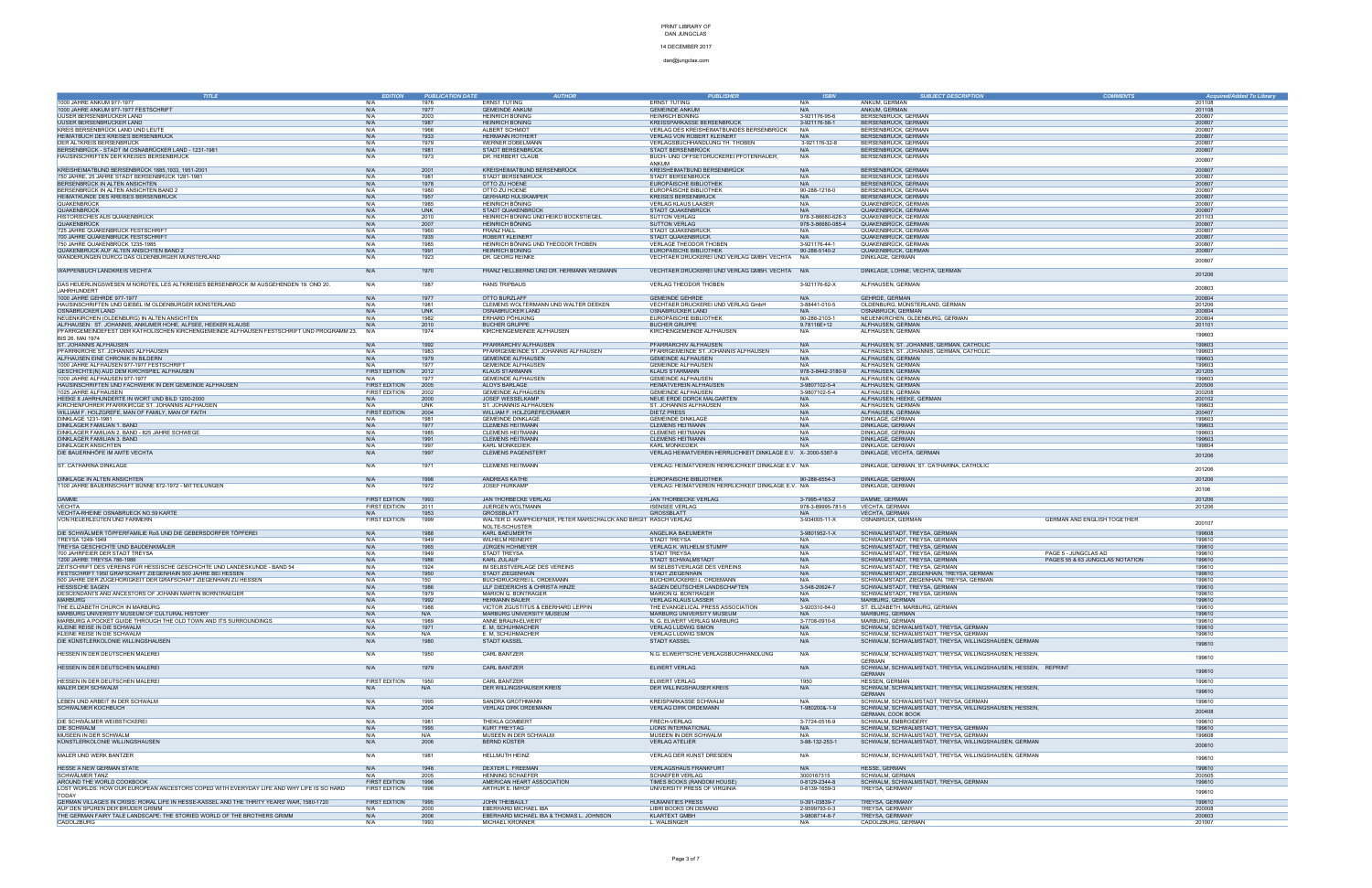### 14 DECEMBER 2017

| <b>TITLE</b>                                                                                              |                      | <b>PUBLICATION DATE</b> | <b>AUTHOR</b>                                                     | <b>PUBLISHER</b>                                                  |                                        | <b>SUBJECT DESCRIPTION</b>                                                             | <b>Acquired/Added To Library</b> |
|-----------------------------------------------------------------------------------------------------------|----------------------|-------------------------|-------------------------------------------------------------------|-------------------------------------------------------------------|----------------------------------------|----------------------------------------------------------------------------------------|----------------------------------|
| 1000 JAHRE ANKUM 977-1977                                                                                 | N/A                  | 1976                    | ERNST TÜTING                                                      | ERNST TÜTING                                                      | N/A                                    | ANKUM, GERMAN                                                                          | 201108                           |
| 1000 JAHRE ANKUM 977-1977 FESTSCHRIFT                                                                     | N/A                  | 1977                    | <b>GEMEINDE ANKUM</b>                                             | <b>GEMEINDE ANKUM</b>                                             | N/A                                    | ANKUM, GERMAN                                                                          | 201108                           |
| UUSER BERSENBRÜCKER LAND                                                                                  | N/A                  | 2003                    | HEINRICH BÖNING                                                   | <b>HEINRICH BÖNING</b>                                            | 3-921176-95-6                          | BERSENBRÜCK, GERMAN                                                                    | 200807                           |
| UUSER BERSENBRÜCKER LAND                                                                                  | N/A                  | 1987                    | <b>HEINRICH BÖNING</b>                                            | KREISSPARKASSE BERSENBRÜCK                                        | 3-921176-58-1                          | BERSENBRÜCK, GERMAN                                                                    | 200807                           |
| KREIS BERSENBRÜCK LAND UND LEUTI                                                                          | N/A                  | 1966                    | ALBERT SCHMIDT                                                    | VERLAG DES KREISHEIMATBUNDES BERSENBRÜCK                          | N/A                                    | BERSENBRÜCK, GERMAN                                                                    | 20080                            |
| HEIMATBUCH DES KREISES BERSENBRÜCK                                                                        | N/A                  | 1933                    | <b>HERMANN ROTHERT</b>                                            | VERLAG VON ROBERT KLEINERT                                        |                                        | BERSENBRÜCK, GERMAN                                                                    | 200807                           |
| DER ALTKREIS BERSENBRÜCK<br>BERSENBRÜCK - STADT IM OSNABRÜCKER LAND - 1231-1981                           | N/A<br>N/A           | 1979<br>1981            | WERNER DOBELMANN<br>STADT BERSENBRÜCK                             | VERLAGSBUCHHANDLUNG TH. THOBEN<br>STADT BERSENBRÜCK               | 3-921176-32-8<br>N/A                   | BERSENBRÜCK, GERMAN<br>BERSENBRÜCK, GERMAN                                             | 200807<br>200807                 |
| HAUSINSCHRIFTEN DER KREISES BERSENBRÜCK                                                                   | N/A                  | 1973                    | DR. HERBERT CLAUB                                                 | BUCH- UND OFFSETDRUCKEREI PFOTENHAUER,                            | N/A                                    | BERSENBRÜCK, GERMAN                                                                    |                                  |
|                                                                                                           |                      |                         |                                                                   | ANKUM                                                             |                                        |                                                                                        | 200807                           |
| KREISHEIMATBUND BERSENBRÜCK 1885,1933, 1951-2001                                                          | N/A                  | 2001                    | KREISHEIMATBUND BERSENBRÜCK                                       | KREISHEIMATBUND BERSENBRÜCK                                       | N/A                                    | BERSENBRÜCK, GERMAN                                                                    | 200807                           |
| 750 JAHRE, 25 JAHRE STADT BERSENBRÜCK 1281-1981                                                           | N/A                  | 1981                    | STADT BERSENBRÜCK                                                 | STADT BERSENBRÜCK                                                 | N/A                                    | BERSENBRÜCK, GERMAN                                                                    | 200801                           |
| BERSENBRÜCK IN ALTEN ANSICHTEN                                                                            | N/A                  | 1978                    | OTTO ZU HOENE                                                     | EUROPÄISCHE BIBLIOTHEK                                            | N/A                                    | BERSENBRÜCK, GERMAN                                                                    | 200807                           |
| BERSENBRÜCK IN ALTEN ANSICHTEN BAND 2                                                                     | N/A                  | 1980                    | OTTO ZU HOENE                                                     | EUROPÄISCHE BIBLIOTHEK                                            | 90-288-1218-0                          | BERSENBRÜCK, GERMAN                                                                    | 200807                           |
| HEIMATKUNDE DES KREISES BERSENBRÜCK                                                                       | N/A                  | 1957                    | <b>GERHARD HÜLSKÄMPER</b>                                         | <b>KREISES BERSENBRÜCK</b>                                        | N/A                                    | BERSENBRÜCK, GERMAN                                                                    | 200807                           |
| QUAKENBRÜCK                                                                                               | N/A                  | 1985                    | HEINRICH BÖNING                                                   | <b>VERLAG KLAUS LAASER</b>                                        | N/A                                    | QUAKENBRÜCK, GERMAN                                                                    | 200807                           |
| QUAKENBRÜCK                                                                                               | N/A                  | <b>UNK</b>              | STADT QUAKENBRÜCK                                                 | STADT QUAKENBRÜCK                                                 | N/A                                    | QUAKENBRÜCK, GERMAN                                                                    | 200807                           |
| HISTORISCHES AUS QUAKENBRÜCK<br>QUAKENBRUCK                                                               | N/A<br>N/A           | 2010<br>2007            | HEINRICH BÖNING UND HEIKO BOCKSTIEGEL<br><b>HEINRICH BÖNING</b>   | <b>SUTTON VERLAG</b><br><b>SUTTON VERLAG</b>                      | 978-3-86680-628-3<br>978-3-86680-085-4 | QUAKENBRÜCK, GERMAN<br>QUAKENBRÜCK, GERMAN                                             | 201103<br>200807                 |
| 725 JAHRE QUAKENBRÜCK FESTSCHRIFT                                                                         | N/A                  | 1960                    | <b>FRANZ HALL</b>                                                 | STADT QUAKENBRÜCK                                                 | N/A                                    | QUAKENBRÜCK, GERMAN                                                                    | 200807                           |
| 700 JAHRE QUAKENBRÜCK FESTSCHRIFT                                                                         | N/A                  | 1935                    | ROBERT KLEINERT                                                   | STADT QUAKENBRÜCK                                                 | N/A                                    | QUAKENBRÜCK, GERMAN                                                                    | 200807                           |
| 750 JAHRE QUAKENBRÜCK 1235-1985                                                                           | N/A                  | 1985                    | HEINRICH BÖNING UND THEODOR THOBEN                                | VERLAGE THEODOR THOBEN                                            | 3-921176-44-1                          | QUAKENBRÜCK, GERMAN                                                                    | 200807                           |
| QUAKENBRÜCK AUF ALTEN ANSICHTEN BAND 2                                                                    | N/A                  | 1991                    | <b>HEINRICH BÖNING</b>                                            | EUROPÄISCHE BIBLIOTHEK                                            | 90-288-5140-2                          | QUAKENBRÜCK, GERMAN                                                                    | 200807                           |
| WANDERUNGEN DURCG DAS OLDENBURGER MÜNSTERLAND                                                             | N/A                  | 1923                    | DR. GEORG REINKE                                                  | VECHTAER DRUCKEREI UND VERLAG GMBH. VECHTA                        | N/A                                    | DINKLAGE, GERMAN                                                                       | 200807                           |
|                                                                                                           |                      |                         |                                                                   |                                                                   |                                        |                                                                                        |                                  |
| WAPPENBUCH LANDKREIS VECHTA                                                                               | N/A                  | 1970                    | FRANZ HELLBERND UND DR. HERMANN WEGMANN                           | VECHTAER DRUCKEREI UND VERLAG GMBH. VECHTA N/A                    |                                        | DINKLAGE, LOHNE, VECHTA, GERMAN                                                        | 201206                           |
|                                                                                                           |                      |                         |                                                                   |                                                                   |                                        |                                                                                        |                                  |
| DAS HEUERLINGSWESEN M NORDTEIL LES ALTKREISES BERSENBRÜCK IM AUSGEHENDEN 19. OND 20<br><b>JAHRHUNDERT</b> | N/A                  | 1987                    | <b>HANS TRIPBAUS</b>                                              | VERLAG THEODOR THOBEN                                             | 3-921176-62-X                          | ALFHAUSEN, GERMAN                                                                      | 200803                           |
| 1000 JAHRE GEHRDE 977-1977                                                                                | N/A                  | 1977                    | OTTO BURZLAFF                                                     | <b>GEMEINDE GEHRDE</b>                                            | N/A                                    | GEHRDE, GERMAN                                                                         | 200804                           |
| HAUSINSCHRIFTEN UND GIEBEL IM OLDENBURGER MÜNSTERLAND                                                     | N/A                  | 1981                    | CLEMENS WOLTERMANN UND WALTER DEEKEN                              | VECHTAER DRUCKEREI UND VERLAG GmbH                                | 3-88441-010-5                          | OLDENBURG, MÜNSTERLAND, GERMAN                                                         | 201206                           |
| OSNABRUCKER LAND                                                                                          | N/A                  | <b>UNK</b>              | OSNABRÜCKER LAND                                                  | OSNABRÜCKER LAND                                                  | N/A                                    | OSNABRÜCK, GERMAN                                                                      | 200804                           |
| NEUENKIRCHEN (OLDENBURG) IN ALTEN ANSICHTEN                                                               | N/A                  | 1982                    | ERHARD PÖHLKING                                                   | EUROPÄISCHE BIBLIOTHEK                                            | 90-288-2103-1                          | NEUENKIRCHEN, OLDENBURG, GERMAN                                                        | 200804                           |
| ALFHAUSEN: ST. JOHANNIS, ANKUMER HOHE, ALFSEE, HEEKER KLAUSE                                              | N/A                  | 2010                    | <b>BUCHER GRUPPE</b>                                              | <b>BUCHER GRUPPE</b>                                              | 9.78116E+12                            | ALFHAUSEN, GERMAN                                                                      | 201101                           |
| PFARRGEMEINDEFEST DER KATHOLISCHEN KIRCHENGEMEINDE ALFHAUSEN FESTSCHRIFT UND PROGRAMM 23.                 | N/A                  | 1974                    | KIRCHENGEMEINDE ALFHAUSEN                                         | KIRCHENGEMEINDE ALFHAUSEN                                         | N/A                                    | ALFHAUSEN, GERMAN                                                                      | 199603                           |
| BIS 26. MAI 1974                                                                                          |                      |                         |                                                                   |                                                                   |                                        |                                                                                        |                                  |
| ST. JOHANNIS ALFHAUSEN                                                                                    | N/A                  | 1992                    | PFARRARCHIV ALFHAUSEN                                             | PFARRARCHIV ALFHAUSEN                                             | N/A                                    | ALFHAUSEN, ST. JOHANNIS, GERMAN, CATHOLIC<br>ALFHAUSEN, ST. JOHANNIS, GERMAN, CATHOLIC | 199603<br>199603                 |
| PFARRKIRCHE ST. JOHANNIS ALFHAUSEN<br>ALFHAUSEN EINE CHRONIK IN BILDERN                                   | N/A<br>N/A           | 1983<br>1979            | PFARRGEMEINDE ST. JOHANNIS ALFHAUSEN<br><b>GEMEINDE ALFHAUSEN</b> | PFARRGEMEINDE ST. JOHANNIS ALFHAUSEN<br><b>GEMEINDE ALFHAUSEN</b> | N/A<br>N/A                             | ALFHAUSEN, GERMAN                                                                      | 199603                           |
| 1000 JAHRE ALFHAUSEN 977-1977 FESTSCHRIFT                                                                 | N/A                  | 1977                    | <b>GEMEINDE ALFHAUSEN</b>                                         | <b>GEMEINDE ALFHAUSEN</b>                                         | N/A                                    | ALFHAUSEN, GERMAN                                                                      | 199603                           |
| GESCHICHTE(N) AUD DEM KIRCHSPIEL ALFHAUSEN                                                                | <b>FIRST EDITION</b> | 2012                    | <b>KLAUS STARMANN</b>                                             | <b>KLAUS STARMANN</b>                                             | 978-3-8442-3180-9                      | ALFHAUSEN, GERMAN                                                                      | 201205                           |
| 1000 JAHRE ALFHAUSEN 977-1977                                                                             | N/A                  | 1977                    | <b>GEMEINDE ALFHAUSEN</b>                                         | <b>GEMEINDE ALFHAUSEN</b>                                         | N/A                                    | ALFHAUSEN, GERMAN                                                                      | 199603                           |
| HAUSINSCHRIFTEN UND FACHWERK IN DER GEMEINDE ALFHAUSEN                                                    | <b>FIRST EDITION</b> | 2005                    | <b>ALOYS BARLAGE</b>                                              | HEIMATVEREIN ALFHAUSEN                                            | 3-9807102-5-4                          | ALFHAUSEN, GERMAN                                                                      | 200506                           |
| 1025 JAHRE ALFHAUSEN                                                                                      | FIRST EDITION        | 2002                    | <b>GEMEINDE ALFHAUSEN</b>                                         | <b>GEMEINDE ALFHAUSEN</b>                                         | 3-9807102-5-4                          | ALFHAUSEN, GERMAN                                                                      | 200208                           |
| HEEKE 8 JAHRHUNDERTE IN WORT UND BILD 1200-2000                                                           | N/A                  | 2000                    | JOSEF WESSELKAMP                                                  | NEUE ERDE DDRCK MALGARTEN                                         | N/A                                    | ALFHAUSEN, HEEKE, GERMAN                                                               | 200102                           |
| KIRCHENFÜHRER PFARRKIRCGE ST. JOHANNIS ALFHAUSEN                                                          | N/A                  | UNK                     | ST. JOHANNIS ALFHAUSEN                                            | ST. JOHANNIS ALFHAUSEN                                            | N/A                                    | ALFHAUSEN, GERMAN                                                                      | 199603                           |
| WILLIAM F. HOLZGREFE, MAN OF FAMILY, MAN OF FAITH                                                         | <b>FIRST EDITION</b> | 2004                    | WILLIAM F. HOLZGREFE/CRAMER                                       | <b>DIETZ PRESS</b>                                                | N/A                                    | ALFHAUSEN, GERMAN                                                                      | 200407                           |
| DINKLAGE 1231-1981<br>DINKLAGER FAMILIAN 1. BAND                                                          | N/A<br>N/A           | 1981<br>1977            | <b>GEMEINDE DINKLAGE</b><br><b>CLEMENS HEITMANN</b>               | <b>GEMEINDE DINKLAGE</b><br><b>CLEMENS HEITMANN</b>               | N/A<br>N/A                             | DINKLAGE, GERMAN<br>DINKLAGE, GERMAN                                                   | 199603<br>199603                 |
| DINKLAGER FAMILIAN 2. BAND - 825 JAHRE SCHWEGE                                                            | N/A                  | 1985                    | <b>CLEMENS HEITMANN</b>                                           | <b>CLEMENS HEITMANN</b>                                           | N/A                                    | DINKLAGE, GERMAN                                                                       | 199603                           |
| DINKLAGER FAMILIAN 3. BAND                                                                                | N/A                  | 1991                    | <b>CLEMENS HEITMANN</b>                                           | <b>CLEMENS HEITMANN</b>                                           | N/A                                    | DINKLAGE, GERMAN                                                                       | 199603                           |
| DINKLAGER ANSICHTEN                                                                                       | N/A                  | 1997                    | KARL MÖNKEDIEK                                                    | KARL MÖNKEDIEK                                                    | N/A                                    | DINKLAGE, GERMAN                                                                       | 199804                           |
| DIE BAUERNHÖFE IM AMTE VECHTA                                                                             | N/A                  | 1997                    | <b>CLEMENS PAGENSTERT</b>                                         | VERLAG HEIMATVEREIN HERRLICHKEIT DINKLAGE E.V. X- 2000-5387-9     |                                        | DINKLAGE, VECHTA, GERMAN                                                               |                                  |
|                                                                                                           |                      |                         |                                                                   |                                                                   |                                        |                                                                                        | 201206                           |
| ST. CATHARINA DINKLAGE                                                                                    | N/A                  | 1971                    | <b>CLEMENS HEITMANN</b>                                           | VERLAG: HEIMATVEREIN HERRLICHKEIT DINKLAGE E.V. N/A               |                                        | DINKLAGE, GERMAN, ST. CATHARINA, CATHOLIC                                              | 201206                           |
|                                                                                                           |                      |                         |                                                                   |                                                                   |                                        |                                                                                        |                                  |
| DINKLAGE IN ALTEN ANSICHTEN                                                                               | N/A                  | 1998                    | ANDREAS KATHE                                                     | EUROPÄISCHE BIBLIOTHEK                                            | 90-288-6554-3                          | DINKLAGE, GERMAN                                                                       | 201206                           |
| 1100 JAHRE BAUERNSCHAFT BÜNNE 872-1972 - MITTEILUNGEN                                                     | N/A                  | 1972                    | JOSEF HÜRKAMP                                                     | VERLAG: HEIMATVEREIN HERRLICHKEIT DINKLAGE E.V. N/A               |                                        | DINKLAGE, GERMAN                                                                       | 20106                            |
| <b>DAMME</b>                                                                                              | <b>FIRST EDITION</b> | 1993                    | JAN THORBECKE VERLAG                                              | JAN THORBECKE VERLAG                                              | 3-7995-4163-2                          | DAMME, GERMAN                                                                          | 201206                           |
| <b>VECHTA</b>                                                                                             | <b>FIRST EDITION</b> | 2011                    | JUERGEN WOLTMANN                                                  | <b>ISENSEE VERLAG</b>                                             | 978-3-89995-781-5                      | VECHTA, GERMAN                                                                         | 201206                           |
| VECHTA-RHEINE OSNABRUECK NO.59 KARTE                                                                      | N/A                  | 1953                    | <b>GROSSBLATT</b>                                                 | <b>GROSSBLATT</b>                                                 | N/A                                    | VECHTA, GERMAN                                                                         |                                  |
| VON HEUERLEUTEN UND FARMERN                                                                               | FIRST EDITION        | 1999                    | WALTER D. KAMPHOEFNER, PETER MARSCHALCK AND BIRGIT RASCH VERLAG   |                                                                   | 3-934005-11-X                          | OSNABRÜCK, GERMAN<br>GERMAN AND ENGLISH TOGETHER                                       | 200107                           |
|                                                                                                           |                      |                         | NOLTE-SCHUSTER                                                    |                                                                   |                                        |                                                                                        |                                  |
| DIE SCHWÄLMER TÖPFERFAMILIE Roß UND DIE GEBERSDORFER TÖPFEREI                                             | N/A                  | 1988                    | KARL BAEUMERTH                                                    | ANGELIKA BAEUMERTH                                                | 3-9801952-1-X                          | SCHWALMSTADT, TREYSA, GERMAN                                                           | 199608                           |
| TREYSA 1249-1949                                                                                          | N/A                  | 1949                    | <b>WILHELM REINER</b>                                             | STADT TREYSA                                                      | N/A                                    | SCHWALMSTADT, TREYSA, GERMAN                                                           | 199610                           |
| TREYSA GESCHICHTE UND BAUDENKMÄLER<br>700 JAHRFEIER DER STADT TREYSA                                      | N/A<br>N/A           | 1965<br>1949            | <b>JÜRGEN HOHMEYER</b><br>STADT TREYSA                            | VERLAG K. WILHELM STUMPF<br>STADT TREYSA                          | N/A<br>N/A                             | SCHWALMSTADT, TREYSA, GERMAN<br>SCHWALMSTADT, TREYSA, GERMAN<br>PAGE 5 - JUNGCLAS AD   | 199610<br>199610                 |
| 1200 JAHRE TREYSA 786-198                                                                                 | N/A                  | 1986                    | KARL ZULAUF                                                       | STADT SCHWALMSTADT                                                | N/A                                    | SCHWALMSTADT, TREYSA, GERMAN<br>PAGES 55 & 63 JUNGCLAS NOTATION                        | 199610                           |
| ZEITSCHRIFT DES VEREINS FÜR HESSISCHE GESCHICHTE UND LANDESKUNDE - BAND 54                                | N/A                  | 1924                    | IM SELBSTVERLAGE DES VEREINS                                      | IM SELBSTVERLAGE DES VEREINS                                      | N/A                                    | SCHWALMSTADT, TREYSA, GERMAN                                                           | 199610                           |
| FESTSCHRIFT 1950 GRAFSCHAFT ZIEGENHAIN 500 JAHRE BEI HESSEN                                               | N/A                  | 1950                    | STADT ZIEGENHAIN                                                  | STADT ZIEGENHAIN                                                  | N/A                                    | SCHWALMSTADT, ZIEGENHAIN, TREYSA, GERMAN                                               | 199610                           |
| 500 JAHRE DER ZUGEHORIGKEIT DER GRAFSCHAFT ZIEGENHAIN ZU HESSEN                                           | N/A                  | 150                     | BUCHDRUCKEREI L. ORDEMANN                                         | BUCHDRUCKEREI L. ORDEMANN                                         | N/A                                    | SCHWALMSTADT, ZIEGENHAIN, TREYSA, GERMAN                                               | 199610                           |
| <b>HESSISCHE SAGEN</b>                                                                                    | N/A                  | 1986                    | ULF DIEDERICHS & CHRISTA HINZE                                    | SAGEN DEUTSCHER LANDSCHAFTEN                                      | 3-548-20624-7                          | SCHWALMSTADT, TREYSA, GERMAN                                                           | 199610                           |
| DESCENDANTS AND ANCESTORS OF JOHANN MARTIN BORNTRAEGER                                                    | N/A                  | 1979                    | MARION G. BONTRAGEF                                               | MARION G. BONTRAGER                                               | N/A                                    | SCHWALMSTADT, TREYSA, GERMAN                                                           | 199610                           |
| <b>MARBURG</b>                                                                                            | N/A                  | 1992                    | <b>HERMANN BAUER</b>                                              | <b>VERLAG KLAUS LASSER</b>                                        | N/A                                    | MARBURG, GERMAN                                                                        | 199610                           |
| THE ELIZABETH CHURCH IN MARBURG<br>MARBURG UNIVERSITY MUSEUM OF CULTURAL HISTORY                          | N/A<br>N/A           | 1988<br>N/A             | VICTOR ZGUSTITUS & EBERHARD LEPPIN<br>MARBURG UNIVERSITY MUSEUM   | THE EVANGELICAL PRESS ASSOCIATION<br>MARBURG UNIVERSITY MUSEUM    | 3-920310-64-0<br>N/A                   | ST. ELIZABETH, MARBURG, GERMAN<br>MARBURG, GERMAN                                      | 199610<br>199610                 |
| MARBURG A POCKET GUIDE THROUGH THE OLD TOWN AND ITS SURROUNDINGS                                          | N/A                  | 1989                    | ANNE BRAUN-ELWERT                                                 | N. G. ELWERT VERLAG MARBURG                                       | 3-7708-0910-6                          | MARBURG, GERMAN                                                                        | 199610                           |
| KLEINE REISE IN DIE SCHWALM                                                                               | N/A                  | 1971                    | E. M. SCHUHMACHER                                                 | <b>VERLAG LUDWIG SIMON</b>                                        | N/A                                    | SCHWALM, SCHWALMSTADT, TREYSA, GERMAN                                                  | 199610                           |
| KLEINE REISE IN DIE SCHWALM                                                                               | N/A                  | N/A                     | E. M. SCHUHMACHER                                                 | <b>VERLAG LUDWIG SIMON</b>                                        | N/A                                    | SCHWALM, SCHWALMSTADT, TREYSA, GERMAN                                                  | 199610                           |
| DIE KÜNSTLERKOLONIE WILLINGSHAUSEN                                                                        | N/A                  | 1980                    | <b>STADT KASSEL</b>                                               | STADT KASSEL                                                      | N/A                                    | SCHWALM, SCHWALMSTADT, TREYSA, WILLINGSHAUSEN, GERMAN                                  | 199610                           |
|                                                                                                           |                      |                         |                                                                   |                                                                   |                                        |                                                                                        |                                  |
| HESSEN IN DER DEUTSCHEN MALEREI                                                                           | N/A                  | 1950                    | CARL BANTZER                                                      | N.G. ELWERT'SCHE VERLAGSBUCHHANDLUNG                              | N/A                                    | SCHWALM, SCHWALMSTADT, TREYSA, WILLINGSHAUSEN, HESSEN,                                 | 199610                           |
|                                                                                                           |                      |                         |                                                                   |                                                                   |                                        | <b>GERMAN</b>                                                                          |                                  |
| HESSEN IN DER DEUTSCHEN MALEREI                                                                           | N/A                  | 1979                    | CARL BANTZER                                                      | ELWERT VERLAG                                                     | N/A                                    | SCHWALM, SCHWALMSTADT, TREYSA, WILLINGSHAUSEN, HESSEN, REPRINT                         | 199610                           |
| HESSEN IN DER DEUTSCHEN MALEREI                                                                           | <b>FIRST EDITION</b> | 1950                    | CARL BANTZER                                                      | ELWERT VERLAG                                                     | 1950                                   | <b>GERMAN</b><br>HESSEN, GERMAN                                                        | 199610                           |
| MALER DER SCHWALM                                                                                         | N/A                  | N/A                     | DER WILLINGSHAÜSER KREIS                                          | DER WILLINGSHAÜSER KREIS                                          | N/A                                    | SCHWALM, SCHWALMSTADT, TREYSA, WILLINGSHAUSEN, HESSEN,                                 |                                  |
|                                                                                                           |                      |                         |                                                                   |                                                                   |                                        | <b>GERMAN</b>                                                                          | 199610                           |
| LEBEN UND ARBEIT IN DER SCHWALM                                                                           | N/A                  | 1995                    | SANDRA GROTHMANN                                                  | KREISPARKASSE SCHWALM                                             | N/A                                    | SCHWALM, SCHWALMSTADT, TREYSA, GERMAN                                                  | 199610                           |
| SCHWÄLMER KOCHBUCH                                                                                        | N/A                  | 2004                    | <b>VERLAG DIRK ORDEMANN</b>                                       | <b>VERLAG DIRK ORDEMANN</b>                                       | 1-980200&-1-9                          | SCHWALM, SCHWALMSTADT, TREYSA, WILLINGSHAUSEN, HESSEN,                                 |                                  |
|                                                                                                           |                      |                         |                                                                   |                                                                   |                                        | GERMAN, COOK BOOK                                                                      | 200408                           |
| DIE SCHWÄLMER WEIBSTICKEREI                                                                               | N/A                  | 1981                    | THEKLA GOMBERT                                                    | FRECH-VERLAG                                                      | 3-7724-0516-9                          | SCHWALM, EMBROIDERY                                                                    | 199610                           |
| DIE SCHWALM                                                                                               | N/A                  | 1995                    | <b>KURT FREYTAG</b>                                               | <b>LIONS INTERNATIONAL</b>                                        | N/A                                    | SCHWALM, SCHWALMSTADT, TREYSA, GERMAN                                                  | 199610                           |
| MUSEEN IN DER SCHWALM                                                                                     | N/A                  | N/A                     | MUSEEN IN DER SCHWALM                                             | MUSEEN IN DER SCHWALM                                             | N/A                                    | SCHWALM, SCHWALMSTADT, TREYSA, GERMAN                                                  | 199608                           |
| KÜNSTLERKOLONIE WILLINGSHAUSEN                                                                            | N/A                  | 2006                    | <b>BERND KÜSTER</b>                                               | <b>VERLAG ATELIER</b>                                             | 3-88-132-253-1                         | SCHWALM, SCHWALMSTADT, TREYSA, WILLINGSHAUSEN, GERMAN                                  | 200610                           |
|                                                                                                           |                      | 1981                    | HELLMUTH HEINZ                                                    | VERLAG DER KUNST DRESDEN                                          | N/A                                    | SCHWALM, SCHWALMSTADT, TREYSA, WILLINGSHAUSEN, GERMAN                                  |                                  |
| MALER UND WERK BANTZER                                                                                    | N/A                  |                         |                                                                   |                                                                   |                                        |                                                                                        | 199610                           |
| HESSE A NEW GERMAN STATE                                                                                  | N/A                  | 1948                    | DEXTER L. FREEMAN                                                 | VERLAGSHAUS FRANKFURT                                             | N/A                                    | HESSE, GERMAN                                                                          | 199610                           |
| SCHWÄLMER TANZ                                                                                            | N/A                  | 2005                    | <b>HENNING SCHAEFER</b>                                           | <b>SCHAEFER VERLAG</b>                                            | 3000167315                             | SCHWALM, GERMAN                                                                        | 200505                           |
| AROUND THE WORLD COOKBOOK                                                                                 | FIRST EDITION        | 1996                    | AMERICAN HEART ASSOCIATION                                        | TIMES BOOKS (RANDOM HOUSE)                                        | 0-8129-2344-8                          | SCHWALM, SCHWALMSTADT, TREYSA, GERMAN                                                  | 199610                           |
| LOST WORLDS: HOW OUR EUROPEAN ANCESTORS COPED WITH EVERYDAY LIFE AND WHY LIFE IS SO HARD                  | <b>FIRST EDITION</b> | 1996                    | ARTHUR E. IMHOF                                                   | UNIVERSITY PRESS OF VIRGINIA                                      | 0-8139-1659-3                          | TREYSA, GERMANY                                                                        | 199610                           |
| TODAY                                                                                                     |                      |                         |                                                                   |                                                                   |                                        |                                                                                        |                                  |
| GERMAN VILLAGES IN CRISIS: RORAL LIFE IN HESSE-KASSEL AND THE THRITY YEARS' WAR, 1580-1720                | FIRST EDITION        | 1995                    | <b>JOHN THEIBAULT</b>                                             | <b>HUMANITIES PRESS</b>                                           | 0-391-03839-7                          | TREYSA, GERMANY                                                                        | 199610                           |
| AUF DEN SPUREN DER BRÜDER GRIMM                                                                           | N/A                  | 2000                    | EBERHARD MICHAEL IBA                                              | LIBRI BOOKS ON DEMAND                                             | 2-9599793-0-3                          | TREYSA, GERMANY                                                                        | 200008                           |
| THE GERMAN FAIRY TALE LANDSCAPE: THE STORIED WORLD OF THE BROTHERS GRIMM                                  | N/A                  | 2006                    | EBERHARD MICHAEL IBA & THOMAS L. JOHNSON                          | <b>KLARTEXT GMBH</b>                                              | 3-9808714-8-7                          | TREYSA, GERMANY                                                                        | 200603                           |
| CADOLZBURG                                                                                                | N/A                  | 1993                    | MICHAEL KRONNER                                                   | L. WALBINGER                                                      | N/A                                    | CADOLZBURG, GERMAN                                                                     | 201007                           |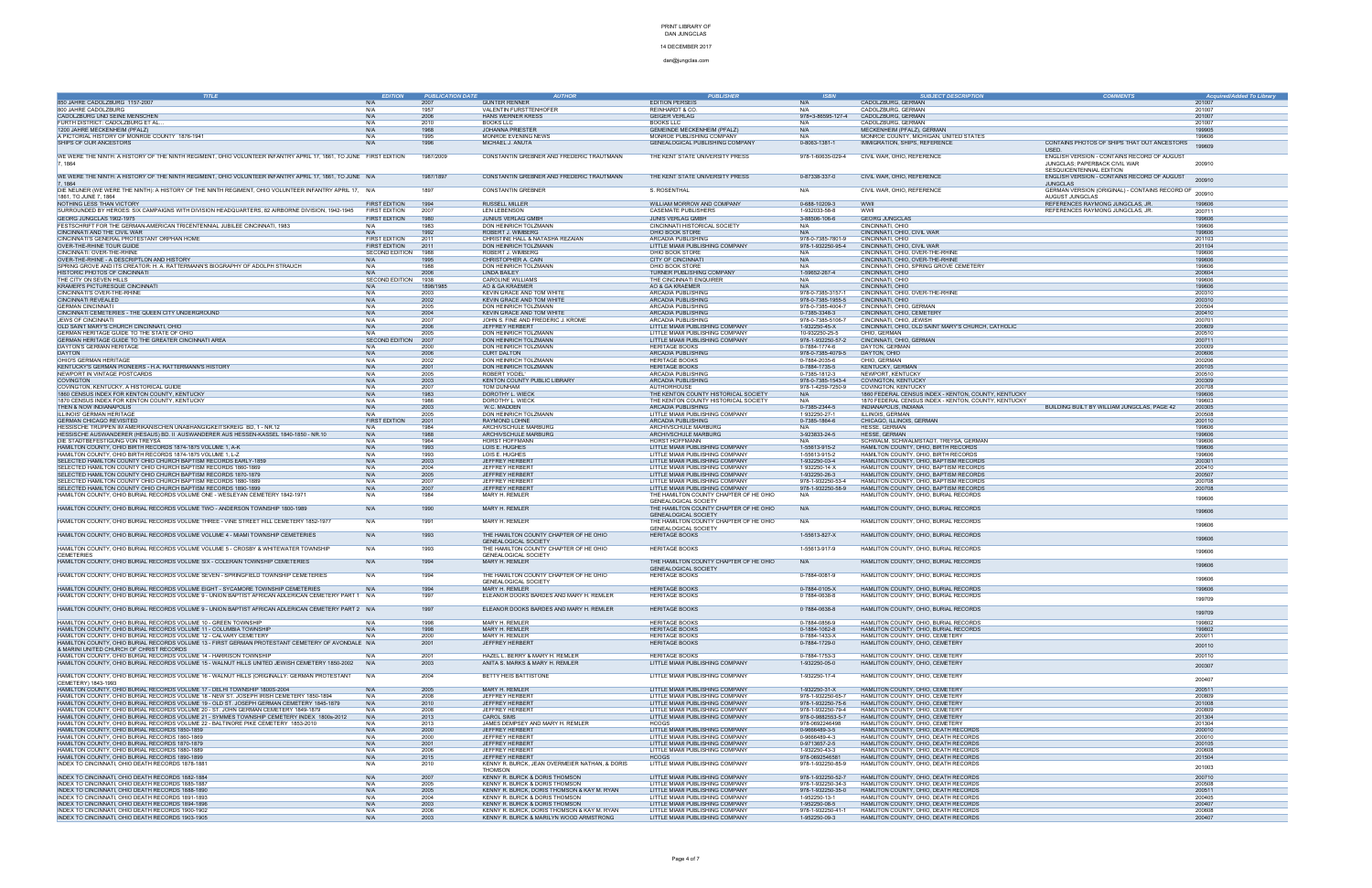### 14 DECEMBER 2017

| <b>TITLE</b>                                                                                                      | <b>EDITION</b>        | <b>PUBLICATION DATE</b> | <b>AUTHOR</b>                                        | <b>PUBLISHER</b>                       | <b>ISBN</b>         | <b>SUBJECT DESCRIPTION</b>                           | <b>COMMENTS</b>                                | <b>Acquired/Added To Library</b> |
|-------------------------------------------------------------------------------------------------------------------|-----------------------|-------------------------|------------------------------------------------------|----------------------------------------|---------------------|------------------------------------------------------|------------------------------------------------|----------------------------------|
| 850 JAHRE CADOLZBURG 1157-2007                                                                                    | N/A                   | 2007                    | <b>GÜNTER RENNER</b>                                 | <b>EDITION PERSEIS</b>                 | N/A                 | CADOLZBURG, GERMAN                                   |                                                | 201007                           |
| 800 JAHRE CADOLZBURG                                                                                              | N/A                   | 1957                    | VALENTIN FURSTTENHOFER                               | REINHARDT & CO.                        | N/A                 | CADOLZBURG, GERMAN                                   |                                                | 201007                           |
| CADOLZBURG UND SEINE MENSCHEN                                                                                     | N/A                   | 2006                    | HANS WERNER KRESS                                    | <b>GEIGER VERLAG</b>                   | 978=3-86595-127-4   | CADOLZBURG, GERMAN                                   |                                                | 201007                           |
| FURTH DISTRICT: CADOLZBURG ET AL.                                                                                 | N/A                   | 2010                    | <b>BOOKS LLC</b>                                     | <b>BOOKS LLC</b>                       | N/A                 | CADOLZBURG, GERMAN                                   |                                                | 201007                           |
| 1200 JAHRE MECKENHEIM (PFALZ)                                                                                     | N/A                   | 1968                    | <b>JOHANNA PRIESTER</b>                              | <b>GEMEINDE MECKENHEIM (PFALZ)</b>     | N/A                 | MECKENHEIM (PFALZ), GERMAN                           |                                                | 199905                           |
| A PICTORIAL HISTORY OF MONROE COUNTY 1876-1941                                                                    | N/A                   | 1995                    | MONROE EVENING NEWS                                  | MONROE PUBLISHING COMPANY              | N/A                 | MONROE COUNTY, MICHIGAN, UNITED STATES               |                                                | 199606                           |
| SHIPS OF OUR ANCESTORS                                                                                            | N/A                   | 1996                    | MICHAEL J. ANUTA                                     | GENEALOGICAL PUBLISHING COMPANY        | 0-8063-1381-1       | IMMIGRATION, SHIPS, REFERENCE                        | CONTAINS PHOTOS OF SHIPS THAT OUT ANCESTORS    | 199609                           |
|                                                                                                                   |                       |                         |                                                      |                                        |                     |                                                      |                                                |                                  |
| WE WERE THE NINTH: A HISTORY OF THE NINTH REGIMENT, OHIO VOLUNTEER INFANTRY APRIL 17, 1861, TO JUNE FIRST EDITION |                       | 1987/2009               | CONSTANTIN GREBNER AND FREDERIC TRAUTMANN            | THE KENT STATE UNIVERSITY PRESS        | 978-1-60635-029-4   | CIVIL WAR, OHIO, REFERENCE                           | ENGLISH VERSION - CONTAINS RECORD OF AUGUST    |                                  |
|                                                                                                                   |                       |                         |                                                      |                                        |                     |                                                      | JUNGCLAS; PAPERBACK CIVIL WAR                  | 200910                           |
|                                                                                                                   |                       |                         |                                                      |                                        |                     |                                                      | SESQUICENTENNIAL EDITION                       |                                  |
| WE WERE THE NINTH: A HISTORY OF THE NINTH REGIMENT, OHIO VOLUNTEER INFANTRY APRIL 17, 1861, TO JUNE N/A           |                       | 1987/1897               | CONSTANTIN GREBNER AND FREDERIC TRAUTMANN            | THE KENT STATE UNIVERSITY PRESS        | 0-87338-337-0       | CIVIL WAR, OHIO, REFERENCE                           | ENGLISH VERSION - CONTAINS RECORD OF AUGUST    | 200910                           |
|                                                                                                                   |                       |                         |                                                      |                                        |                     |                                                      | <b>JUNGCLAS</b>                                |                                  |
| DIE NEUNER (WE WERE THE NINTH): A HISTORY OF THE NINTH REGIMENT, OHIO VOLUNTEER INFANTRY APRIL 17, N/A            |                       | 1897                    | <b>CONSTANTIN GREBNER</b>                            | S. ROSENTHAL                           | N/A                 | CIVIL WAR, OHIO, REFERENCE                           | GERMAN VERSION (ORIGINAL) - CONTAINS RECORD OF | 200910                           |
| 1861, TO JUNE 7, 1864                                                                                             |                       |                         |                                                      |                                        |                     |                                                      | AUGUST JUNGCLAS                                |                                  |
| NOTHING LESS THAN VICTORY                                                                                         | <b>FIRST EDITION</b>  | 1994                    | <b>RUSSELL MILLER</b>                                | WILLIAM MORROW AND COMPANY             | 0-688-10209-3       | WWII                                                 | REFERENCES RAYMONG JUNGCLAS, JR.               | 199606                           |
| SURROUNDED BY HEROES: SIX CAMPAIGNS WITH DIVISION HEADQUARTERS, 82 AIRBORNE DIVISION, 1942-1945                   | <b>FIRST EDITION</b>  | 2007                    | <b>LEN LEBENSON</b>                                  | <b>CASEMATE PUBLISHERS</b>             | 1-932033-58-8       | <b>WWI</b>                                           | REFERENCES RAYMONG JUNGCLAS, JR.               | 200711                           |
| GEORG JUNGCLAS 1902-1975                                                                                          | <b>FIRST EDITION</b>  | 1980                    | <b>JUNIUS VERLAG GMBH</b>                            | JUNIS VERLAG GMBH                      | 3-88506-106-6       | <b>GEORG JUNGCLAS</b>                                |                                                | 199606                           |
| FESTSCHRIFT FOR THE GERMAN-AMERICAN TRICENTENNIAL JUBILEE CINCINNATI, 1983                                        | N/A                   | 1983                    | DON HEINRICH TOLZMANN                                | CINCINNATI HISTORICAL SOCIETY          | N/A                 | CINCINNATI, OHIO                                     |                                                | 199606                           |
| CINCINNATI AND THE CIVIL WAR                                                                                      | N/A                   | 1992                    | <b>ROBERT J. WIMBERG</b>                             | OHIO BOOK STORE                        |                     | CINCINNATI, OHIO, CIVIL WAR                          |                                                | 199606                           |
| CINCINNATI'S GENERAL PROTESTANT ORPHAN HOME                                                                       | <b>FIRST EDITION</b>  | 2011                    | CHRISTINE HALL & NATASHA REZAIAN                     | ARCADIA PUBLISHING                     | 978-0-7385-7801-9   | CINCINNATI, OHIO                                     |                                                | 201103                           |
| OVER-THE-RHINE TOUR GUIDE                                                                                         | <b>FIRST EDITION</b>  | 2011                    | DON HEINRICH TOLZMANN                                | LITTLE MIAMI PUBLISHING COMPANY        | 978-1-932250-95-4   | CINCINNATI, OHIO, CIVIL WAR                          |                                                | 201104                           |
| CINCINNATI: OVER-THE-RHINE                                                                                        | SECOND EDITION        | 1988                    | <b>ROBERT J. WIMBERG</b>                             | OHIO BOOK STORE                        | N/A                 | CINCINNATI, OHIO, OVER-THE-RHINE                     |                                                | 199606                           |
| OVER-THE-RHINE - A DESCRIPTLON AND HISTORY                                                                        | N/A                   | 1995                    | CHRISTOPHER A. CAIN                                  | <b>CITY OF CINCINNATI</b>              | N/A                 | CINCINNATI, OHIO, OVER-THE-RHINE                     |                                                | 199606                           |
| SPRING GROVE AND ITS CREATOR: H. A. RATTERMANN'S BIOGRAPHY OF ADOLPH STRAUCH                                      | N/A                   | 1988                    | DON HEINRICH TOLZMANN                                | OHIO BOOK STORE                        | N/A                 | CINCINNATI, OHIO, SPRING GROVE CEMETERY              |                                                | 199606                           |
| HISTORIC PHOTOS OF CINCINNATI                                                                                     | N/A                   | 2006                    | LINDA BAILEY                                         | TURNER PUBLISHING COMPANY              | 1-59652-267-4       | CINCINNATI, OHIO                                     |                                                | 200604                           |
| THE CITY ON SEVEN HILLS                                                                                           | <b>SECOND EDITION</b> | 1938                    | <b>CAROLINE WILLIAMS</b>                             | THE CINCINNATI ENQUIRER                | N/A                 | CINCINNATI, OHIO                                     |                                                | 199606                           |
| KRAMER'S PICTURESQUE CINCINNAT                                                                                    | N/A                   | 1898/1985               | AO & GA KRAEMER                                      | AO & GA KRAEMER                        |                     | CINCINNATI, OHIO                                     |                                                | 199606                           |
| CINCINNATI'S OVER-THE-RHINE                                                                                       | N/A                   | 2003                    | KEVIN GRACE AND TOM WHITI                            | ARCADIA PUBLISHING                     | 978-0-7385-3157-1   | CINCINNATI, OHIO, OVER-THE-RHINE                     |                                                | 200310                           |
| CINCINNATI REVEALED                                                                                               | N/A                   | 2002                    | <b>KEVIN GRACE AND TOM WHITE</b>                     | <b>ARCADIA PUBLISHING</b>              | 978-0-7385-1955-5   | CINCINNATI, OHIO                                     |                                                | 200310                           |
| <b>GERMAN CINCINNAT</b>                                                                                           | N/A                   | 2005                    | DON HEINRICH TOLZMANN                                | ARCADIA PUBLISHING                     | 978-0-7385-4004-7   | CINCINNATI, OHIO, GERMAN                             |                                                | 200504                           |
| CINCINNATI CEMETERIES - THE QUEEN CITY UNDERGROUND                                                                | N/A                   | 2004                    | KEVIN GRACE AND TOM WHITE                            | ARCADIA PUBLISHING                     | 0-7385-3348-3       | CINCINNATI, OHIO, CEMETERY                           |                                                | 200410                           |
| <b>JEWS OF CINCINNATI</b>                                                                                         | N/A                   | 2007                    | JOHN S. FINE AND FREDERIC J. KROME                   | ARCADIA PUBLISHING                     | 978-0-7385-5106-7   | CINCINNATI, OHIO, JEWISH                             |                                                | 200701                           |
| OLD SAINT MARY'S CHURCH CINCINNATI, OHIO                                                                          | N/A                   | 2006                    | JEFFREY HERBERT                                      | LITTLE MIAMI PUBLISHING COMPANY        | 1-932250-45-X       | CINCINNATI, OHIO, OLD SAINT MARY'S CHURCH, CATHOLIC  |                                                | 200609                           |
| GERMAN HERITAGE GUIDE TO THE STATE OF OHIO                                                                        | N/A                   | 2005                    | <b>DON HEINRICH TOLZMANN</b>                         | LITTLE MIAMI PUBLISHING COMPANY        | 10-932250-25-5      | OHIO. GERMAN                                         |                                                | 200510                           |
| GERMAN HERITAGE GUIDE TO THE GREATER CINCINNATI AREA                                                              | <b>SECOND EDITION</b> | 2007                    | DON HEINRICH TOLZMANN                                | LITTLE MIAMI PUBLISHING COMPANY        | 978-1-932250-57-2   | CINCINNATI, OHIO, GERMAN                             |                                                | 200711                           |
| DAYTON'S GERMAN HERITAGE                                                                                          | N/A                   | 2000                    | <b>DON HEINRICH TOLZMANN</b>                         | <b>HERITAGE BOOKS</b>                  | 0-7884-1774-6       | DAYTON, GERMAN                                       |                                                | 200009                           |
| DAYTON                                                                                                            | N/A                   | 2006                    | <b>CURT DALTON</b>                                   | <b>ARCADIA PUBLISHING</b>              | 978-0-7385-4079-5   | DAYTON, OHIO                                         |                                                | 200606                           |
| OHIO'S GERMAN HERITAGE                                                                                            | N/A                   | 2002                    | DON HEINRICH TOLZMANN                                | <b>HERITAGE BOOKS</b>                  | 0-7884-2035-6       | OHIO, GERMAN                                         |                                                | 200206                           |
| KENTUCKY'S GERMAN PIONEERS - H.A. RATTERMANN'S HISTORY                                                            | N/A                   | 2001                    | DON HEINRICH TOLZMANN                                | <b>HERITAGE BOOKS</b>                  | 0-7884-1735-5       | <b>KENTUCKY, GERMAN</b>                              |                                                | 200105                           |
| NEWPORT IN VINTAGE POSTCARDS                                                                                      | N/A                   | 2005                    | ROBERT YODEL                                         | ARCADIA PUBLISHING                     | 0-7385-1812-3       | NEWPORT, KENTUCKY                                    |                                                | 200510                           |
| <b>COVINGTON</b>                                                                                                  | N/A                   | 2003                    | KENTON COUNTY PUBLIC LIBRARY                         | <b>ARCADIA PUBLISHING</b>              | 978-0-7385-1543-4   | <b>COVINGTON, KENTUCKY</b>                           |                                                | 200309                           |
| COVINGTON, KENTUCKY, A HISTORICAL GUIDE                                                                           | N/A                   | 2007                    | TOM DUNHAM                                           | AUTHORHOUSE                            | 978-1-4259-7250-9   | COVINGTON, KENTUCKY                                  |                                                | 200708                           |
| 1860 CENSUS INDEX FOR KENTON COUNTY, KENTUCKY                                                                     | N/A                   | 1983                    | DOROTHY L. WIECK                                     | THE KENTON COUNTY HISTORICAL SOCIETY   |                     | 1860 FEDERAL CENSUS INDEX - KENTON, COUNTY, KENTUCKY |                                                | 199606                           |
| 1870 CENSUS INDEX FOR KENTON COUNTY, KENTUCKY                                                                     | N/A                   | 1986                    | DOROTHY L. WIECK                                     | THE KENTON COUNTY HISTORICAL SOCIETY   | N/A                 | 1870 FEDERAL CENSUS INDEX - KENTON, COUNTY, KENTUCKY |                                                | 199603                           |
| THEN & NOW INDIANAPOLIS                                                                                           | N/A                   | 2003                    | W.C. MADDEN                                          | ARCADIA PUBLISHING                     | 0-7385-2344-5       | INDIANAPOLIS, INDIANA                                | BUILDING BUILT BY WILLIAM JUNGCLAS, PAGE 42    | 200305                           |
| ILLINOIS' GERMAN HERITAGE                                                                                         | N/A                   | 2005                    | DON HEINRICH TOLZMANN                                | LITTLE MIAMI PUBLISHING COMPANY        | 1.932250-27-1       | ILLINOIS, GERMAN                                     |                                                | 200508                           |
| <b>GERMAN CHICAGO REVISITED</b>                                                                                   | <b>FIRST EDITION</b>  | 2001                    | <b>RAYMOND LOHNE</b>                                 | ARCADIA PUBLISHING                     | 0-7385-1864-6       | CHICAGO, ILLINOIS, GERMAN                            |                                                | 200110                           |
| HESSISCHE TRUPPEN IM AMERIKANISCHEN UNABHANGIGKEITSKREIG BD, 1 - NR.12                                            | N/A                   | 1984                    | ARCHIVSCHULE MARBURG                                 | ARCHIVSCHULE MARBURG                   | N/A                 | <b>HESSE, GERMAN</b>                                 |                                                | 199606                           |
| HESSISCHE AUSWANDERER (HESAUS) BD. II AUSWANDERER AUS HESSEN-KASSEL 1840-1850 - NR.10                             | N/A                   | 1988                    | ARCHIVSCHULE MARBURG                                 | ARCHIVSCHULE MARBURG                   | 3-923833-24-5       | HESSE, GERMAN                                        |                                                | 199606                           |
| DIE STADTBEFESTIGUNG VON TREYSA                                                                                   | N/A                   | 1964                    | <b>HORST HOFFMANN</b>                                | HORST HOFFMANN                         |                     | SCHWALM, SCHWALMSTADT, TREYSA, GERMAN                |                                                | 199606                           |
| HAMILTON COUNTY, OHIO BIRTH RECORDS 1874-1875 VOLUME 1, A-K                                                       | N/A                   | 1993                    | LOIS E. HUGHES                                       | LITTLE MIAMI PUBLISHING COMPANY        | 1-55613-915-2       | HAMILTON COUNTY, OHIO, BIRTH RECORDS                 |                                                | 199606                           |
| HAMILTON COUNTY, OHIO BIRTH RECORDS 1874-1875 VOLUME 1, L-Z                                                       | N/A                   | 1993                    | LOIS E. HUGHES                                       | LITTLE MIAMI PUBLISHING COMPANY        | 1-55613-915-2       | HAMILTON COUNTY, OHIO, BIRTH RECORDS                 |                                                | 199606                           |
| SELECTED HAMILTON COUNTY OHIO CHURCH BAPTISM RECORDS EARLY-1859                                                   | N/A                   | 2003                    | <b>JEFFREY HERBERT</b>                               | LITTLE MIAMI PUBLISHING COMPANY        | 1-932250-03-4       | HAMLITON COUNTY, OHIO, BAPTISM RECORDS               |                                                | 200301                           |
| SELECTED HAMILTON COUNTY OHIO CHURCH BAPTISM RECORDS 1860-1869                                                    | N/A                   | 2004                    | <b>JEFFREY HERBERT</b>                               | LITTLE MIAMI PUBLISHING COMPANY        | $1.932250 - 14. X$  | HAMLITON COUNTY, OHIO, BAPTISM RECORDS               |                                                | 200410                           |
| SELECTED HAMILTON COUNTY OHIO CHURCH BAPTISM RECORDS 1870-1879                                                    | N/A                   | 2005                    | <b>JEFFREY HERBERT</b>                               | LITTLE MIAMI PUBLISHING COMPANY        | 1-932250-26-3       | HAMLITON COUNTY, OHIO, BAPTISM RECORDS               |                                                | 200507                           |
| SELECTED HAMILTON COUNTY OHIO CHURCH BAPTISM RECORDS 1880-1889                                                    | N/A                   | 2007                    | <b>JEFFREY HERBERT</b>                               | LITTLE MIAMI PUBLISHING COMPANY        | 978-1-932250-53-4   | HAMLITON COUNTY, OHIO, BAPTISM RECORDS               |                                                | 200708                           |
| SELECTED HAMILTON COUNTY OHIO CHURCH BAPTISM RECORDS 1890-1899                                                    | N/A                   | 2007                    | <b>JEFFREY HERBERT</b>                               | LITTLE MIAMI PUBLISHING COMPANY        | 978-1-932250-58-9   | HAMLITON COUNTY, OHIO, BAPTISM RECORDS               |                                                | 200708                           |
| HAMILTON COUNTY, OHIO BURIAL RECORDS VOLUME ONE - WESLEYAN CEMETERY 1842-1971                                     | N/A                   | 1984                    | MARY H. REMLER                                       | THE HAMILTON COUNTY CHAPTER OF HE OHIO | N/A                 | HAMLITON COUNTY, OHIO, BURIAL RECORDS                |                                                | 199606                           |
|                                                                                                                   |                       |                         |                                                      | <b>GENEALOGICAL SOCIETY</b>            |                     |                                                      |                                                |                                  |
| HAMILTON COUNTY, OHIO BURIAL RECORDS VOLUME TWO - ANDERSON TOWNSHIP 1800-1989                                     | N/A                   | 1990                    | <b>MARY H. REMLER</b>                                | THE HAMILTON COUNTY CHAPTER OF HE OHIO | N/A                 | HAMLITON COUNTY, OHIO, BURIAL RECORDS                |                                                | 199606                           |
|                                                                                                                   |                       |                         |                                                      | <b>GENEALOGICAL SOCIETY</b>            |                     |                                                      |                                                |                                  |
| HAMILTON COUNTY, OHIO BURIAL RECORDS VOLUME THREE - VINE STREET HILL CEMETERY 1852-1977                           | N/A                   | 1991                    | <b>MARY H. REMLER</b>                                | THE HAMILTON COUNTY CHAPTER OF HE OHIO | N/A                 | HAMLITON COUNTY, OHIO, BURIAL RECORDS                |                                                | 199606                           |
|                                                                                                                   |                       |                         |                                                      | <b>GENEALOGICAL SOCIETY</b>            |                     |                                                      |                                                |                                  |
| HAMILTON COUNTY, OHIO BURIAL RECORDS VOLUME VOLUME 4 - MIAMI TOWNSHIP CEMETERIES                                  | N/A                   | 1993                    | THE HAMILTON COUNTY CHAPTER OF HE OHIO               | <b>HERITAGE BOOKS</b>                  | 1-55613-827-X       | HAMLITON COUNTY, OHIO, BURIAL RECORDS                |                                                | 199606                           |
|                                                                                                                   |                       |                         | <b>GENEALOGICAL SOCIETY</b>                          |                                        |                     |                                                      |                                                |                                  |
| HAMILTON COUNTY, OHIO BURIAL RECORDS VOLUME VOLUME 5 - CROSBY & WHITEWATER TOWNSHIP                               | N/A                   | 1993                    | THE HAMILTON COUNTY CHAPTER OF HE OHIO               | <b>HERITAGE BOOKS</b>                  | 1-55613-917-9       | HAMLITON COUNTY, OHIO, BURIAL RECORDS                |                                                | 199606                           |
| <b>CEMETERIES</b>                                                                                                 |                       |                         | GENEALOGICAL SOCIETY                                 |                                        |                     |                                                      |                                                |                                  |
| HAMILTON COUNTY, OHIO BURIAL RECORDS VOLUME SIX - COLERAIN TOWNSHIP CEMETERIES                                    | N/A                   | 1994                    | MARY H. REMLER                                       | THE HAMILTON COUNTY CHAPTER OF HE OHIO | N/A                 | HAMLITON COUNTY, OHIO, BURIAL RECORDS                |                                                | 199606                           |
|                                                                                                                   |                       |                         |                                                      | <b>GENEALOGICAL SOCIETY</b>            |                     |                                                      |                                                |                                  |
| HAMILTON COUNTY, OHIO BURIAL RECORDS VOLUME SEVEN - SPRINGFIELD TOWNSHIP CEMETERIES                               | N/A                   | 1994                    | THE HAMILTON COUNTY CHAPTER OF HE OHIO               | <b>HERITAGE BOOKS</b>                  | 0-7884-0081-9       | HAMLITON COUNTY, OHIO, BURIAL RECORDS                |                                                | 199606                           |
| HAMILTON COUNTY, OHIO BURIAL RECORDS VOLUME EIGHT - SYCAMORE TOWNSHIP CEMETERIES                                  | N/A                   | 1994                    | <b>GENEALOGICAL SOCIETY</b><br><b>MARY H. REMLER</b> | <b>HERITAGE BOOKS</b>                  | 0-7884-0105-X       | HAMLITON COUNTY, OHIO, BURIAL RECORDS                |                                                |                                  |
|                                                                                                                   |                       |                         |                                                      | <b>HERITAGE BOOKS</b>                  |                     |                                                      |                                                |                                  |
| HAMILTON COUNTY, OHIO BURIAL RECORDS VOLUME 9 - UNION BAPTIST AFRICAN ADLERICAN CEMETERY PART 1 N/A               |                       |                         | ELEANOR DOOKS BARDES AND MARY H. REMLER              |                                        | $0.7884 - 0638 - 8$ | HAMLITON COUNTY, OHIO, BURIAL RECORDS                |                                                | 199709                           |
| HAMILTON COUNTY, OHIO BURIAL RECORDS VOLUME 9 - UNION BAPTIST AFRICAN ADLERICAN CEMETERY PART 2 N/A               |                       | 1997                    | ELEANOR DOOKS BARDES AND MARY H. REMLER              | <b>HERITAGE BOOKS</b>                  | $0.7884 - 0638 - 8$ | HAMLITON COUNTY, OHIO, BURIAL RECORDS                |                                                |                                  |
|                                                                                                                   |                       |                         |                                                      |                                        |                     |                                                      |                                                | 199709                           |
| HAMILTON COUNTY, OHIO BURIAL RECORDS VOLUME 10 - GREEN TOWNSHIP                                                   | N/A                   | 1998                    | MARY H. REMLER                                       | <b>HERITAGE BOOKS</b>                  | 0-7884-0856-9       | HAMLITON COUNTY, OHIO, BURIAL RECORDS                |                                                | 199802                           |
| HAMILTON COUNTY, OHIO BURIAL RECORDS VOLUME 11 - COLUMBIA TOWNSHIP                                                | N/A                   | 1998                    | <b>MARY H. REMLER</b>                                | <b>HERITAGE BOOKS</b>                  | 0-1884-1062-8       | HAMLITON COUNTY, OHIO, BURIAL RECORDS                |                                                | 199802                           |
| HAMILTON COUNTY, OHIO BURIAL RECORDS VOLUME 12 - CALVARY CEMETERY                                                 | N/A                   | 2000                    | MARY H. REMLER                                       | <b>HERITAGE BOOKS</b>                  | 0-7884-1433-X       | HAMLITON COUNTY, OHIO, CEMETERY                      |                                                | 200011                           |
| HAMILTON COUNTY, OHIO BURIAL RECORDS VOLUME 13 - FIRST GERMAN PROTESTANT CEMETERY OF AVONDALE N/A                 |                       | 2001                    | JEFFREY HERBERT                                      | <b>HERITAGE BOOKS</b>                  | 0-7884-1729-0       | HAMLITON COUNTY, OHIO, CEMETERY                      |                                                |                                  |
| & MARINI UNITED CHURCH OF CHRIST RECORDS                                                                          |                       |                         |                                                      |                                        |                     |                                                      |                                                | 200110                           |
| HAMILTON COUNTY, OHIO BURIAL RECORDS VOLUME 14 - HARRISON TOWNSHIP                                                | N/A                   | 2001                    | HAZEL L. BERRY & MARY H. REMLER                      | <b>HERITAGE BOOKS</b>                  | 0-7884-1753-3       | HAMLITON COUNTY, OHIO, CEMETERY                      |                                                | 200110                           |
| HAMILTON COUNTY, OHIO BURIAL RECORDS VOLUME 15 - WALNUT HILLS UNITED JEWISH CEMETERY 1850-2002                    | N/A                   | 2003                    | ANITA S. MARKS & MARY H. REMLER                      | LITTLE MIAMI PUBLISHING COMPANY        | 1-932250-05-0       | HAMLITON COUNTY, OHIO, CEMETERY                      |                                                |                                  |
|                                                                                                                   |                       |                         |                                                      |                                        |                     |                                                      |                                                | 200307                           |
| HAMILTON COUNTY, OHIO BURIAL RECORDS VOLUME 16 - WALNUT HILLS (ORIGINALLY: GERMAN PROTESTANT                      | N/A                   | 2004                    | BETTY HEIS BATTISTONE                                | LITTLE MIAMI PUBLISHING COMPANY        | 1-932250-17-4       | HAMLITON COUNTY, OHIO, CEMETERY                      |                                                |                                  |
| CEMETERY) 1843-1993                                                                                               |                       |                         |                                                      |                                        |                     |                                                      |                                                | 200407                           |
| HAMILTON COUNTY, OHIO BURIAL RECORDS VOLUME 17 - DELHI TOWNSHIP 1800S-2004                                        | N/A                   | 2005                    | <b>MARY H. REMLER</b>                                | LITTLE MIAMI PUBLISHING COMPANY        | 1-932250-31-X       | HAMLITON COUNTY, OHIO, CEMETERY                      |                                                | 200511                           |
| HAMILTON COUNTY, OHIO BURIAL RECORDS VOLUME 18 - NEW ST. JOSEPH IRISH CEMETERY 1850-1894                          | N/A                   | 2008                    | <b>JEFFREY HERBERT</b>                               | LITTLE MIAMI PUBLISHING COMPANY        | 978-1-932250-65-7   | HAMLITON COUNTY, OHIO, CEMETERY                      |                                                | 200809                           |
| HAMILTON COUNTY, OHIO BURIAL RECORDS VOLUME 19 - OLD ST. JOSEPH GERMAN CEMETERY 1845-1879                         | N/A                   | 2010                    | <b>JEFFREY HERBERT</b>                               | LITTLE MIAMI PUBLISHING COMPANY        | 978-1-932250-75-6   | HAMLITON COUNTY, OHIO, CEMETERY                      |                                                | 201008                           |
| HAMILTON COUNTY, OHIO BURIAL RECORDS VOLUME 20 - ST. JOHN GERMAN CEMETERY 1849-1879                               | N/A                   | 2008                    | JEFFREY HERBERT                                      | LITTLE MIAMI PUBLISHING COMPANY        | 978-1-932250-79-4   | HAMLITON COUNTY, OHIO, CEMETERY                      |                                                | 200809                           |
| HAMILTON COUNTY, OHIO BURIAL RECORDS VOLUME 21 - SYMMES TOWNSHIP CEMETERY INDEX 1800s-2012                        | N/A                   | 2013                    | <b>CAROL SIMS</b>                                    | LITTLE MIAMI PUBLISHING COMPANY        | 978-0-9882553-5-7   | HAMLITON COUNTY, OHIO, CEMETERY                      |                                                | 201304                           |
| HAMILTON COUNTY, OHIO BURIAL RECORDS VOLUME 22 - BALTINORE PIKE CEMETERY 1853-2010                                | N/A                   | 2013                    | JAMES DEMPSEY AND MARY H. REMLER                     | <b>HCOGS</b>                           | 978-0692246498      | HAMLITON COUNTY, OHIO, CEMETERY                      |                                                | 201304                           |
| HAMILTON COUNTY, OHIO BURIAL RECORDS 1850-1859                                                                    | N/A                   | 2000                    | JEFFREY HERBERT                                      | LITTLE MIAMI PUBLISHING COMPANY        | 0-9666489-3-5       | HAMLITON COUNTY, OHIO, DEATH RECORDS                 |                                                | 200010                           |
| HAMILTON COUNTY, OHIO BURIAL RECORDS 1860-1869                                                                    | N/A                   | 2000                    | <b>JEFFREY HERBERT</b>                               | LITTLE MIAMI PUBLISHING COMPANY        | 0-9666489-4-3       | HAMLITON COUNTY, OHIO, DEATH RECORDS                 |                                                | 200010                           |
| HAMILTON COUNTY, OHIO BURIAL RECORDS 1870-1879                                                                    | N/A                   | 2001                    | <b>JEFFREY HERBERT</b>                               | LITTLE MIAMI PUBLISHING COMPANY        | 0-9713657-2-5       | HAMLITON COUNTY, OHIO, DEATH RECORDS                 |                                                | 200105                           |
| HAMILTON COUNTY, OHIO BURIAL RECORDS 1880-1889                                                                    | N/A                   | 2006                    | <b>JEFFREY HERBERT</b>                               | LITTLE MIAMI PUBLISHING COMPANY        | 1-932250-43-3       | HAMLITON COUNTY, OHIO, DEATH RECORDS                 |                                                | 200608                           |
| HAMILTON COUNTY, OHIO BURIAL RECORDS 1890-1899                                                                    | N/A                   | 2015                    | <b>JEFFREY HERBERT</b>                               | <b>HCOGS</b>                           | 978-0692546581      | HAMLITON COUNTY, OHIO, DEATH RECORDS                 |                                                | 201504                           |
| INDEX TO CINCINNATI, OHIO DEATH RECORDS 1878-1881                                                                 | N/A                   | 2010                    | KENNY R. BURCK, JEAN OVERMEIER NATHAN, & DORIS       | LITTLE MIAMI PUBLISHING COMPANY        | 978-1-932250-85-9   | HAMLITON COUNTY, OHIO, DEATH RECORDS                 |                                                |                                  |
|                                                                                                                   |                       |                         | <b>THOMSON</b>                                       |                                        |                     |                                                      |                                                | 201003                           |
| INDEX TO CINCINNATI, OHIO DEATH RECORDS 1882-1884                                                                 | N/A                   | 2007                    | KENNY R. BURCK & DORIS THOMSON                       | LITTLE MIAMI PUBLISHING COMPANY        | 978-1-932250-52-7   | HAMLITON COUNTY, OHIO, DEATH RECORDS                 |                                                | 200710                           |
| INDEX TO CINCINNATI, OHIO DEATH RECORDS 1885-1887                                                                 | N/A                   | 2005                    | KENNY R. BURCK & DORIS THOMSON                       | LITTLE MIAMI PUBLISHING COMPANY        | 978-1-932250-34-3   | HAMLITON COUNTY, OHIO, DEATH RECORDS                 |                                                | 200508                           |
| INDEX TO CINCINNATI, OHIO DEATH RECORDS 1888-1890                                                                 | N/A                   | 2005                    | KENNY R. BURCK, DORIS THOMSON & KAY M. RYAN          | LITTLE MIAMI PUBLISHING COMPANY        | 978-1-932250-35-0   | HAMLITON COUNTY, OHIO, DEATH RECORDS                 |                                                | 200511                           |
| INDEX TO CINCINNATI, OHIO DEATH RECORDS 1891-1893                                                                 | N/A                   | 2004                    | KENNY R. BURCK & DORIS THOMSON                       | LITTLE MIAMI PUBLISHING COMPANY        | 1-952250-13-1       | HAMLITON COUNTY, OHIO, DEATH RECORDS                 |                                                | 200405                           |
| INDEX TO CINCINNATI, OHIO DEATH RECORDS 1894-1896                                                                 | N/A                   | 2003                    | KENNY R. BURCK & DORIS THOMSON                       | LITTLE MIAMI PUBLISHING COMPANY        | 1-952250-08-5       | HAMLITON COUNTY, OHIO, DEATH RECORDS                 |                                                | 200407                           |
| INDEX TO CINCINNATI, OHIO DEATH RECORDS 1900-1902                                                                 | N/A                   | 2006                    | KENNY R. BURCK, DORIS THOMSON & KAY M. RYAN          | LITTLE MIAMI PUBLISHING COMPANY        | 978-1-932250-41-1   | HAMLITON COUNTY, OHIO, DEATH RECORDS                 |                                                | 200608                           |
| INDEX TO CINCINNATI, OHIO DEATH RECORDS 1903-1905                                                                 | N/A                   | 2003                    | KENNY R. BURCK & MARILYN WOOD ARMSTRONG              | LITTLE MIAMI PUBLISHING COMPANY        | 1-952250-09-3       | HAMLITON COUNTY, OHIO, DEATH RECORDS                 |                                                | 200407                           |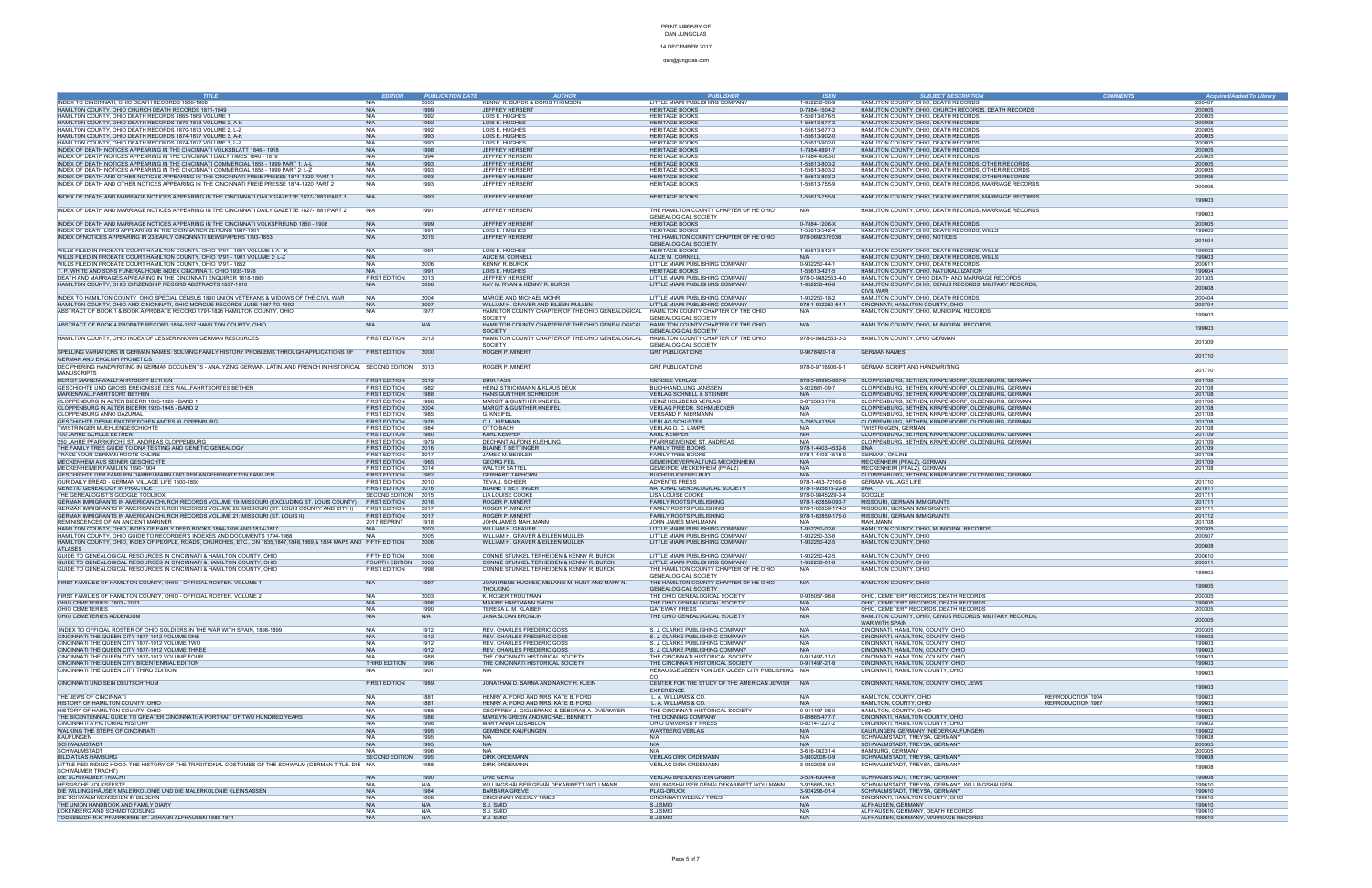### 14 DECEMBER 2017

| <b>TITLE</b>                                                                                                                             | <b>EDITION</b>                        | <b>PUBLICATION DATE</b> | <b>AUTHOR</b>                                                   | <b>PUBLISHER</b>                                                     | <b>ISBN</b>                        | <b>SUBJECT DESCRIPTION</b>                                                                                  | <b>COMMENTS</b> | <b>Acquired/Added To Library</b> |
|------------------------------------------------------------------------------------------------------------------------------------------|---------------------------------------|-------------------------|-----------------------------------------------------------------|----------------------------------------------------------------------|------------------------------------|-------------------------------------------------------------------------------------------------------------|-----------------|----------------------------------|
| INDEX TO CINCINNATI, OHIO DEATH RECORDS 1906-1908                                                                                        | N/A                                   | 2003                    | KENNY R. BURCK & DORIS THOMSON                                  | LITTLE MIAMI PUBLISHING COMPANY                                      | 1-952250-06-9                      | HAMLITON COUNTY, OHIO, DEATH RECORDS                                                                        |                 | 200407                           |
| HAMILTON COUNTY, OHIO CHURCH DEATH RECORDS 1811-1849                                                                                     | N/A                                   | 1999                    | JEFFREY HERBERT                                                 | <b>HERITAGE BOOKS</b>                                                | 0-7884-1504-2                      | HAMLITON COUNTY, OHIO, CHURCH RECORDS, DEATH RECORDS                                                        |                 | 200005                           |
| HAMILTON COUNTY, OHIO DEATH RECORDS 1865-1869 VOLUME 1                                                                                   | N/A                                   | 1992                    | LOIS E. HUGHES                                                  | <b>HERITAGE BOOKS</b>                                                | 1-55613-676-5                      | HAMLITON COUNTY, OHIO, DEATH RECORDS                                                                        |                 | 200005                           |
| HAMILTON COUNTY, OHIO DEATH RECORDS 1870-1873 VOLUME 2, A-K                                                                              | N/A                                   | 1992                    | LOIS E. HUGHES                                                  | <b>HERITAGE BOOKS</b>                                                | 1-55613-677-3                      | HAMLITON COUNTY, OHIO, DEATH RECORDS                                                                        |                 | 200005                           |
| HAMILTON COUNTY, OHIO DEATH RECORDS 1870-1873 VOLUME 2, L-Z                                                                              | N/A                                   | 1992                    | LOIS E. HUGHES                                                  | <b>HERITAGE BOOKS</b>                                                | 1-55613-677-3                      | HAMLITON COUNTY, OHIO, DEATH RECORDS                                                                        |                 | 200005                           |
| HAMILTON COUNTY, OHIO DEATH RECORDS 1874-1877 VOLUME 3, A-K                                                                              | N/A                                   | 1993                    | LOIS E. HUGHES                                                  | <b>HERITAGE BOOKS</b>                                                | 1-55613-902-0                      | HAMLITON COUNTY, OHIO, DEATH RECORDS                                                                        |                 | 200005                           |
| HAMILTON COUNTY, OHIO DEATH RECORDS 1874-1877 VOLUME 3, L-Z<br>INDEX OF DEATH NOTICES APPEARING IN THE CINCINNATI VOLKSBLATT 1846 - 1918 | N/A<br>N/A                            | 1993<br>1998            | LOIS E. HUGHES<br>JEFFREY HERBERT                               | <b>HERITAGE BOOKS</b><br><b>HERITAGE BOOKS</b>                       | 1-55613-902-0<br>1-7884-0891-7     | HAMLITON COUNTY, OHIO, DEATH RECORDS<br>HAMLITON COUNTY, OHIO, DEATH RECORDS                                |                 | 200005<br>200005                 |
| INDEX OF DEATH NOTICES APPEARING IN THE CINCINNATI DAILY TIMES 1840 - 1879                                                               | N/A                                   | 1994                    | JEFFREY HERBERT                                                 | <b>HERITAGE BOOKS</b>                                                | 0-7884-0063-0                      | HAMLITON COUNTY, OHIO, DEATH RECORDS                                                                        |                 | 200005                           |
| INDEX OF DEATH NOTICES APPEARING IN THE CINCINNATI COMMERCIAL 1858 - 1899 PART 1: A-L                                                    | N/A                                   | 1993                    | JEFFREY HERBERT                                                 | <b>HERITAGE BOOKS</b>                                                | 1-55613-803-2                      | HAMLITON COUNTY, OHIO, DEATH RECORDS, OTHER RECORDS                                                         |                 | 200005                           |
| INDEX OF DEATH NOTICES APPEARING IN THE CINCINNATI COMMERCIAL 1858 - 1899 PART 2: L-Z                                                    | N/A                                   | 1993                    | JEFFREY HERBERT                                                 | <b>HERITAGE BOOKS</b>                                                | 1-55613-803-2                      | HAMLITON COUNTY, OHIO, DEATH RECORDS, OTHER RECORDS                                                         |                 | 200005                           |
| INDEX OF DEATH AND OTHER NOTICES APPEARING IN THE CINCINNATI FREIE PRESSE 1874-1920 PART 1                                               | N/A                                   | 1993                    | JEFFREY HERBERT                                                 | <b>HERITAGE BOOKS</b>                                                | 1-55613-803-2                      | HAMLITON COUNTY, OHIO, DEATH RECORDS, OTHER RECORDS                                                         |                 | 200005                           |
| INDEX OF DEATH AND OTHER NOTICES APPEARING IN THE CINCINNATI FREIE PRESSE 1874-1920 PART 2                                               | N/A                                   | 1993                    | JEFFREY HERBERT                                                 | <b>HERITAGE BOOKS</b>                                                | 1-55613-755-9                      | HAMLITON COUNTY, OHIO, DEATH RECORDS, MARRIAGE RECORDS                                                      |                 | 200005                           |
|                                                                                                                                          |                                       |                         |                                                                 |                                                                      |                                    |                                                                                                             |                 |                                  |
| INDEX OF DEATH AND MARRIAGE NOTICES APPEARING IN THE CINCINNATI DAILY GAZETTE 1827-1881 PART 1                                           | N/A                                   | 1993                    | JEFFREY HERBERT                                                 | <b>HERITAGE BOOKS</b>                                                | 1-55613-755-9                      | HAMLITON COUNTY, OHIO, DEATH RECORDS, MARRIAGE RECORDS                                                      |                 | 199603                           |
| INDEX OF DEATH AND MARRIAGE NOTICES APPEARING IN THE CINCINNATI DAILY GAZETTE 1827-1881 PART 2                                           |                                       |                         |                                                                 |                                                                      |                                    |                                                                                                             |                 |                                  |
|                                                                                                                                          | N/A                                   | 1991                    | JEFFREY HERBERT                                                 | THE HAMILTON COUNTY CHAPTER OF HE OHIO<br>GENEALOGICAL SOCIETY       | N/A                                | HAMLITON COUNTY, OHIO, DEATH RECORDS, MARRIAGE RECORDS                                                      |                 | 199603                           |
| INDEX OF DEATH AND MARRIAGE NOTICES APPEARING IN THE CINCINNATI VOLKSFREUND 1850 - 1908                                                  | N/A                                   | 1999                    | JEFFREY HERBERT                                                 | <b>HERITAGE BOOKS</b>                                                | 0-7884-1206-X                      | HAMLITON COUNTY, OHIO, DEATH RECORDS                                                                        |                 | 200005                           |
| INDEX OF DEATH LISTS APPEARING IN THE CICINNATIER ZEITUNG 1887-1901                                                                      | N/A                                   | 1991                    | LOIS E. HUGHES                                                  | <b>HERITAGE BOOKS</b>                                                | 1-55613-542-4                      | HAMLITON COUNTY, OHIO, DEATH RECORDS, WILLS                                                                 |                 | 199603                           |
| INDEX OFNOTICES APPEARING IN 23 EARLY CINCINNATI NEWSPAPERS 1793-1853                                                                    | N/A                                   | 2015                    | JEFFREY HERBERT                                                 | THE HAMILTON COUNTY CHAPTER OF HE OHIO                               | 978-0692378038                     | HAMLITON COUNTY, OHIO, NOTICES                                                                              |                 |                                  |
|                                                                                                                                          |                                       |                         |                                                                 | GENEALOGICAL SOCIETY                                                 |                                    |                                                                                                             |                 | 201504                           |
| WILLS FILED IN PROBATE COURT HAMILTON COUNTY, OHIO 1791 - 1901 VOLUME I: A - K                                                           | N/A                                   | 1991                    | LOIS E. HUGHES                                                  | <b>HERITAGE BOOKS</b>                                                | 1-55613-542-4                      | HAMLITON COUNTY, OHIO, DEATH RECORDS, WILLS                                                                 |                 | 199603                           |
| WILLS FILED IN PROBATE COURT HAMILTON COUNTY, OHIO 1791 - 1901 VOLUME 2: L-Z                                                             | N/A                                   |                         | ALICE M. CORNELL                                                | ALICE M. CORNELL                                                     | N/A                                | HAMLITON COUNTY, OHIO, DEATH RECORDS, WILLS                                                                 |                 | 199603                           |
| WILLS FILED IN PROBATE COURT HAMILTON COUNTY, OHIO 1791 - 1852                                                                           | N/A                                   | 2006                    | <b>KENNY R. BURCK</b>                                           | LITTLE MIAMI PUBLISHING COMPANY                                      | 0-932250-44-1                      | HAMLITON COUNTY, OHIO, DEATH RECORDS                                                                        |                 | 200611                           |
| T. P. WHITE AND SONS FUNERAL HOME INDEX CINCINNATI, OHIO 1935-1976                                                                       | N/A                                   | 1991                    | LOIS E. HUGHES                                                  | <b>HERITAGE BOOKS</b>                                                | 1-55613-421-5                      | HAMLITON COUNTY, OHIO, NATURALLIZATION                                                                      |                 | 199604                           |
| DEATH AND MARRIAGES APPEARING IN THE CINCINNATI ENQUIRER 1818-1869<br>HAMILTON COUNTY, OHIO CITIZENSHIP RECORD ABSTRACTS 1837-1916       | FIRST EDITION<br>N/A                  | 2013<br>2006            | JEFFREY HERBERT<br>KAY M. RYAN & KENNY R. BURCK                 | LITTLE MIAMI PUBLISHING COMPANY<br>LITTLE MIAMI PUBLISHING COMPANY   | 978-0-9882553-4-0<br>1-932250-46-8 | HAMILTON COUNTY, OHIO DEATH AND MARRIAGE RECORDS<br>HAMLITON COUNTY, OHIO, CENUS RECORDS, MILITARY RECORDS, |                 | 201305                           |
|                                                                                                                                          |                                       |                         |                                                                 |                                                                      |                                    | <b>CIVIL WAR</b>                                                                                            |                 | 200608                           |
| INDEX TO HAMILTON COUNTY OHIO SPECIAL CENSUS 1890 UNION VETERANS & WIDOWS OF THE CIVIL WAR                                               | N/A                                   | 2004                    | MARGIE AND MICHAEL MOHR                                         | LITTLE MIAMI PUBLISHING COMPANY                                      | 1-932250-18-2                      | HAMLITON COUNTY, OHIO, DEATH RECORDS                                                                        |                 | 200404                           |
| HAMILTON COUNTY, OHIO AND CINCINNATI, OHIO MORGUE RECORDS JUNE 1887 TO 1992                                                              | N/A                                   | 2007                    | WILLIAM H. GRAVER AND EILEEN MULLEN                             | LITTLE MIAMI PUBLISHING COMPANY                                      | 978-1-932250-54-1                  | CINCINNATI, HAMLITON COUNTY, OHIO                                                                           |                 | 200704                           |
| ABSTRACT OF BOOK 1 & BOOK A PROBATE RECORD 1791-1826 HAMILTON COUNTY, OHIO                                                               | N/A                                   | 1977                    | HAMILTON COUNTY CHAPTER OF THE OHIO GENEALOGICAL                | HAMILTON COUNTY CHAPTER OF THE OHIO                                  | N/A                                | HAMILTON COUNTY, OHIO, MUNICIPAL RECORDS                                                                    |                 | 199603                           |
|                                                                                                                                          |                                       |                         | SOCIETY                                                         | GENEALOGICAL SOCIETY                                                 |                                    |                                                                                                             |                 |                                  |
| ABSTRACT OF BOOK 4 PROBATE RECORD 1834-1837 HAMILTON COUNTY, OHIO                                                                        | N/A                                   | N/A                     | HAMILTON COUNTY CHAPTER OF THE OHIO GENEALOGICAL                | HAMILTON COUNTY CHAPTER OF THE OHIO                                  | N/A                                | HAMILTON COUNTY, OHIO, MUNICIPAL RECORDS                                                                    |                 | 199603                           |
|                                                                                                                                          |                                       |                         | <b>SOCIETY</b>                                                  | <b>GENEALOGICAL SOCIETY</b>                                          |                                    |                                                                                                             |                 |                                  |
| HAMILTON COUNTY, OHIO INDEX OF LESSER KNOWN GERMAN RESOURCES                                                                             | FIRST EDITION                         | 2013                    | HAMILTON COUNTY CHAPTER OF THE OHIO GENEALOGICAL                | HAMILTON COUNTY CHAPTER OF THE OHIO                                  | 978-0-9882553-3-3                  | HAMILTON COUNTY, OHIO GERMAN                                                                                |                 | 201309                           |
|                                                                                                                                          |                                       |                         | SOCIETY                                                         | GENEALOGICAL SOCIETY                                                 |                                    |                                                                                                             |                 |                                  |
| SPELLING VARIATIONS IN GERMAN NAMES: SOLVING FAMILY HISTORY PROBLEMS THROUGH APPLICATIONS OF                                             | <b>FIRST EDITION</b>                  | 2000                    | ROGER P. MINERT                                                 | <b>GRT PUBLICATIONS</b>                                              | 0-9678420-1-8                      | <b>GERMAN NAMES</b>                                                                                         |                 | 201710                           |
| <b>GERMAN AND ENGLISH PHONETICS</b>                                                                                                      |                                       |                         |                                                                 |                                                                      |                                    |                                                                                                             |                 |                                  |
| DECIPHERING HANDWRITING IN GERMAN DOCUMENTS - ANALYZING GERMAN, LATIN, AND FRENCH IN HISTORICAL SECOND EDITION 2013                      |                                       |                         | ROGER P. MINERT                                                 | <b>GRT PUBLICATIONS</b>                                              | 978-0-9716906-9-1                  | GERMAN SCRIPT AND HANDWRITING                                                                               |                 | 201710                           |
| <b>MANUSCRIPTS</b>                                                                                                                       |                                       |                         |                                                                 |                                                                      |                                    |                                                                                                             |                 |                                  |
| DER ST.MARIEN-WALLFAHRTSORT BETHEN                                                                                                       | <b>FIRST EDITION</b><br>FIRST EDITION | 2012                    | <b>DIRK FASS</b><br>HEINZ STRICKMANN & KLAUS DEUX               | <b>ISENSEE VERLAG</b>                                                | 978-3-89995-867-6                  | CLOPPENBURG, BETHEN, KRAPENDORF, OLDENBURG, GERMAN<br>CLOPPENBURG, BETHEN, KRAPENDORF, OLDENBURG, GERMAN    |                 | 201708<br>201708                 |
| GESCHICHTE UND GROSS EREIGNISSE DES WALLFAHRTSORTES BETHEN<br>MARIENWALLFAHRTSORT BETHEN                                                 | FIRST EDITION                         | 1982<br>1988            | HANS GUNTHER SCHNEIDER                                          | BUCHHANDLUNG JANSSEN<br><b>VERLAG SCHNELL &amp; STEINER</b>          | 3-922861-09-7<br>N/A               | CLOPPENBURG, BETHEN, KRAPENDORF, OLDENBURG, GERMAN                                                          |                 | 201708                           |
| CLOPPENBURG IN ALTEN BIDERN 1895-1920 - BAND 1                                                                                           | <b>FIRST EDITION</b>                  | 1988                    | MARGIT & GUNTHER KNEIFEL                                        | HEINZ HOLZBERG VERLAG                                                | 3-87358-317-8                      | CLOPPENBURG, BETHEN, KRAPENDORF, OLDENBURG, GERMAN                                                          |                 | 201708                           |
| CLOPPENBURG IN ALTEN BIDERN 1920-1945 - BAND 2                                                                                           | FIRST EDITION                         | 2004                    | <b>MARGIT &amp; GUNTHER KNEIFEL</b>                             | <b>VERLAG FRIEDR. SCHMUECKER</b>                                     | N/A                                | CLOPPENBURG, BETHEN, KRAPENDORF, OLDENBURG, GERMAN                                                          |                 | 201708                           |
| CLOPPENBURG ANNO DAZUMAL                                                                                                                 | <b>FIRST EDITION</b>                  | 1985                    | G. KNEIFEL                                                      | VERSAND F. NIERMANN                                                  | N/A                                | CLOPPENBURG, BETHEN, KRAPENDORF, OLDENBURG, GERMAN                                                          |                 | 201708                           |
| GESCHICHTE DESMUENSTER'FCHEN AMTES KLOPPENBURG                                                                                           | FIRST EDITION                         | 1976                    | C. L. NIEMANN                                                   | <b>VERLAG SCHUSTER</b>                                               | 3-7963-0135-5                      | CLOPPENBURG, BETHEN, KRAPENDORF, OLDENBURG, GERMAN                                                          |                 | 201708                           |
| TWISTRINGER MUEHLENGESCHICHTE                                                                                                            | <b>FIRST EDITION</b>                  | 1984                    | OTTO BACH                                                       | VERLAG D. C. LAMPE                                                   | N/A                                | TWISTRINGEN, GERMAN                                                                                         |                 | 201708                           |
| 100 JAHRE SCHULE BETHEN                                                                                                                  | FIRST EDITION                         | 1980                    | <b>KARL KEMPER</b>                                              | <b>KARL KEMPER</b>                                                   | N/A                                | CLOPPENBURG, BETHEN, KRAPENDORF, OLDENBURG, GERMAN                                                          |                 | 201709                           |
| 250 JAHRE PFARRKIRCHE ST. ANDREAS CLOPPENBURG                                                                                            | <b>FIRST EDITION</b>                  | 1979                    | DECHANT ALFONS KUEHLING                                         | PFARRGEMEINDE ST. ANDREAS                                            | N/A                                | CLOPPENBURG, BETHEN, KRAPENDORF, OLDENBURG, GERMAN                                                          |                 | 201709                           |
| THE FAMILY TREE GUIDE TO DNA TESTING AND GENETIC GENEALOGY                                                                               | FIRST EDITION                         | 2016                    | <b>BLAINE T BETTINGER</b>                                       | <b>FAMILY TREE BOOKS</b>                                             | 978-1-4403-4532-6                  | <b>DNA</b>                                                                                                  |                 | 201709                           |
| TRACE YOUR GERMAN ROOTS ONLINE<br>MECKENHEIM AUS SEINER GESCHICHTE                                                                       | <b>FIRST EDITION</b><br>FIRST EDITION | 2017<br>1965            | JAMES M. BEIDLER<br><b>GEORG FEIL</b>                           | <b>FAMILY TREE BOOKS</b><br>GEMEINDEVERWALTUNG MECKENHEIM            | 978-1-4403-4518-0<br>N/A           | <b>GERMAN, ONLINE</b><br>MECKENHEIM (PFALZ), GERMAN                                                         |                 | 201708<br>201709                 |
| MECKENHEIMER FAMILIEN 1590-1904                                                                                                          | <b>FIRST EDITION</b>                  | 2014                    | <b>WALTER SATTEL</b>                                            | GEMEINDE MECKENHEIM (PFALZ)                                          | N/A                                | MECKENHEIM (PFALZ), GERMAN                                                                                  |                 | 201708                           |
| GESCHICHTE DER FAMILIEN DARRELMANN UND DER ANGEHEIRATETEN FAMILIEN                                                                       | FIRST EDITION                         | 1962                    | <b>GERHARD TAPHORN</b>                                          | <b>BUCHDRUCKEREI RUD</b>                                             | N/A                                | CLOPPENBURG, BETHEN, KRAPENDORF, OLDENBURG, GERMAN                                                          |                 |                                  |
| OUR DAILY BREAD - GERMAN VILLAGE LIFE 1500-1850                                                                                          | <b>FIRST EDITION</b>                  | 2010                    | TEVA J. SCHEER                                                  | <b>ADVENTIS PRESS</b>                                                | 978-1-453-72169-8                  | <b>GERMAN VILLAGE LIFE</b>                                                                                  |                 | 201710                           |
| GENETIC GENEALOGY IN PRACTICE                                                                                                            | FIRST EDITION                         | 2016                    | <b>BLAINE T BETTINGER</b>                                       | NATIONAL GENEALOGICAL SOCIETY                                        | 978-1-935815-22-8                  | DNA                                                                                                         |                 | 201011                           |
| THE GENEALOGIST'S GOOGLE TOOLBOX                                                                                                         | SECOND EDITION 2015                   |                         | LIA LOUISE COOKE                                                | LISA LOUISE COOKE                                                    | 978-0-9845229-3-4                  | GOOGLE                                                                                                      |                 | 201711                           |
| GERMAN IMMIGRANTS IN AMERICAN CHURCH RECORDS VOLUME 19: MISSOURI (EXCLUDING ST. LOUIS COUNTY)                                            | <b>FIRST EDITION</b>                  | 2016                    | ROGER P. MINERT                                                 | FAMILY ROOTS PUBLISHING                                              | 978-1-62859-093-7                  | MISSOURI, GERMAN IMMIGRANTS                                                                                 |                 | 201711                           |
| GERMAN IMMIGRANTS IN AMERICAN CHURCH RECORDS VOLUME 20: MISSOURI (ST. LOUIS COUNTY AND CITY I)                                           | <b>FIRST EDITION</b>                  | 2017                    | ROGER P. MINERT                                                 | FAMILY ROOTS PUBLISHING                                              | 978-1-62859-174-3                  | MISSOURI, GERMAN IMMIGRANTS                                                                                 |                 | 201711                           |
| GERMAN IMMIGRANTS IN AMERICAN CHURCH RECORDS VOLUME 21: MISSOURI (ST. LOUIS II)                                                          | <b>FIRST EDITION</b>                  | 2017                    | ROGER P. MINERT<br>JOHN JAMES MAHLMANN                          | FAMILY ROOTS PUBLISHING                                              | 978-1-62859-175-0<br>N/A           | MISSOURI, GERMAN IMMIGRANTS                                                                                 |                 | 201712                           |
| REMINISCENCES OF AN ANCIENT MARINER<br>HAMILTON COUNTY, OHIO, INDEX OF EARLY DEED BOOKS 1804-1806 AND 1814-1817                          | 2017 REPRINT<br>N/A                   | 1918<br>2003            | WILLIAM H. GRAVER                                               | JOHN JAMES MAHLMANN<br>LITTLE MIAMI PUBLISHING COMPANY               | 1-952250-02-6                      | MAHLMANN<br>HAMILTON COUNTY, OHIO, MUNICIPAL RECORDS                                                        |                 | 201708<br>200305                 |
| HAMILTON COUNTY, OHIO GUIDE TO RECORDER'S INDEXES AND DOCUMENTS 1794-1988                                                                | N/A                                   | 2005                    | WILLIAM H. GRAVER & EILEEN MULLEN                               | LITTLE MIAMI PUBLISHING COMPANY                                      | 1-932250-33-6                      | HAMILTON COUNTY, OHIO                                                                                       |                 | 200507                           |
| HAMILTON COUNTY, OHIO, INDEX OF PEOPLE, ROADS, CHURCHES, ETC., ON 1835,1847,1848,1869,& 1884 MAPS AND FIFTH EDITION                      |                                       | 2006                    | WILLIAM H. GRAVER & EILEEN MULLEN                               | LITTLE MIAMI PUBLISHING COMPANY                                      | 1-932250-42-5                      | HAMILTON COUNTY, OHIO                                                                                       |                 |                                  |
| <b>ATLASES</b>                                                                                                                           |                                       |                         |                                                                 |                                                                      |                                    |                                                                                                             |                 | 200608                           |
| GUIDE TO GENEALOGICAL RESOURCES IN CINCINNATI & HAMILTON COUNTY, OHIO                                                                    | FIFTH EDITION                         | 2006                    | CONNIE STUNKEL TERHEIDEN & KENNY R. BURCK                       | LITTLE MIAMI PUBLISHING COMPANY                                      | 1-932250-42-5                      | HAMILTON COUNTY, OHIO                                                                                       |                 | 200610                           |
| GUIDE TO GENEALOGICAL RESOURCES IN CINCINNATI & HAMILTON COUNTY, OHIO                                                                    | FOURTH EDITION                        | 2003                    | CONNIE STUNKEL TERHEIDEN & KENNY R. BURCK                       | LITTLE MIAMI PUBLISHING COMPANY                                      | 1-932250-01-8                      | HAMILTON COUNTY, OHIO                                                                                       |                 | 200311                           |
| GUIDE TO GENEALOGICAL RESOURCES IN CINCINNATI & HAMILTON COUNTY, OHIO                                                                    | FIRST EDITION                         | 1998                    | CONNIE STUNKEL TERHEIDEN & KENNY R. BURCK                       | THE HAMILTON COUNTY CHAPTER OF HE OHIO                               | N/A                                | HAMILTON COUNTY, OHIO                                                                                       |                 | 199805                           |
|                                                                                                                                          |                                       |                         |                                                                 | <b>GENEALOGICAL SOCIETY</b>                                          |                                    |                                                                                                             |                 |                                  |
| FIRST FAMILIES OF HAMILTON COUNTY, OHIO - OFFICIAL ROSTER. VOLUME 1                                                                      | N/A                                   | 1997                    | JOAN IRENE HUGHES, MELANIE M. HUNT AND MARY N.                  | THE HAMILTON COUNTY CHAPTER OF HE OHIO                               | N/A                                | HAMILTON COUNTY, OHIO                                                                                       |                 | 199805                           |
| FIRST FAMILIES OF HAMILTON COUNTY, OHIO - OFFICIAL ROSTER. VOLUME 2                                                                      | N/A                                   | 2003                    | <b>THOLKING</b><br>K. ROGER TROUTMAN                            | GENEALOGICAL SOCIETY<br>THE OHIO GENEALOGICAL SOCIETY                | 0-935057-98-6                      | OHIO. CEMETERY RECORDS. DEATH RECORDS                                                                       |                 | 200305                           |
| OHIO CEMETERIES: 1803 - 2003                                                                                                             | N/A                                   | 1998                    | MAXINE HARTMANN SMITH                                           | THE OHIO GENEALOGICAL SOCIETY                                        | N/A                                | OHIO, CEMETERY RECORDS, DEATH RECORDS                                                                       |                 | 199805                           |
| OHIO CEMETERIES                                                                                                                          | N/A                                   | 1990                    | TERESA L. M. KLAIBER                                            | <b>GATEWAY PRESS</b>                                                 | N/A                                | OHIO, CEMETERY RECORDS, DEATH RECORDS                                                                       |                 | 200305                           |
| OHIO CEMETERIES ADDENDUM                                                                                                                 | N/A                                   | N/A                     | <b>JANA SLOAN BROGLIN</b>                                       | THE OHIO GENEALOGICAL SOCIETY                                        | N/A                                | HAMLITON COUNTY, OHIO, CENUS RECORDS, MILITARY RECORDS,                                                     |                 |                                  |
|                                                                                                                                          |                                       |                         |                                                                 |                                                                      |                                    | WAR WITH SPAIN                                                                                              |                 | 200305                           |
| INDEX TO OFFICIAL ROSTER OF OHIO SOLDIERS IN THE WAR WITH SPAIN, 1898-1899                                                               | N/A                                   | 1912                    | REV. CHARLES FREDERIC GOSS                                      | S. J. CLARKE PUBLISHING COMPANY                                      | N/A                                | CINCINNATI, HAMILTON, COUNTY, OHIO                                                                          |                 | 200305                           |
| CINCINNATI THE QUEEN CITY 1877-1912 VOLUME ONE                                                                                           | N/A                                   | 1912                    | REV. CHARLES FREDERIC GOSS                                      | S. J. CLARKE PUBLISHING COMPANY                                      | N/A                                | CINCINNATI, HAMILTON, COUNTY, OHIO                                                                          |                 | 199603                           |
| CINCINNATI THE QUEEN CITY 1877-1912 VOLUME TWO                                                                                           | N/A                                   | 1912                    | <b>REV. CHARLES FREDERIC GOSS</b>                               | S. J. CLARKE PUBLISHING COMPANY                                      | N/A                                | CINCINNATI, HAMILTON, COUNTY, OHIO                                                                          |                 | 199603                           |
| CINCINNATI THE QUEEN CITY 1877-1912 VOLUME THREE<br>CINCINNATI THE QUEEN CITY 1877-1912 VOLUME FOUR                                      | N/A<br>N/A                            | 1912                    | REV. CHARLES FREDERIC GOSS<br>THE CINCINNATI HISTORICAL SOCIETY | S. J. CLARKE PUBLISHING COMPANY<br>THE CINCINNATI HISTORICAL SOCIETY | N/A<br>0-911497-11-0               | CINCINNATI, HAMILTON, COUNTY, OHIO<br>CINCINNATI, HAMILTON, COUNTY, OHIO                                    |                 | 199603<br>199603                 |
| CINCINNATI THE QUEEN CITY BICENTENNIAL EDITION                                                                                           | THIRD EDITION                         | 1988<br>1996            | THE CINCINNATI HISTORICAL SOCIETY                               | THE CINCINNATI HISTORICAL SOCIETY                                    | 0-911497-21-8                      | CINCINNATI, HAMILTON, COUNTY, OHIO                                                                          |                 | 199603                           |
| CINCINNATI THE QUEEN CITY THIRD EDITION                                                                                                  | N/A                                   | 1901                    | N/A                                                             | HERAUSGEGEBEN VON DER QUEEN CITY PUBLISHING N/A                      |                                    | CINCINNATI, HAMILTON COUNTY, OHIO                                                                           |                 |                                  |
|                                                                                                                                          |                                       |                         |                                                                 | CO.                                                                  |                                    |                                                                                                             |                 | 199603                           |
| CINCINNATI UND SEIN DEUTSCHTHUM                                                                                                          | <b>FIRST EDITION</b>                  | 1989                    | JONATHAN D. SARNA AND NANCY H. KLEIN                            | CENTER FOR THE STUDY OF THE AMERICAN JEWISH N/A                      |                                    | CINCINNATI, HAMILTON, COUNTY, OHIO, JEWS                                                                    |                 |                                  |
|                                                                                                                                          |                                       |                         |                                                                 | <b>EXPERIENCE</b>                                                    |                                    |                                                                                                             |                 | 199603                           |
| THE JEWS OF CINCINNATI                                                                                                                   | N/A                                   | 1881                    | HENRY A. FORD AND MRS. KATE B. FORD                             | L. A. WILLIAMS & CO.                                                 | N/A                                | REPRODUCTION 1974<br>HAMILTON, COUNTY, OHIO                                                                 |                 | 199603                           |
| HISTORY OF HAMILTON COUNTY, OHIO                                                                                                         | N/A                                   | 1881                    | HENRY A. FORD AND MRS. KATE B. FORD                             | L. A. WILLIAMS & CO.                                                 | N/A                                | HAMILTON, COUNTY, OHIO<br>REPRODUCTION 1987                                                                 |                 | 199603                           |
| HISTORY OF HAMILTON COUNTY, OHIO                                                                                                         | N/A                                   | 1988                    | GEOFFREY J. GIGLIERANO & DEBORAH A. OVERMYER                    | THE CINCINNATI HISTORICAL SOCIETY                                    | 0-911497-08-0                      | HAMILTON, COUNTY, OHIO                                                                                      |                 | 199603                           |
| THE BICENTENNIAL GUIDE TO GREATER CINCINNATI: A PORTRAIT OF TWO HUNDRED YEARS<br>CINCINNATI A PICTORIAL HISTORY                          | N/A<br>N/A                            | 1986                    | MARILYN GREEN AND MICHAEL BENNETT<br>MARY ANNA DUSABLON         | THE DONNING COMPANY<br>OHIO UNIVERSITY PRESS                         | 0-89865-477-7<br>0-8214-1227-2     | CINCINNATI, HAMILTON COUNTY, OHIO<br>CINCINNATI, HAMILTON COUNTY, OHIO                                      |                 | 199603<br>199802                 |
| WALKING THE STEPS OF CINCINNATI                                                                                                          | N/A                                   | 1998<br>1995            | <b>GEMEINDE KAUFUNGEN</b>                                       | <b>WARTBERG VERLAG</b>                                               | N/A                                | KAUFUNGEN, GERMANY (NIEDERKAUFUNGEN)                                                                        |                 | 199802                           |
| <b>KAUFUNGEN</b>                                                                                                                         | N/A                                   | 1995                    | N/A                                                             | N/A                                                                  | N/A                                | SCHWALMSTADT, TREYSA, GERMANY                                                                               |                 | 199608                           |
| <b>SCHWALMSTADT</b>                                                                                                                      | N/A                                   | 1995                    | N/A                                                             | N/A                                                                  | N/A                                | SCHWALMSTADT, TREYSA, GERMANY                                                                               |                 | 200305                           |
| SCHWALMSTADT                                                                                                                             | N/A                                   | 1996                    | N/A                                                             | N/A                                                                  | 3-616-06231-4                      | HAMBURG, GERMANY                                                                                            |                 | 200305                           |
| <b>BILD ATLAS HAMBURG</b>                                                                                                                | SECOND EDITION                        | 1995                    | <b>DIRK ORDEMANN</b>                                            | <b>VERLAG DIRK ORDEMANN</b>                                          | 3-9802008-0-9                      | SCHWALMSTADT, TREYSA, GERMANY                                                                               |                 | 199608                           |
| LITTLE RED RIDING HOOD: THE HISTORY OF THE TRADITIONAL COSTUMES OF THE SCHWALM (GERMAN TITLE: DIE N/A                                    |                                       | 1988                    | <b>DIRK ORDEMANN</b>                                            | VERLAG DIRK ORDEMANN                                                 | 3-9802008-0-9                      | SCHWALMSTADT, TREYSA, GERMANY                                                                               |                 | 199608                           |
| SCHWÄLMER TRACHT)                                                                                                                        |                                       |                         |                                                                 |                                                                      |                                    |                                                                                                             |                 |                                  |
| DIE SCHWÄLMER TRACHT                                                                                                                     | N/A                                   | 1990                    | <b>UWE GERIG</b>                                                | <b>VERLAG BREIDENSTEIN GRNBH</b>                                     | 3-524-63044-8                      | SCHWALMSTADT, TREYSA, GERMANY                                                                               |                 | 199608                           |
| <b>HESSISCHE VOLKSFESTE</b>                                                                                                              | N/A                                   | N/A                     | WILLINGSHÄUSER GEMÄLDEKABINETT WOLLMANN                         | WILLINGSHÄUSER GEMÄLDEKABINETT WOLLMANN                              | 3-925665-16-1                      | SCHWALMSTADT, TREYSA, GERMANY, WILLINGSHAUSEN                                                               |                 | 199610                           |
| DIE WILLINGSHÄUSER MALERKOLONIE UND DIE MALERKOLONIE KLEINSASSEN<br>DIE SCHWALM MENSCHEN IN BILDERN                                      | N/A<br>N/A                            | 1984<br>1868            | <b>BARBARA GREVE</b><br>CINCINNATI WEEKLY TIMES                 | PLAG-DRUCK<br>CINCINNATI WEEKLY TIMES                                | 3-924296-01-4<br>N/A               | SCHWALMSTADT, TREYSA, GERMANY<br>CINCINNATI, HAMILTON COUNTY, OHIO                                          |                 | 199610<br>199610                 |
| THE UNION HANDBOOK AND FAMILY DIARY                                                                                                      | N/A                                   | N/A                     | S.J. SMID                                                       | S.J.SMID                                                             | N/A                                | ALFHAUSEN, GERMANY                                                                                          |                 | 199610                           |
| LOKENBERG AND SCHMIDTGÖSLING                                                                                                             | N/A                                   | N/A                     | S.J. SMID                                                       | S.J.SMID                                                             | N/A                                | ALFHAUSEN, GERMANY, DEATH RECORDS                                                                           |                 | 199610                           |
| TODESBUCH R.K. PFARRKIRHE ST. JOHANN ALFHAUSEN 1689-1811                                                                                 | N/A                                   | N/A                     | S.J. SMID                                                       | S.J.SMID                                                             | N/A                                | ALFHAUSEN, GERMANY, MARRIAGE RECORDS                                                                        |                 | 199610                           |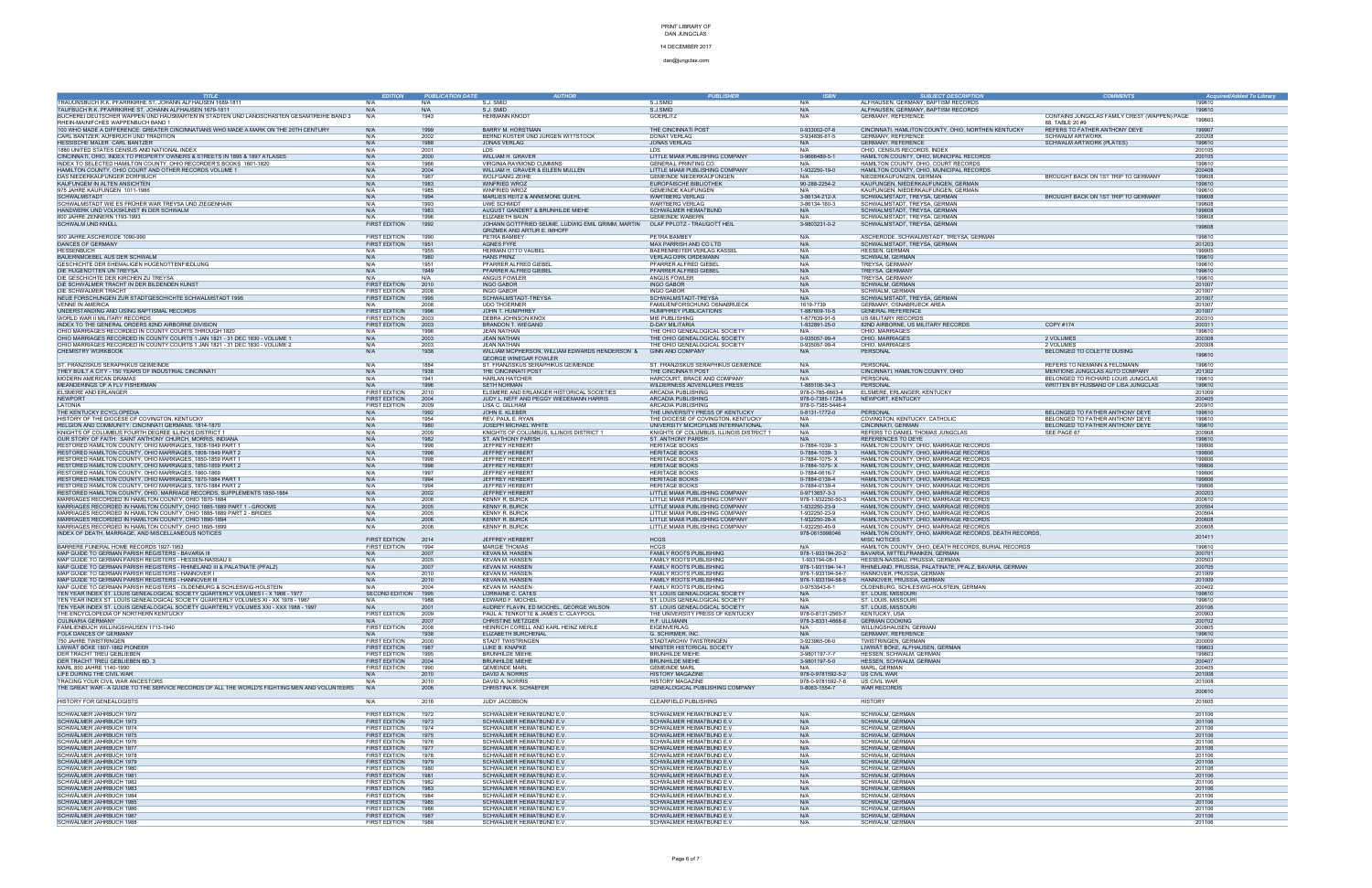### 14 DECEMBER 2017

| <b>TITLE</b>                                                                                                                                                          | <b>EDITION</b>             | <b>PUBLICATION DATE</b> | <b>AUTHOR</b>                                                                 | <b>PUBLISHER</b>                                                 | <b>ISBN</b>          | <b>SUBJECT DESCRIPTION</b>                                                         | <b>COMMENTS</b>                              | <b>Acquired/Added To Library</b> |
|-----------------------------------------------------------------------------------------------------------------------------------------------------------------------|----------------------------|-------------------------|-------------------------------------------------------------------------------|------------------------------------------------------------------|----------------------|------------------------------------------------------------------------------------|----------------------------------------------|----------------------------------|
| TRAUUNSBUCH R.K. PFARRKIRHE ST. JOHANN ALFHAUSEN 1689-1811                                                                                                            | N/A                        | N/A                     | S.J. SMID                                                                     | S.J.SMID                                                         | N/A                  | ALFHAUSEN, GERMANY, BAPTISM RECORDS                                                |                                              | 199610                           |
| TAUFBUCH R.K. PFARRKIRHE ST. JOHANN ALFHAUSEN 1679-1811                                                                                                               | N/A                        | N/A                     | S.J. SMID                                                                     | S.J.SMID                                                         | N/A                  | ALFHAUSEN, GERMANY, BAPTISM RECORDS                                                |                                              | 19961                            |
| BÜCHEREI DEUTSCHER WAPPEN UND HAUSMARTEN IN STÄDTEN UND LANDSCHASTEN GESAMTREIHE BAND 3                                                                               | N/A                        | 1943                    | <b>HERMANN KNODT</b>                                                          | <b>GOERLITZ</b>                                                  | N/A                  | GERMANY, REFERENCE                                                                 | CONTAINS JUNGCLAS FAMILY CREST (WAPPEN) PAGE |                                  |
| RHEIN-MAINIFCHES WAPPENBUCH BAND 1                                                                                                                                    |                            |                         |                                                                               |                                                                  |                      |                                                                                    | 88, TABLE 20 #9                              | 199603                           |
| 100 WHO MADE A DIFFERENCE: GREATER CINCINNATIANS WHO MADE A MARK ON THE 20TH CENTURY                                                                                  | N/A                        | 1999                    | <b>BARRY M. HORSTMAN</b>                                                      | THE CINCINNATI POST                                              | 0-933002-07-6        | CINCINNATI, HAMLITON COUNTY, OHIO, NORTHEN KENTUCKY                                | REFERS TO FATHER ANTHONY DEYE                | 199907                           |
| CARL BANTZER: AUFBRUCH UND TRADITION                                                                                                                                  | N/A                        | 2002                    | BERND KÜSTER UND JURGEN WITTSTOCK                                             | DONAT VERLAG                                                     | 3-934836-61-5        | <b>GERMANY, REFERENCE</b>                                                          | SCHWALM ARTWORK                              | 200208                           |
| HESSISCHE MALER CARL BANTZER                                                                                                                                          | N/A                        | 1988                    | JONAS VERLAG                                                                  | JONAS VERLAG                                                     | N/A                  | <b>GERMANY, REFERENCE</b>                                                          | SCHWALM ARTWORK (PLATES)                     | 199610                           |
| 1880 UNITED STATES CENSUS AND NATIONAL INDEX                                                                                                                          | N/A                        | 2001                    | LDS.                                                                          | LDS.                                                             | N/A                  | OHIO, CENSUS RECORDS, INDEX                                                        |                                              | 200105                           |
| CINCINNATI, OHIO, INDEX TO PROPERTY OWNERS & STREETS IN 1895 & 1897 ATLASES                                                                                           | N/A                        | 2000                    | WILLIAM H. GRAVER                                                             | LITTLE MIAMI PUBLISHING COMPANY                                  | 0-9666489-5-1        | HAMILTON COUNTY, OHIO, MUNICIPAL RECORDS                                           |                                              | 200105                           |
| INDEX TO SELECTED HAMILTON COUNTY, OHIO RECORDER'S BOOKS 1801-1820                                                                                                    | N/A                        | 1966                    | VIRGINIA RAYMOND CUMMINS                                                      | <b>GENERA.L PRINTING CO.</b>                                     | N/A                  | HAMILTON COUNTY, OHIO, COURT RECORDS                                               |                                              | 19961                            |
| HAMILTON COUNTY, OHIO COURT AND OTHER RECORDS VOLUME 1                                                                                                                | N/A                        | 2004                    | WILLIAM H. GRAVER & EILEEN MULLEN                                             | LITTLE MIAMI PUBLISHING COMPANY                                  | 1-932250-19-0        | HAMILTON COUNTY, OHIO, MUNICIPAL RECORDS                                           |                                              | 200408                           |
| DAS NIEDERKAUFUNGER DORFBUCH                                                                                                                                          | N/A                        | 1967                    | <b>WOLFGANG ZEIHE</b>                                                         | GEMEINDE NIEDERKAUFUNGEN                                         | N/A                  | NIEDERKAUFUNGEN, GERMAN                                                            | BROUGHT BACK ON 1ST TRIP TO GERMANY          | 199608                           |
| KAUFUNGEM IN ALTEN ANSICHTEN                                                                                                                                          | N/A                        | 1983                    | <b>WINFRIED WROZ</b>                                                          | EUROPÄISCHE BIBLIOTHEK                                           | 90-288-2254-2        | KAUFUNGEN, NIEDERKAUFUNGEN, GERMAN                                                 |                                              | 199610                           |
| 975 JAHRE KAUFUNGEN 1011-1986                                                                                                                                         | N/A                        | 1985                    | WINFRIED WROZ                                                                 | <b>GEMEINDE KAUFUNGEN</b>                                        | N/A                  | KAUFUNGEN, NIEDERKAUFUNGEN, GERMAN                                                 |                                              | 199610                           |
| SCHWALMSTADT                                                                                                                                                          | N/A                        | 1994                    | MARLIES REITZ & ANNEMONE QUEHL                                                | <b>WARTBERG VERLAG</b>                                           | 3-86134-212-X        | SCHWALMSTADT, TREYSA, GERMAN                                                       | BROUGHT BACK ON 1ST TRIP TO GERMANY          | 199608                           |
| SCHWALMSTADT WIE ES FRÜHER WAR TREYSA UND ZIEGENHAIN                                                                                                                  | N/A                        | 1993                    | <b>UWE SCHMIDT</b>                                                            | <b>WARTBERG VERLAG</b>                                           | 3-86134-160-3        | SCHWALMSTADT, TREYSA, GERMAN                                                       |                                              | 199608                           |
| HANDWERK UND VOLKSKUNST IN DER SCHWALM                                                                                                                                | N/A                        | 1983                    | AUGUST GANDERT & BRUNHILDE MIEHE                                              | SCHWÄLMER HEIMATBUND                                             | N/A                  | SCHWALMSTADT, TREYSA, GERMAN                                                       |                                              | 199608                           |
| 800 JAHRE ZENNERN 1193-1993                                                                                                                                           | N/A                        | 1996                    | ELIZABETH BAUN                                                                | <b>GEMEINDE WABERN</b>                                           | N/A                  | SCHWALMSTADT, TREYSA, GERMAN                                                       |                                              | 199608                           |
| SCHWALM UND KNÜLL                                                                                                                                                     | <b>FIRST EDITION</b>       | 1992                    | JOHANN GOTTFRIED SEUME, LUDWIG EMIL GRIMM, MARTIN OLAF PPLOTZ - TRAUGOTT HEIL |                                                                  | 3-9803231-0-2        | SCHWALMSTADT, TREYSA, GERMAN                                                       |                                              | 199608                           |
|                                                                                                                                                                       |                            |                         | <b>GRIZMEK AND ARTUR E. IMHOFF</b>                                            |                                                                  |                      |                                                                                    |                                              |                                  |
| 900 JAHRE ASCHERODE 1090-990                                                                                                                                          | <b>FIRST EDITION</b>       | 1990                    | PETRA BAMBEY                                                                  | PETRA BAMBEY                                                     | N/A                  | ASCHERODE, SCHWALMSTADT, TREYSA, GERMAN                                            |                                              | 199610                           |
| DANCES OF GERMANY                                                                                                                                                     | FIRST EDITION              | 1951                    | AGNES FYFE                                                                    | MAX PARRISH AND CO LTD                                           | N/A                  | SCHWALMSTADT, TREYSA, GERMAN                                                       |                                              | 201203                           |
| HESSENBUCH                                                                                                                                                            | N/A                        | 1955                    | <b>HERMAN OTTO VAUBEL</b>                                                     | BAERENREITER VERLAG KASSEL                                       | N/A                  | HESSEN, GERMAN                                                                     |                                              | 199905                           |
| BAUERNMOEBEL AUS DER SCHWALM                                                                                                                                          | N/A                        | 1980                    | <b>HANS PRINZ</b>                                                             | <b>VERLAG DIRK ORDEMANN</b>                                      | N/A                  | SCHWALM, GERMAN                                                                    |                                              | 199610                           |
| GESCHICHTE DER EHEMALIGEN HUGENOTTENFIEDLUNG                                                                                                                          | N/A                        | 1951<br>1949            | PFARRER ALFRED GIEBEI                                                         | PFARRER ALFRED GIEBEI                                            | N/A                  | TREYSA, GERMANY                                                                    |                                              | 199610<br>19961                  |
| DIE HUGENOTTEN UN TREYSA<br>DIE GESCHICHTE DER KIRCHEN ZU TREYSA                                                                                                      | N/A<br>N/A                 | N/A                     | PFARRER ALFRED GIEBEI<br>ANGUS FOWLER                                         | PFARRER ALFRED GIEBEI<br>ANGUS FOWLER                            | N/A<br>N/A           | TREYSA, GERMANY<br>TREYSA, GERMANY                                                 |                                              | 199610                           |
| DIE SCHWÄLMER TRACHT IN DER BILDENDEN KUNST                                                                                                                           | <b>FIRST EDITION</b>       | 2010                    | <b>INGO GABOR</b>                                                             |                                                                  | N/A                  | SCHWALM, GERMAN                                                                    |                                              | 201007                           |
| DIE SCHWÄLMER TRACHT                                                                                                                                                  | <b>FIRST EDITION</b>       | 2008                    | <b>INGO GABOR</b>                                                             | <b>INGO GABOR</b><br><b>INGO GABOR</b>                           | N/A                  | SCHWALM, GERMAN                                                                    |                                              | 201007                           |
| NEUE FORSCHUNGEN ZUR STADTGESCHICHTE SCHWALMSTADT 1995                                                                                                                | <b>FIRST EDITION</b>       | 1995                    | SCHWALMSTADT-TREYSA                                                           | SCHWALMSTADT-TREYSA                                              | N/A                  | SCHWALMSTADT, TREYSA, GERMAN                                                       |                                              | 201007                           |
| <b>VENNE IN AMERICA</b>                                                                                                                                               | N/A                        | 2008                    | <b>UDO THOERNER</b>                                                           | FAMILIENFORSCHUNG OSNABRUECK                                     | 1619-7739            | GERMANY, OSNABRUECK AREA                                                           |                                              | 201007                           |
| UNDERSTANDING AND USING BAPTISMAL RECORDS                                                                                                                             | <b>FIRST EDITION</b>       | 1996                    | JOHN T. HUMPHREY                                                              | HUMPHREY PUBLICATIONS                                            | 1-887609-10-5        | <b>GENERAL REFERENCE</b>                                                           |                                              | 201007                           |
| WORLD WAR II MILITARY RECORDS                                                                                                                                         | <b>FIRST EDITION</b>       | 2003                    | DEBRA JOHNSON KNOX                                                            | MIE PUBLISHING                                                   | 1-877639-91-5        | US MILITARY RECORDS                                                                |                                              | 200310                           |
| INDEX TO THE GENERAL ORDERS 82ND AIRBORNE DIVISION                                                                                                                    | FIRST EDITION              | 2003                    | <b>BRANDON T. WIEGAND</b>                                                     | <b>D-DAY MILITARIA</b>                                           | 1-932891-25-0        | 82ND AIRBORNE, US MILITARY RECORDS                                                 | COPY #174                                    | 200311                           |
| OHIO MARRIAGES RECORDED IN COUNTY COURTS THROUGH 1820                                                                                                                 | N/A                        | 1996                    | JEAN NATHAN                                                                   | THE OHIO GENEALOGICAL SOCIETY                                    | N/A                  | OHIO, MARRIAGES                                                                    |                                              | 199610                           |
| OHIO MARRIAGES RECORDED IN COUNTY COURTS 1 JAN 1821 - 31 DEC 1830 - VOLUME 1                                                                                          | N/A                        | 2003                    | <b>JEAN NATHAN</b>                                                            | THE OHIO GENEALOGICAL SOCIETY                                    | 0-935057-99-4        | OHIO, MARRIAGES                                                                    | 2 VOLUMES                                    | 200308                           |
| OHIO MARRIAGES RECORDED IN COUNTY COURTS 1 JAN 1821 - 31 DEC 1830 - VOLUME 2                                                                                          | N/A                        | 2003                    | <b>JEAN NATHAN</b>                                                            | THE OHIO GENEALOGICAL SOCIETY                                    | 0-935057-99-4        | OHIO, MARRIAGES                                                                    | 2 VOLUMES                                    | 200308                           |
| CHEMISTRY WORKBOOK                                                                                                                                                    | N/A                        | 1938                    | WILLIAM MCPHERSON, WILLIAM EDWARDS HENDERSON &                                | <b>GINN AND COMPANY</b>                                          | N/A                  | PERSONAL                                                                           | BELONGED TO COLETTE DUSING                   | 199610                           |
|                                                                                                                                                                       |                            |                         | <b>GEORGE WINEGAR FOWLER</b>                                                  |                                                                  |                      |                                                                                    |                                              |                                  |
| ST. FRANZISKUS SERAPHIKUS GEIMEINDE                                                                                                                                   | N/A                        | 1884                    | ST. FRANZISKUS SERAPHIKUS GEIMEINDE                                           | ST. FRANZISKUS SERAPHIKUS GEIMEINDE                              | N/A                  | PERSONAL                                                                           | REFERS TO NIEMANN & FELDMANN                 | 199610                           |
| THEY BUILT A CITY - 150 YEARS OF INDUSTRIAL CINCINNATI                                                                                                                | N/A                        | 1938                    | THE CINCINNATI POST                                                           | THE CINCINNATI POST                                              | N/A                  | CINCINNATI, HAMILTON COUNTY, OHIO                                                  | MENTIONS JUNGCLAS AUTO COMPANY               | 201302                           |
| MODERN AMERICAN DRAMAS                                                                                                                                                | N/A                        | 1941                    | <b>HARLAN HATCHER</b>                                                         | HARCOURT, BRACE AND COMPANY                                      | N/A                  | PERSONAL                                                                           | BELONGED TO RICHARD LOUIS JUNGCLAS           | 19961                            |
| MEANDERINGS OF A FLV FISHERMAN                                                                                                                                        | N/A                        | 1996                    | <b>SFTH NORMAN</b>                                                            | WILDERNESS ADVENLURES PRESS                                      | 1-885106-34-3        | PERSONAL                                                                           | WRITTEN BY HUSBAND OF LISA JUNGCLAS          | 199610                           |
| ELSMERE AND ERLANGER                                                                                                                                                  | <b>FIRST EDITION</b>       | 2010                    | ELSMERE AND ERLANGER HISTORICAL SOCIETIES                                     | <b>ARCADIA PUBLISHING</b>                                        | 978-0-785-6663-4     | ELSMERE, ERLANGER, KENTUCKY                                                        |                                              | 201009                           |
| NEWPORT                                                                                                                                                               | <b>FIRST EDITION</b>       | 2004                    | JUDY L. NEFF AND PEGGY WIEDEMANN HARRIS                                       | <b>ARCADIA PUBLISHING</b>                                        | 978-0-7385-1728-5    | NEWPORT, KENTUCKY                                                                  |                                              | 200405                           |
| I ATONIA                                                                                                                                                              | <b>FIRST EDITION</b>       | 2009                    | LISA C. GILLHAM                                                               | ARCADIA PUBLISHING                                               | 978-0-7385-5446-4    |                                                                                    |                                              | 200910                           |
| THE KENTUCKY ECYCLOPEDIA                                                                                                                                              | N/A                        |                         | JOHN E. KLEBER                                                                | THE UNIVERSITY PRESS OF KENTUCKY                                 | 0-8131-1772-0        | PERSONAL                                                                           | BELONGED TO FATHER ANTHONY DEYE              | 199610                           |
| HISTORY OF THE DIOCESE OF COVINGTON, KENTUCKY                                                                                                                         | N/A                        | 1954                    | REV. PAUL E. RYAN                                                             | THE DIOCESE OF COVINGTON, KENTUCKY                               | N/A                  | COVINGTON, KENTUCKY, CATHOLIC                                                      | BELONGED TO FATHER ANTHONY DEYE              | 199610                           |
| RELGION AND COMMUNITY: CINCINNATI GERMANS. 1814-1870                                                                                                                  | N/A                        | 1980                    | JOSEPH MICHAEL WHITE                                                          | UNIVERSITY MICROFILMS INTERNATIONAL                              | N/A                  | CINCINNATI, GERMAN                                                                 | BELONGED TO FATHER ANTHONY DEYE              | 199610                           |
| KNIGHTS OF COLUMBUS FOURTH DEGREE ILLINOIS DISTRICT $\cdot$                                                                                                           | N/A                        | 2009                    | KNIGHTS OF COLUMBUS, ILLINOIS DISTRICT 1                                      | KNIGHTS OF COLUMBUS, ILLINOIS DISTRICT 1                         | N/A                  | REFERS TO DANIEL THOMAS JUNGCLAS                                                   | SEE PAGE 67                                  | 200908                           |
| OUR STORY OF FAITH: SAINT ANTHONY CHURCH, MORRIS, INDIANA                                                                                                             | N/A<br>N/A                 | 1982<br>1998            | ST. ANTHONY PARISH                                                            | ST. ANTHONY PARISH                                               | N/A<br>0-7884-1039-3 | REFERENCES TO DEYE                                                                 |                                              | 199610<br>199806                 |
| RESTORED HAMILTON COUNTY, OHIO MARRIAGES, 1808-1849 PART                                                                                                              |                            |                         | <b>JEFFREY HERBERT</b>                                                        | <b>HERITAGE BOOKS</b>                                            | 0-7884-1039-3        | HAMILTON COUNTY, OHIO, MARRIAGE RECORDS                                            |                                              | 199806                           |
| RESTORED HAMILTON COUNTY, OHIO MARRIAGES, 1808-1849 PART 2                                                                                                            | N/A<br>N/A                 | 1998<br>1998            | <b>JEFFREY HERBERT</b><br><b>JEFFREY HERBERT</b>                              | <b>HERITAGE BOOKS</b><br><b>HERITAGE BOOKS</b>                   | 0-7884-1075-X        | HAMILTON COUNTY, OHIO, MARRIAGE RECORDS                                            |                                              | 199806                           |
| RESTORED HAMILTON COUNTY, OHIO MARRIAGES, 1850-1859 PART $^{\circ}$<br>RESTORED HAMILTON COUNTY, OHIO MARRIAGES, 1850-1859 PART 2                                     | N/A                        | 1998                    | <b>JEFFREY HERBERT</b>                                                        | <b>HERITAGE BOOKS</b>                                            | 0-7884-1075-X        | HAMILTON COUNTY, OHIO, MARRIAGE RECORDS<br>HAMILTON COUNTY, OHIO, MARRIAGE RECORDS |                                              | 199806                           |
| RESTORED HAMILTON COUNTY, OHIO MARRIAGES, 1860-1869                                                                                                                   | N/A                        | 1997                    | <b>JEFFREY HERBERT</b>                                                        | <b>HERITAGE BOOKS</b>                                            | 0-7884-0616-7        | HAMILTON COUNTY, OHIO, MARRIAGE RECORDS                                            |                                              | 199806                           |
| RESTORED HAMILTON COUNTY, OHIO MARRIAGES, 1870-1884 PART $^{\circ}$                                                                                                   | N/A                        | 1994                    | <b>JEFFREY HERBERT</b>                                                        | <b>HERITAGE BOOKS</b>                                            | 0-7884-0139-4        | HAMILTON COUNTY, OHIO, MARRIAGE RECORDS                                            |                                              | 199806                           |
| RESTORED HAMILTON COUNTY, OHIO MARRIAGES, 1870-1884 PART 2                                                                                                            | N/A                        | 1994                    | <b>JEFFREY HERBERT</b>                                                        | <b>HERITAGE BOOKS</b>                                            | 0-7884-0139-4        | HAMILTON COUNTY, OHIO, MARRIAGE RECORDS                                            |                                              | 199806                           |
| RESTORED HAMILTON COUNTY, OHIO, MARRIAGE RECORDS, SUPPLEMENTS 1850-1884                                                                                               | N/A                        | 2002                    | <b>JEFFREY HERBERT</b>                                                        | LITTLE MIAMI PUBLISHING COMPANY                                  | 0-9713657-3-3        | HAMILTON COUNTY, OHIO, MARRIAGE RECORDS                                            |                                              | 200203                           |
| MARRIAGES RECORDED IN HAMILTON COUNTY, OHIO 1870-1884                                                                                                                 | N/A                        | 2006                    | <b>KENNY R. BURCK</b>                                                         | LITTLE MIAMI PUBLISHING COMPANY                                  | 978-1-932250-50-3    | HAMILTON COUNTY, OHIO, MARRIAGE RECORDS                                            |                                              | 200610                           |
| MARRIAGES RECORDED IN HAMILTON COUNTY, OHIO 1885-1889 PART 1 - GROOMS                                                                                                 | N/A                        | 2005                    | <b>KENNY R. BURCK</b>                                                         | LITTLE MIAMI PUBLISHING COMPANY                                  | 1-932250-23-9        | HAMILTON COUNTY, OHIO, MARRIAGE RECORDS                                            |                                              | 200504                           |
| MARRIAGES RECORDED IN HAMILTON COUNTY, OHIO 1885-1889 PART 2 - BRIDES                                                                                                 | N/A                        | 2005                    | <b>KENNY R. BURCK</b>                                                         | LITTLE MIAMI PUBLISHING COMPANY                                  | 1-932250-23-9        | HAMILTON COUNTY, OHIO, MARRIAGE RECORDS                                            |                                              | 200504                           |
| MARRIAGES RECORDED IN HAMILTON COUNTY, OHIO 1890-1894                                                                                                                 | N/A                        | 2006                    | <b>KENNY R. BURCK</b>                                                         | LITTLE MIAMI PUBLISHING COMPANY                                  | 1-932250-28-X        | HAMILTON COUNTY, OHIO, MARRIAGE RECORDS                                            |                                              | 200608                           |
| MARRIAGES RECORDED IN HAMILTON COUNTY, OHIO 1895-1899                                                                                                                 | N/A                        | 2006                    | <b>KENNY R. BURCK</b>                                                         | LITTLE MIAMI PUBLISHING COMPANY                                  | 1-932250-40-9        | HAMILTON COUNTY, OHIO, MARRIAGE RECORDS                                            |                                              | 200608                           |
| INDEX OF DEATH, MARRIAGE, AND MISCELLANEOUS NOTICES                                                                                                                   |                            |                         |                                                                               |                                                                  | 978-0615998046       | HAMILTON COUNTY, OHIO, MARRIAGE RECORDS, DEATH RECORDS,                            |                                              |                                  |
|                                                                                                                                                                       | <b>FIRST EDITION</b>       | 2014                    | JEFFREY HERBERT                                                               | <b>HCGS</b>                                                      |                      | <b>MISC NOTICES</b>                                                                |                                              | 201411                           |
| BARRERE FUNERAL HOME RECORDS 1927-1953                                                                                                                                | <b>FIRST EDITION</b>       | 1994                    | <b>MARGIE THOMAS</b>                                                          | <b>HCGS</b>                                                      | N/A                  | HAMILTON COUNTY, OHIO, DEATH RECORDS, BURIAL RECORDS                               |                                              | 19961                            |
| MAP GUIDE TO GERMAN PARISH REGISTERS - BAVARIA II                                                                                                                     | N/A                        | 2007                    | <b>KEVAN M. HANSEN</b>                                                        | <b>FAMILY ROOTS PUBLISHING</b>                                   | 978-1-933194-20-2    | BAVARIA, MITTELFRANKEN, GERMAN                                                     |                                              | 200701                           |
| MAP GUIDE TO GERMAN PARISH REGISTERS - HESSEN-NASSAU I                                                                                                                | N/A                        | 2005                    | <b>KEVAN M. HANSEN</b>                                                        | FAMILY ROOTS PUBLISHING                                          | 1-933194-08-1        | HESSEN-NASSAU, PRUSSIA, GERMAN                                                     |                                              | 200503                           |
| MAP GUIDE TO GERMAN PARISH REGISTERS - RHINELAND III & PALATNATE (PFALZ)                                                                                              | N/A                        | 2007                    | <b>KEVAN M. HANSEN</b>                                                        | FAMILY ROOTS PUBLISHING                                          | 978-1-931194-14-1    | RHINELAND, PRUSSIA, PALATINATE, PFALZ, BAVARIA, GERMAN                             |                                              | 200705                           |
| MAP GUIDE TO GERMAN PARISH REGISTERS - HANNOVER<br>MAP GUIDE TO GERMAN PARISH REGISTERS - HANNOVER III                                                                | N/A                        | 2010                    | KEVAN M. HANSEN                                                               | FAMILY ROOTS PUBLISHING                                          | 978-1-933194-54-7    | HANNOVER, PRUSSIA, GERMAN                                                          |                                              | 201009                           |
|                                                                                                                                                                       | N/A                        | 2010                    | <b>KEVAN M. HANSEN</b>                                                        | <b>FAMILY ROOTS PUBLISHING</b>                                   | 978-1-933194-58-5    | HANNOVER, PRUSSIA, GERMAN                                                          |                                              | 201009                           |
| MAP GUIDE TO GERMAN PARISH REGISTERS - OLDENBURG & SCHLESWIG-HOLSTEIN                                                                                                 | N/A                        | 2004                    | KEVAN M. HANSEN                                                               | <b>FAMILY ROOTS PUBLISHING</b>                                   | 0-9753543-6-1<br>N/A | OLDENBURG, SCHLESWIG-HOLSTEIN, GERMAN                                              |                                              | 200402                           |
| TEN YEAR INDEX ST. LOUIS GENEALOGICAL SOCIETY QUARTERLY VOLUMEST-X 1968 - 1977<br>TEN YEAR INDEX ST. LOUIS GENEALOGICAL SOCIETY QUARTERLY VOLUMES XI - XX 1978 - 1987 | SECOND EDITION 1995<br>N/A | 1988                    | LORRAINE C. CATES<br>EDWARD F. MOCHEL                                         | ST. LOUIS GENEALOGICAL SOCIETY<br>ST. LOUIS GENEALOGICAL SOCIETY | N/A                  | ST. LOUIS, MISSOU<br>ST. LOUIS, MISSOURI                                           |                                              | 199610                           |
| TEN YEAR INDEX ST. LOUIS GENEALOGICAL SOCIETY QUARTERLY VOLUMES XXI - XXX 1988 - 1997                                                                                 | N/A                        | 2001                    | AUDREY FLAVIN, ED MOCHEL, GEORGE WILSON                                       | ST. LOUIS GENEALOGICAL SOCIETY                                   | N/A                  | ST. LOUIS, MISSOURI                                                                |                                              | 200106                           |
| THE ENCYCLOPEDIA OF NORTHERN KENTUCKY                                                                                                                                 | <b>FIRST EDITION</b>       | 2009                    | PAUL A. TENKOTTE & JAMES C. CLAYPOOL                                          | THE UNIVERSITY PRESS OF KENTUCKY                                 | 978-0-8131-2565-7    | <b>KENTUCKY, USA</b>                                                               |                                              | 200903                           |
| CULINARIA GERMANY                                                                                                                                                     | N/A                        | 2007                    | <b>CHRISTINE METZGER</b>                                                      | H.F. ULLMANN                                                     | 978-3-8331-4668-8    | <b>GERMAN COOKING</b>                                                              |                                              | 200702                           |
| FAMILIENBUCH WILLINGSHAUSEN 1713-1940                                                                                                                                 | <b>FIRST EDITION</b>       | 2008                    | HEINRICH CORELL AND KARL HEINZ MERLE                                          | <b>EIGENVERLAG</b>                                               | N/A                  | WILLINGSHAUSEN, GERMAN                                                             |                                              | 200805                           |
| FOLK DANCES OF GERMANY                                                                                                                                                | N/A                        | 1938                    | ELIZABETH BURCHENAL                                                           | G. SCHIRMER, INC.                                                | N/A                  | <b>GERMANY, REFERENCE</b>                                                          |                                              | 199610                           |
| 750 JAHRE TWISTRINGEN                                                                                                                                                 | <b>FIRST EDITION</b>       | 2000                    | STADT TWISTRINGEN                                                             | STADTARCHIV TWISTRINGEN                                          | 3-923965-06-0        | TWISTRINGEN, GERMAN                                                                |                                              | 200009                           |
| LIWWÄT BÖKE 1807-1882 PIONEER                                                                                                                                         | <b>FIRST EDITION</b>       | 1987                    | LUKE B. KNAPKE                                                                | MINSTER HISTORICAL SOCIETY                                       | N/A                  | LIWWÄT BÖKE, ALFHAUSEN, GERMAN                                                     |                                              | 199603                           |
| DER TRACHT TREU GEBLIEBEN                                                                                                                                             | <b>FIRST EDITION</b>       | 1995                    | <b>BRUNHILDE MIEHE</b>                                                        | <b>BRUNHILDE MIEHE</b>                                           | 3-9801197-7-7        | HESSEN, SCHWALM, GERMAN                                                            |                                              | 199603                           |
| DER TRACHT TREU GEBLIEBEN BD. 3                                                                                                                                       | <b>FIRST EDITION</b>       | 2004                    | <b>BRUNHILDE MIEHE</b>                                                        | <b>BRUNHILDE MIEHE</b>                                           | 3-9801197-5-0        | HESSEN, SCHWALM, GERMAN                                                            |                                              | 200407                           |
| MARL 850 JAHRE 1140-1990                                                                                                                                              | <b>FIRST EDITION</b>       | 1990                    | <b>GEMEINDE MARL</b>                                                          | <b>GEMEINDE MARL</b>                                             | N/A                  | MARL, GERMAN                                                                       |                                              | 200405                           |
| LIFE DURING THE CIVIL WAR                                                                                                                                             | N/A                        | 2010                    | DAVID A. NORRIS<br>DAVID A. NORRIS                                            | <b>HISTORY MAGAZINE</b><br><b>HISTORY MAGAZINE</b>               | 978-0-9781592-5-2    | US CIVIL WAR                                                                       |                                              | 201008                           |
| TRACING YOUR CIVIL WAR ANCESTORS                                                                                                                                      | N/A                        | 2010                    |                                                                               |                                                                  | 978-0-9781592-7-6    | US CIVIL WAR                                                                       |                                              | 201008                           |
| THE GREAT WAR - A GUIDE TO THE SERVICE RECORDS OF ALL THE WORLD'S FIGHTING MEN AND VOLUNTEERS                                                                         | N/A                        | 2006                    | CHRISTINA K. SCHAEFER                                                         | GENEALOGICAL PUBLISHING COMPANY                                  | 0-8063-1554-7        | <b>WAR RECORDS</b>                                                                 |                                              | 200610                           |
|                                                                                                                                                                       |                            |                         |                                                                               |                                                                  |                      | <b>HISTORY</b>                                                                     |                                              |                                  |
| HISTORY FOR GENEALOGISTS                                                                                                                                              | N/A                        | 2016                    | JUDY JACOBSON                                                                 | CLEARFIELD PUBLISHING                                            |                      |                                                                                    |                                              | 201605                           |
| SCHWÄLMER JAHRBUCH 1972                                                                                                                                               | <b>FIRST EDITION</b>       | 1972                    | SCHWÄLMER HEIMATBUND E.V.                                                     | SCHWÄLMER HEIMATBUND E.V.                                        | N/A                  | SCHWALM, GERMAN                                                                    |                                              | 201106                           |
| SCHWÄLMER JAHRBUCH 1973                                                                                                                                               | <b>FIRST EDITION</b>       | 1973                    | SCHWÄLMER HEIMATBUND E.V.                                                     | SCHWÄLMER HEIMATBUND E.V.                                        | N/A                  | SCHWALM, GERMAN                                                                    |                                              | 201106                           |
| SCHWÄLMER JAHRBUCH 1974                                                                                                                                               | <b>FIRST EDITION</b>       | 1974                    | SCHWÄLMER HEIMATBUND E.V.                                                     | SCHWÄLMER HEIMATBUND E.V                                         | N/A                  | SCHWALM, GERMAN                                                                    |                                              | 201106                           |
| SCHWÄLMER JAHRBUCH 1975                                                                                                                                               | FIRST EDITION              | 1975                    | SCHWÄLMER HEIMATBUND E.V.                                                     | SCHWÄLMER HEIMATBUND E.V.                                        | N/A                  | SCHWALM, GERMAN                                                                    |                                              | 201106                           |
| SCHWÄLMER JAHRBUCH 1976                                                                                                                                               | <b>FIRST EDITION</b>       | 1976                    | SCHWÄLMER HEIMATBUND E.V.                                                     | SCHWÄLMER HEIMATBUND E.V.                                        | N/A                  | SCHWALM, GERMAN                                                                    |                                              | 201106                           |
| SCHWÄLMER JAHRBUCH 1977                                                                                                                                               | FIRST EDITION              | 1977                    | SCHWÄLMER HEIMATBUND E.V.                                                     | SCHWÄLMER HEIMATBUND E.V.                                        | N/A                  | SCHWALM, GERMAN                                                                    |                                              | 201106                           |
| SCHWÄLMER JAHRBUCH 1978                                                                                                                                               | <b>FIRST EDITION</b>       | 1978                    | SCHWÄLMER HEIMATBUND E.V.                                                     | SCHWÄLMER HEIMATBUND E.V.                                        | N/A                  | SCHWALM, GERMAN                                                                    |                                              | 201106                           |
| SCHWÄLMER JAHRBUCH 1979                                                                                                                                               | FIRST EDITION              | 1979                    | SCHWÄLMER HEIMATBUND E.V.                                                     | SCHWÄLMER HEIMATBUND E.V.                                        | N/A                  | SCHWALM, GERMAN                                                                    |                                              | 201106                           |
| SCHWÄLMER JAHRBUCH 1980                                                                                                                                               | <b>FIRST EDITION</b>       | 1980                    | SCHWÄLMER HEIMATBUND E.V.                                                     | SCHWÄLMER HEIMATBUND E.V.                                        | N/A                  | SCHWALM, GERMAN                                                                    |                                              | 201106                           |
| SCHWÄLMER JAHRBUCH 1981                                                                                                                                               | <b>FIRST EDITION</b>       | 1981                    | SCHWÄLMER HEIMATBUND E.V.                                                     | SCHWÄLMER HEIMATBUND E.V.                                        | N/A                  | SCHWALM, GERMAN                                                                    |                                              | 201106                           |
| SCHWÄLMER JAHRBUCH 1982                                                                                                                                               | <b>FIRST EDITION</b>       | 1982                    | SCHWÄLMER HEIMATBUND E.V.                                                     | SCHWÄLMER HEIMATBUND E.V.                                        | N/A                  | SCHWALM, GERMAN                                                                    |                                              | 201106                           |
| SCHWÄLMER JAHRBUCH 1983                                                                                                                                               | <b>FIRST EDITION</b>       | 1983                    | SCHWÄLMER HEIMATBUND E.V.                                                     | SCHWÄLMER HEIMATBUND E.V.                                        | N/A                  | SCHWALM, GERMAN                                                                    |                                              | 201106                           |
| SCHWÄLMER JAHRBUCH 1984                                                                                                                                               | <b>FIRST EDITION</b>       | 1984                    | SCHWÄLMER HEIMATBUND E.V.                                                     | SCHWÄLMER HEIMATBUND E.V.                                        | N/A                  | SCHWALM, GERMAN                                                                    |                                              | 201106                           |
| SCHWÄLMER JAHRBUCH 1985                                                                                                                                               | <b>FIRST EDITION</b>       | 1985                    | SCHWÄLMER HEIMATBUND E.V.                                                     | SCHWÄLMER HEIMATBUND E.V.                                        | N/A                  | SCHWALM, GERMAN                                                                    |                                              | 201106                           |
| SCHWÄLMER JAHRBUCH 1986                                                                                                                                               | <b>FIRST EDITION</b>       | 1986                    | SCHWÄLMER HEIMATBUND E.V.                                                     | SCHWÄLMER HEIMATBUND E.V.                                        | N/A                  | SCHWALM, GERMAN                                                                    |                                              | 201106                           |
| SCHWÄLMER JAHRBUCH 1987                                                                                                                                               | FIRST EDITION              | 1987                    | SCHWÄLMER HEIMATBUND E.V.                                                     | SCHWÄLMER HEIMATBUND E.V.                                        | N/A                  | SCHWALM, GERMAN                                                                    |                                              | 201106                           |
| SCHWÄLMER JAHRBUCH 1988                                                                                                                                               | FIRST EDITION              | 1988                    | SCHWÄLMER HEIMATBUND E.V.                                                     | SCHWÄLMER HEIMATBUND E.V.                                        | N/A                  | SCHWALM, GERMAN                                                                    |                                              | 201106                           |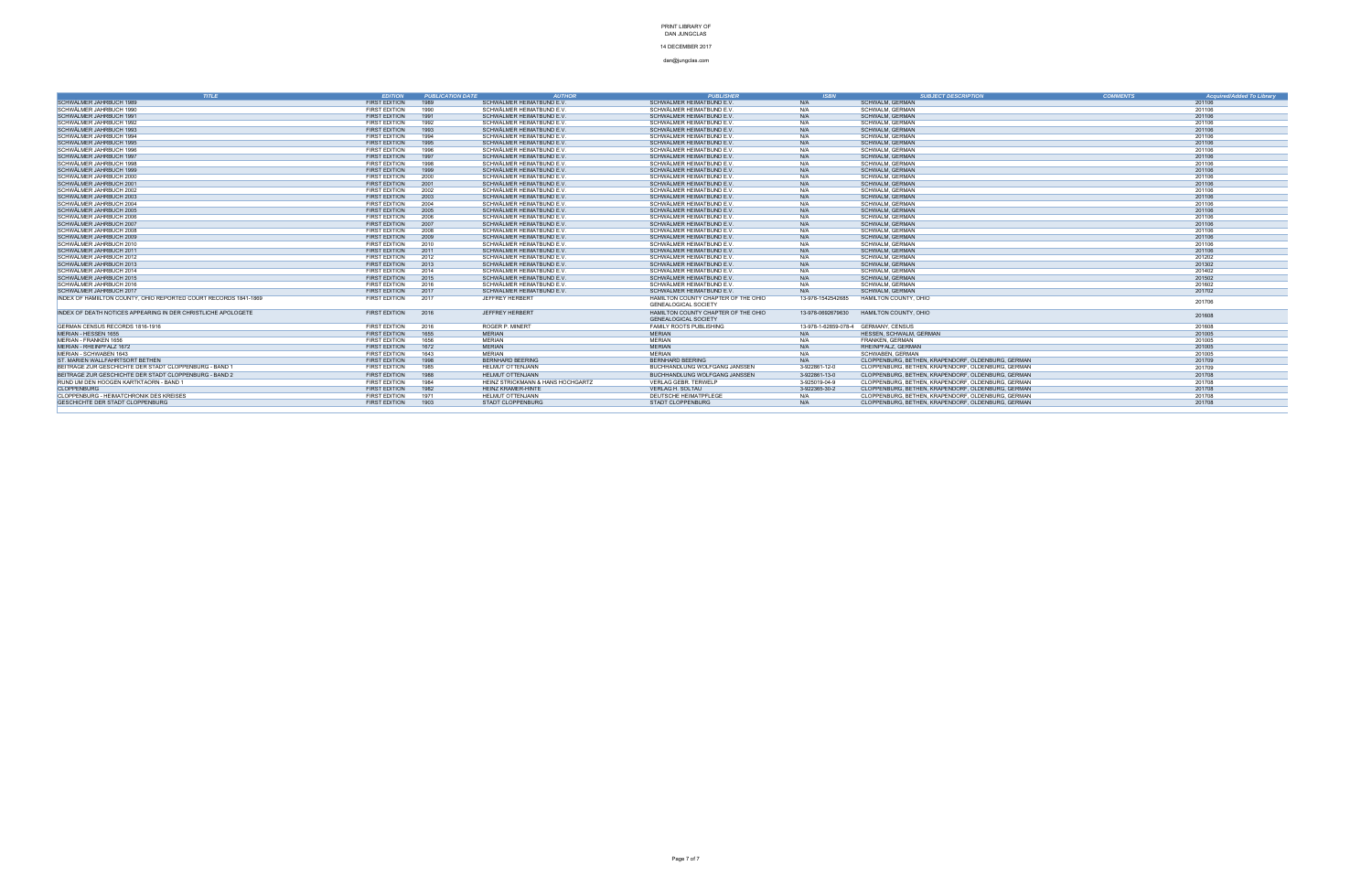### 14 DECEMBER 2017

| <b>TITLE</b>                                                     | <b>EDITION</b>                               | <b>PUBLICATION DATE</b><br><b>AUTHOR</b>                       | <b>PUBLISHER</b>                                     | <b>ISBN</b>                          | <b>SUBJECT DESCRIPTION</b>                         | <b>COMMENTS</b> | <b>Acquired/Added To Library</b> |
|------------------------------------------------------------------|----------------------------------------------|----------------------------------------------------------------|------------------------------------------------------|--------------------------------------|----------------------------------------------------|-----------------|----------------------------------|
| SCHWÄLMER JAHRBUCH 1989                                          | <b>FIRST EDITION</b>                         | SCHWÄLMER HEIMATBUND E.V.<br>1989                              | SCHWÄLMER HEIMATBUND E.V                             | N/A                                  | <b>SCHWALM, GERMAN</b>                             |                 | 201106                           |
| SCHWÄLMER JAHRBUCH 1990                                          | <b>FIRST EDITION</b>                         | SCHWÄLMER HEIMATBUND E.V.<br>1990                              | SCHWÄLMER HEIMATBUND E.V                             | N/A                                  | SCHWALM, GERMAN                                    |                 | 201106                           |
| SCHWÄLMER JAHRBUCH 1991                                          | <b>FIRST EDITION</b>                         | 1991<br>SCHWÄLMER HEIMATBUND E.V.                              | SCHWÄLMER HEIMATBUND E.V.                            | N/A                                  | <b>SCHWALM, GERMAN</b>                             |                 | 201106                           |
| SCHWÄLMER JAHRBUCH 1992                                          | FIRST EDITION                                | SCHWÄLMER HEIMATBUND E.V.<br>1992                              | SCHWÄLMER HEIMATBUND E.V                             | N/A                                  | <b>SCHWALM, GERMAN</b>                             |                 | 201106                           |
| SCHWÄLMER JAHRBUCH 1993                                          | <b>FIRST EDITION</b>                         | 1993<br>SCHWÄLMER HEIMATBUND E.V.                              | SCHWÄLMER HEIMATBUND E.V.                            | N/A                                  | <b>SCHWALM, GERMAN</b>                             |                 | 201106                           |
| SCHWÄLMER JAHRBUCH 1994                                          | <b>FIRST EDITION</b>                         | 1994<br>SCHWÄLMER HEIMATBUND E.V.                              | SCHWÄLMER HEIMATBUND E.V                             | N/A                                  | SCHWALM, GERMAN                                    |                 | 201106                           |
| SCHWÄLMER JAHRBUCH 1995                                          | <b>FIRST EDITION</b>                         | 1995<br>SCHWÄLMER HEIMATBUND E.V.                              | SCHWÄLMER HEIMATBUND E.V                             | N/A                                  | <b>SCHWALM, GERMAN</b>                             |                 | 201106                           |
| SCHWÄLMER JAHRBUCH 1996                                          | <b>FIRST EDITION</b>                         | SCHWÄLMER HEIMATBUND E.V.<br>1996                              | SCHWÄLMER HEIMATBUND E.V                             | N/A                                  | <b>SCHWALM, GERMAN</b>                             |                 | 201106                           |
| SCHWÄLMER JAHRBUCH 1997                                          | <b>FIRST EDITION</b>                         | 1997<br>SCHWÄLMER HEIMATBUND E.V.                              | SCHWÄLMER HEIMATBUND E.V                             | N/A                                  | <b>SCHWALM, GERMAN</b>                             |                 | 201106                           |
| SCHWÄLMER JAHRBUCH 1998                                          | <b>FIRST EDITION</b>                         | 1998<br>SCHWÄLMER HEIMATBUND E.V                               | SCHWÄLMER HEIMATBUND E.V                             | N/A                                  | <b>SCHWALM, GERMAN</b>                             |                 | 201106                           |
| SCHWÄLMER JAHRBUCH 1999                                          | <b>FIRST EDITION</b>                         | 1999<br>SCHWÄLMER HEIMATBUND E.V.                              | SCHWÄLMER HEIMATBUND E.V                             | N/A                                  | <b>SCHWALM, GERMAN</b>                             |                 | 201106                           |
| SCHWÄLMER JAHRBUCH 2000                                          | <b>FIRST EDITION</b>                         | 2000<br>SCHWÄLMER HEIMATBUND E.V.                              | SCHWÄLMER HEIMATBUND E.V                             | N/A                                  | SCHWALM, GERMAN                                    |                 | 201106                           |
| SCHWÄLMER JAHRBUCH 2001                                          | <b>FIRST EDITION</b>                         | 2001<br>SCHWÄLMER HEIMATBUND E.V.                              | SCHWÄLMER HEIMATBUND E.V                             | N/A                                  | <b>SCHWALM, GERMAN</b>                             |                 | 201106                           |
| SCHWÄLMER JAHRBUCH 2002                                          | FIRST EDITION                                | SCHWÄLMER HEIMATBUND E.V.<br>2002                              | SCHWÄLMER HEIMATBUND E.V                             | N/A                                  | <b>SCHWALM, GERMAN</b>                             |                 | 201106                           |
| SCHWÄLMER JAHRBUCH 2003                                          | <b>FIRST EDITION</b>                         | 2003<br>SCHWÄLMER HEIMATBUND E.V.                              | SCHWÄLMER HEIMATBUND E.V                             | N/A                                  | <b>SCHWALM, GERMAN</b>                             |                 | 201106                           |
| SCHWÄLMER JAHRBUCH 2004                                          | <b>FIRST EDITION</b>                         | SCHWÄLMER HEIMATBUND E.V.<br>2004                              | SCHWÄLMER HEIMATBUND E.V                             | N/A                                  | <b>SCHWALM, GERMAN</b>                             |                 | 201106                           |
| SCHWÄLMER JAHRBUCH 2005                                          | <b>FIRST EDITION</b>                         | 2005<br>SCHWÄLMER HEIMATBUND E.V.                              | SCHWÄLMER HEIMATBUND E.V.                            | N/A                                  | <b>SCHWALM, GERMAN</b>                             |                 | 201106                           |
| SCHWÄLMER JAHRBUCH 2006                                          | <b>FIRST EDITION</b>                         | 2006<br>SCHWÄLMER HEIMATBUND E.V.                              | SCHWÄLMER HEIMATBUND E.V                             | N/A                                  | <b>SCHWALM, GERMAN</b>                             |                 | 201106                           |
| SCHWÄLMER JAHRBUCH 2007                                          | <b>FIRST EDITION</b>                         | 2007<br>SCHWÄLMER HEIMATBUND E.V.                              | SCHWÄLMER HEIMATBUND E.V                             | N/A                                  | <b>SCHWALM, GERMAN</b>                             |                 | 201106                           |
| SCHWÄLMER JAHRBUCH 2008                                          | <b>FIRST EDITION</b>                         | 2008<br>SCHWÄLMER HEIMATBUND E.V.                              | SCHWÄLMER HEIMATBUND E.V                             | N/A                                  | SCHWALM, GERMAN                                    |                 | 201106                           |
| SCHWÄLMER JAHRBUCH 2009                                          | <b>FIRST EDITION</b><br><b>FIRST EDITION</b> | 2009<br>SCHWÄLMER HEIMATBUND E.V.                              | SCHWÄLMER HEIMATBUND E.V                             | N/A                                  | <b>SCHWALM, GERMAN</b>                             |                 | 201106                           |
| SCHWÄLMER JAHRBUCH 2010                                          | <b>FIRST EDITION</b>                         | SCHWÄLMER HEIMATBUND E.V.<br>2010<br>SCHWÄLMER HEIMATBUND E.V. | SCHWÄLMER HEIMATBUND E.V<br>SCHWÄLMER HEIMATBUND E.V | N/A<br>N/A                           | <b>SCHWALM, GERMAN</b><br><b>SCHWALM, GERMAN</b>   |                 | 201106<br>201106                 |
| SCHWÄLMER JAHRBUCH 2011<br>SCHWÄLMER JAHRBUCH 2012               | <b>FIRST EDITION</b>                         | 2011<br>2012<br>SCHWÄLMER HEIMATBUND E.V                       | SCHWÄLMER HEIMATBUND E.V                             | N/A                                  |                                                    |                 |                                  |
| SCHWÄLMER JAHRBUCH 2013                                          | <b>FIRST EDITION</b>                         | 2013<br>SCHWÄLMER HEIMATBUND E.V.                              | SCHWÄLMER HEIMATBUND E.V.                            | N/A                                  | SCHWALM, GERMAN<br><b>SCHWALM, GERMAN</b>          |                 | 201202<br>201302                 |
| SCHWÄLMER JAHRBUCH 2014                                          | <b>FIRST EDITION</b>                         | SCHWÄLMER HEIMATBUND E.V.<br>2014                              | SCHWÄLMER HEIMATBUND E.V                             | N/A                                  | SCHWALM, GERMAN                                    |                 | 201402                           |
| SCHWÄLMER JAHRBUCH 2015                                          | <b>FIRST EDITION</b>                         | SCHWÄLMER HEIMATBUND E.V.<br>2015                              | SCHWÄLMER HEIMATBUND E.V                             | N/A                                  | <b>SCHWALM, GERMAN</b>                             |                 | 201502                           |
| SCHWÄLMER JAHRBUCH 2016                                          | <b>FIRST EDITION</b>                         | SCHWÄLMER HEIMATBUND E.V.<br>2016                              | SCHWÄLMER HEIMATBUND E.V                             | N/A                                  | SCHWALM, GERMAN                                    |                 | 201602                           |
| SCHWÄLMER JAHRBUCH 2017                                          | <b>FIRST EDITION</b>                         | 2017<br>SCHWÄLMER HEIMATBUND E.V.                              | SCHWÄLMER HEIMATBUND E.V                             | N/A                                  | <b>SCHWALM, GERMAN</b>                             |                 | 201702                           |
| INDEX OF HAMIILTON COUNTY, OHIO REPORTED COURT RECORDS 1841-1869 | <b>FIRST EDITION</b>                         | 2017<br>JEFFREY HERBERT                                        | HAMILTON COUNTY CHAPTER OF THE OHIO                  | 13-978-1542542685                    | <b>HAMILTON COUNTY, OHIO</b>                       |                 |                                  |
|                                                                  |                                              |                                                                | <b>GENEALOGICAL SOCIETY</b>                          |                                      |                                                    |                 | 201706                           |
| INDEX OF DEATH NOTICES APPEARING IN DER CHRISTLICHE APOLOGETE    | <b>FIRST EDITION</b>                         | 2016<br><b>JEFFREY HERBERT</b>                                 | HAMILTON COUNTY CHAPTER OF THE OHIO                  | 13-978-0692679630                    | HAMILTON COUNTY, OHIO                              |                 |                                  |
|                                                                  |                                              |                                                                | <b>GENEALOGICAL SOCIETY</b>                          |                                      |                                                    |                 | 201608                           |
| GERMAN CENSUS RECORDS 1816-1916                                  | <b>FIRST EDITION</b>                         | 2016<br>ROGER P. MINERT                                        | FAMILY ROOTS PUBLISHING                              | 13-978-1-62859-078-4 GERMANY, CENSUS |                                                    |                 | 201608                           |
| <b>MERIAN - HESSEN 1655</b>                                      | <b>FIRST EDITION</b>                         | 1655<br><b>MERIAN</b>                                          | <b>MERIAN</b>                                        | N/A                                  | HESSEN, SCHWALM, GERMAN                            |                 | 201005                           |
| MERIAN - FRANKEN 1656                                            | <b>FIRST EDITION</b>                         | 1656<br><b>MERIAN</b>                                          | <b>MERIAN</b>                                        | N/A                                  | <b>FRANKEN, GERMAN</b>                             |                 | 201005                           |
| MERIAN - RHEINPFALZ 1672                                         | <b>FIRST EDITION</b>                         | 1672<br><b>MERIAN</b>                                          | <b>MERIAN</b>                                        | N/A                                  | RHEINPFALZ, GERMAN                                 |                 | 201005                           |
| MERIAN - SCHWABEN 1643                                           | <b>FIRST EDITION</b>                         | <b>MERIAN</b><br>1643                                          | MERIAN                                               | N/A                                  | SCHWABEN, GERMAN                                   |                 | 201005                           |
| ST. MARIEN WALLFAHRTSORT BETHEN                                  | <b>FIRST EDITION</b>                         | 1998<br><b>BERNHARD BEERING</b>                                | <b>BERNHARD BEERING</b>                              | N/A                                  | CLOPPENBURG, BETHEN, KRAPENDORF, OLDENBURG, GERMAN |                 | 201709                           |
| BEITRAGE ZUR GESCHICHTE DER STADT CLOPPENBURG - BAND 1           | <b>FIRST EDITION</b>                         | 1985<br>HELMUT OTTENJANN                                       | BUCHHANDLUNG WOLFGANG JANSSEN                        | 3-922861-12-0                        | CLOPPENBURG, BETHEN, KRAPENDORF, OLDENBURG, GERMAN |                 | 201709                           |
| BEITRAGE ZUR GESCHICHTE DER STADT CLOPPENBURG - BAND 2           | <b>FIRST EDITION</b>                         | 1988<br><b>HELMUT OTTENJANN</b>                                | BUCHHANDLUNG WOLFGANG JANSSEN                        | 3-922861-13-0                        | CLOPPENBURG, BETHEN, KRAPENDORF, OLDENBURG, GERMAN |                 | 201708                           |
| RUND UM DEN HOOGEN KARTKTAORN - BAND 1                           | <b>FIRST EDITION</b>                         | HEINZ STRICKMANN & HANS HOCHGARTZ<br>1984                      | <b>VERLAG GEBR. TERWELP</b>                          | 3-925019-04-9                        | CLOPPENBURG, BETHEN, KRAPENDORF, OLDENBURG, GERMAN |                 | 201708                           |
| <b>CLOPPENBURG</b>                                               | <b>FIRST EDITION</b>                         | 1982<br><b>HEINZ KRAMER-HINTE</b>                              | <b>VERLAG H. SOLTAU</b>                              | 3-922365-30-2                        | CLOPPENBURG, BETHEN, KRAPENDORF, OLDENBURG, GERMAN |                 | 201708                           |
| CLOPPENBURG - HEIMATCHRONIK DES KREISES                          | <b>FIRST EDITION</b>                         | <b>HELMUT OTTENJANN</b><br>1971                                | DEUTSCHE HEIMATPFLEGE                                | N/A                                  | CLOPPENBURG, BETHEN, KRAPENDORF, OLDENBURG, GERMAN |                 | 201708                           |
| GESCHICHTE DER STADT CLOPPENBURG                                 | FIRST EDITION                                | 1903<br><b>STADT CLOPPENBURG</b>                               | <b>STADT CLOPPENBURG</b>                             | N/A                                  | CLOPPENBURG, BETHEN, KRAPENDORF, OLDENBURG, GERMAN |                 | 201708                           |
|                                                                  |                                              |                                                                |                                                      |                                      |                                                    |                 |                                  |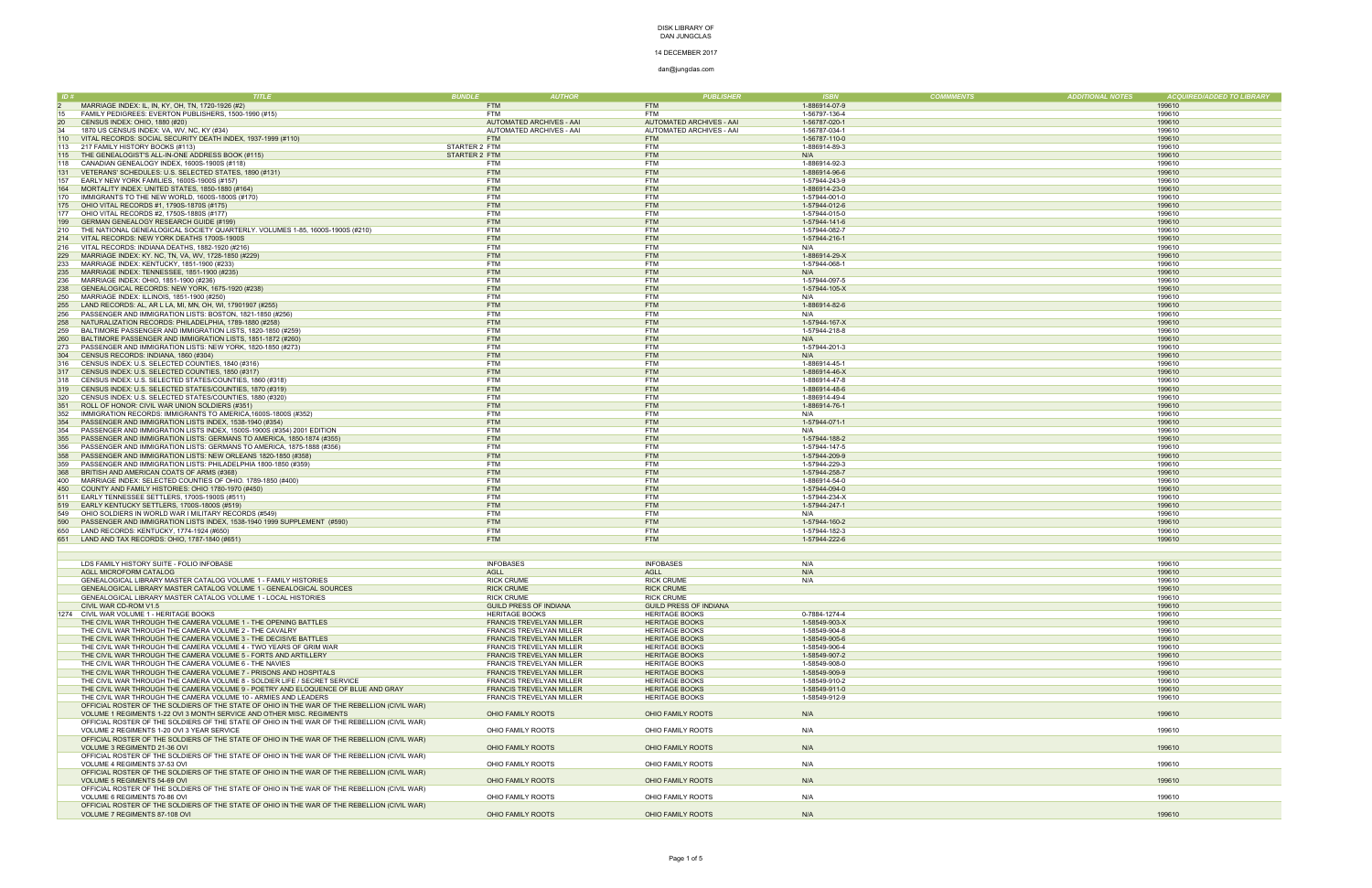### 14 DECEMBER 2017

|     |                                                                                              | ת וחמו ו <b>א</b><br><i><b>AUTHOR</b></i> | <i><b>PUBLISHER</b></i>       | - ISBI        | <b>COMMMENTS</b><br><b>ADDITIONAL NOTES</b> | ACQUIRED/ADDED TO LIBRARY |
|-----|----------------------------------------------------------------------------------------------|-------------------------------------------|-------------------------------|---------------|---------------------------------------------|---------------------------|
|     | MARRIAGE INDEX: IL, IN, KY, OH, TN, 1720-1926 (#2)                                           | <b>FTM</b>                                | <b>FTM</b>                    | 1-886914-07-9 |                                             | 199610                    |
| 15  | FAMILY PEDIGREES: EVERTON PUBLISHERS, 1500-1990 (#15)                                        | <b>FTM</b>                                | <b>FTM</b>                    | 1-56797-136-4 |                                             | 199610                    |
| 20  | CENSUS INDEX: OHIO, 1880 (#20)                                                               | AUTOMATED ARCHIVES - AAI                  | AUTOMATED ARCHIVES - AAI      | 1-56787-020-1 |                                             | 199610                    |
| 34  | 1870 US CENSUS INDEX: VA, WV, NC, KY (#34)                                                   | AUTOMATED ARCHIVES - AAI                  | AUTOMATED ARCHIVES - AAI      | 1-56787-034-1 |                                             | 199610                    |
| 110 | VITAL RECORDS: SOCIAL SECURITY DEATH INDEX, 1937-1999 (#110)                                 | <b>FTM</b>                                | <b>FTM</b>                    | 1-56787-110-0 |                                             | 199610                    |
| 113 | 217 FAMILY HISTORY BOOKS (#113)                                                              | STARTER 2 FTM                             | <b>FTM</b>                    | 1-886914-89-3 |                                             | 199610                    |
|     | THE GENEALOGIST'S ALL-IN-ONE ADDRESS BOOK (#115)                                             |                                           | <b>FTM</b>                    | N/A           |                                             |                           |
| 115 |                                                                                              | STARTER 2 FTM                             |                               |               |                                             | 199610                    |
| 118 | CANADIAN GENEALOGY INDEX, 1600S-1900S (#118)                                                 | FTM                                       | <b>FTM</b>                    | 1-886914-92-3 |                                             | 199610                    |
|     | VETERANS' SCHEDULES: U.S. SELECTED STATES, 1890 (#131)                                       | <b>FTM</b>                                | <b>FTM</b>                    | 1-886914-96-6 |                                             | 199610                    |
| 157 | EARLY NEW YORK FAMILIES, 1600S-1900S (#157)                                                  | <b>FTM</b>                                | <b>FTM</b>                    | 1-57944-243-9 |                                             | 199610                    |
| 164 | MORTALITY INDEX: UNITED STATES, 1850-1880 (#164)                                             | <b>FTM</b>                                | <b>FTM</b>                    | 1-886914-23-0 |                                             | 199610                    |
| 170 | IMMIGRANTS TO THE NEW WORLD, 1600S-1800S (#170)                                              | <b>FTM</b>                                | <b>FTM</b>                    | 1-57944-001-0 |                                             | 199610                    |
| 175 | OHIO VITAL RECORDS #1, 1790S-1870S (#175)                                                    | <b>FTM</b>                                | <b>FTM</b>                    | 1-57944-012-6 |                                             | 199610                    |
| 177 | OHIO VITAL RECORDS #2, 1750S-1880S (#177)                                                    | <b>FTM</b>                                | <b>FTM</b>                    | 1-57944-015-0 |                                             | 199610                    |
| 199 | GERMAN GENEALOGY RESEARCH GUIDE (#199)                                                       | <b>FTM</b>                                | <b>FTM</b>                    | 1-57944-141-6 |                                             | 199610                    |
| 210 | THE NATIONAL GENEALOGICAL SOCIETY QUARTERLY. VOLUMES 1-85, 1600S-1900S (#210)                | <b>FTM</b>                                | <b>FTM</b>                    | 1-57944-082-7 |                                             | 199610                    |
| 214 | VITAL RECORDS: NEW YORK DEATHS 1700S-1900S                                                   | <b>FTM</b>                                | <b>FTM</b>                    | 1-57944-216-1 |                                             | 199610                    |
| 216 | VITAL RECORDS: INDIANA DEATHS, 1882-1920 (#216)                                              | <b>FTM</b>                                | <b>FTM</b>                    | N/A           |                                             | 199610                    |
| 229 | MARRIAGE INDEX: KY. NC, TN, VA, WV, 1728-1850 (#229)                                         | <b>FTM</b>                                | <b>FTM</b>                    | 1-886914-29-X |                                             | 199610                    |
| 233 | MARRIAGE INDEX: KENTUCKY, 1851-1900 (#233)                                                   | <b>FTM</b>                                | <b>FTM</b>                    | 1-57944-068-1 |                                             | 199610                    |
|     |                                                                                              |                                           |                               |               |                                             |                           |
| 235 | MARRIAGE INDEX: TENNESSEE, 1851-1900 (#235)                                                  | <b>FTM</b>                                | <b>FTM</b>                    | N/A           |                                             | 199610                    |
| 236 | MARRIAGE INDEX: OHIO, 1851-1900 (#236)                                                       | <b>FTM</b>                                | <b>FTM</b>                    | 1-57944-097-5 |                                             | 199610                    |
| 238 | GENEALOGICAL RECORDS: NEW YORK, 1675-1920 (#238)                                             | <b>FTM</b>                                | <b>FTM</b>                    | 1-57944-105-X |                                             | 199610                    |
| 250 | MARRIAGE INDEX: ILLINOIS, 1851-1900 (#250)                                                   | <b>FTM</b>                                | <b>FTM</b>                    | N/A           |                                             | 199610                    |
| 255 | LAND RECORDS: AL, AR L LA, MI, MN, OH, WI, 17901907 (#255)                                   | <b>FTM</b>                                | <b>FTM</b>                    | 1-886914-82-6 |                                             | 199610                    |
| 256 | PASSENGER AND IMMIGRATION LISTS: BOSTON, 1821-1850 (#256)                                    | <b>FTM</b>                                | <b>FTM</b>                    | N/A           |                                             | 199610                    |
| 258 | NATURALIZATION RECORDS: PHILADELPHIA, 1789-1880 (#258)                                       | <b>FTM</b>                                | <b>FTM</b>                    | 1-57944-167-X |                                             | 199610                    |
| 259 | BALTIMORE PASSENGER AND IMMIGRATION LISTS, 1820-1850 (#259                                   | <b>FTM</b>                                | <b>FTM</b>                    | 1-57944-218-8 |                                             | 199610                    |
| 260 | BALTIMORE PASSENGER AND IMMIGRATION LISTS, 1851-1872 (#260)                                  | <b>FTM</b>                                | <b>FTM</b>                    | N/A           |                                             | 199610                    |
| 273 | PASSENGER AND IMMIGRATION LISTS: NEW YORK, 1820-1850 (#273)                                  | <b>FTM</b>                                | <b>FTM</b>                    | 1-57944-201-3 |                                             | 199610                    |
| 304 | CENSUS RECORDS: INDIANA, 1860 (#304)                                                         | <b>FTM</b>                                | <b>FTM</b>                    | N/A           |                                             | 199610                    |
| 316 | CENSUS INDEX: U.S. SELECTED COUNTIES, 1840 (#316)                                            | <b>FTM</b>                                | <b>FTM</b>                    | 1-886914-45-1 |                                             | 199610                    |
| 317 | CENSUS INDEX: U.S. SELECTED COUNTIES, 1850 (#317)                                            | <b>FTM</b>                                | <b>FTM</b>                    | 1-886914-46-X |                                             | 199610                    |
|     |                                                                                              | <b>FTM</b>                                | <b>FTM</b>                    |               |                                             | 199610                    |
| 318 | CENSUS INDEX: U.S. SELECTED STATES/COUNTIES, 1860 (#318)                                     |                                           |                               | 1-886914-47-8 |                                             |                           |
| 319 | CENSUS INDEX: U.S. SELECTED STATES/COUNTIES, 1870 (#319)                                     | <b>FTM</b>                                | <b>FTM</b>                    | 1-886914-48-6 |                                             | 199610                    |
| 320 | CENSUS INDEX: U.S. SELECTED STATES/COUNTIES, 1880 (#320)                                     | <b>FTM</b>                                | <b>FTM</b>                    | 1-886914-49-4 |                                             | 199610                    |
| 351 | ROLL OF HONOR: CIVIL WAR UNION SOLDIERS (#351)                                               | <b>FTM</b>                                | <b>FTM</b>                    | 1-886914-76-1 |                                             | 199610                    |
| 352 | IMMIGRATION RECORDS: IMMIGRANTS TO AMERICA, 1600S-1800S (#352)                               | <b>FTM</b>                                | <b>FTM</b>                    | N/A           |                                             | 199610                    |
| 354 | PASSENGER AND IMMIGRATION LISTS INDEX, 1538-1940 (#354)                                      | <b>FTM</b>                                | <b>FTM</b>                    | 1-57944-071-1 |                                             | 199610                    |
| 354 | PASSENGER AND IMMIGRATION LISTS INDEX, 1500S-1900S (#354) 2001 EDITION                       | <b>FTM</b>                                | <b>FTM</b>                    | N/A           |                                             | 199610                    |
| 355 | PASSENGER AND IMMIGRATION LISTS: GERMANS TO AMERICA, 1850-1874 (#355)                        | <b>FTM</b>                                | <b>FTM</b>                    | 1-57944-188-2 |                                             | 199610                    |
| 356 | PASSENGER AND IMMIGRATION LISTS: GERMANS TO AMERICA, 1875-1888 (#356)                        | <b>FTM</b>                                | <b>FTM</b>                    | 1-57944-147-5 |                                             | 199610                    |
| 358 | PASSENGER AND IMMIGRATION LISTS: NEW ORLEANS 1820-1850 (#358                                 | <b>FTM</b>                                | <b>FTM</b>                    | 1-57944-209-9 |                                             | 199610                    |
| 359 | PASSENGER AND IMMIGRATION LISTS: PHILADELPHIA 1800-1850 (#359)                               | <b>FTM</b>                                | <b>FTM</b>                    | 1-57944-229-3 |                                             | 199610                    |
| 368 | BRITISH AND AMERICAN COATS OF ARMS (#368)                                                    | <b>FTM</b>                                | <b>FTM</b>                    | 1-57944-258-7 |                                             | 199610                    |
| 400 | MARRIAGE INDEX: SELECTED COUNTIES OF OHIO. 1789-1850 (#400)                                  | <b>FTM</b>                                | <b>FTM</b>                    | 1-886914-54-0 |                                             | 199610                    |
| 450 | COUNTY AND FAMILY HISTORIES: OHIO 1780-1970 (#450)                                           | <b>FTM</b>                                | <b>FTM</b>                    | 1-57944-094-0 |                                             | 199610                    |
|     |                                                                                              | <b>FTM</b>                                | <b>FTM</b>                    | 1-57944-234-X |                                             | 199610                    |
| 511 | EARLY TENNESSEE SETTLERS, 1700S-1900S (#511)                                                 |                                           |                               |               |                                             |                           |
| 519 | EARLY KENTUCKY SETTLERS, 1700S-1800S (#519)                                                  | <b>FTM</b>                                | <b>FTM</b>                    | 1-57944-247-1 |                                             | 199610                    |
| 549 | OHIO SOLDIERS IN WORLD WAR I MILITARY RECORDS (#549)                                         | <b>FTM</b>                                | <b>FTM</b>                    | N/A           |                                             | 199610                    |
| 590 | PASSENGER AND IMMIGRATION LISTS INDEX, 1538-1940 1999 SUPPLEMENT (#590)                      | <b>FTM</b>                                | <b>FTM</b>                    | 1-57944-160-2 |                                             | 199610                    |
| 650 | LAND RECORDS: KENTUCKY, 1774-1924 (#650)                                                     | <b>FTM</b>                                | <b>FTM</b>                    | 1-57944-182-3 |                                             | 199610                    |
|     | 651 LAND AND TAX RECORDS: OHIO, 1787-1840 (#651)                                             | <b>FTM</b>                                | <b>FTM</b>                    | 1-57944-222-6 |                                             | 199610                    |
|     |                                                                                              |                                           |                               |               |                                             |                           |
|     |                                                                                              |                                           |                               |               |                                             |                           |
|     | LDS FAMILY HISTORY SUITE - FOLIO INFOBASE                                                    | <b>INFOBASES</b>                          | <b>INFOBASES</b>              | N/A           |                                             | 199610                    |
|     | AGLL MICROFORM CATALOG                                                                       | <b>AGLL</b>                               | <b>AGLL</b>                   | N/A           |                                             | 199610                    |
|     | GENEALOGICAL LIBRARY MASTER CATALOG VOLUME 1 - FAMILY HISTORIES                              | <b>RICK CRUME</b>                         | <b>RICK CRUME</b>             | N/A           |                                             | 199610                    |
|     | GENEALOGICAL LIBRARY MASTER CATALOG VOLUME 1 - GENEALOGICAL SOURCES                          | <b>RICK CRUME</b>                         | <b>RICK CRUME</b>             |               |                                             | 199610                    |
|     | GENEALOGICAL LIBRARY MASTER CATALOG VOLUME 1 - LOCAL HISTORIES                               | <b>RICK CRUME</b>                         | <b>RICK CRUME</b>             |               |                                             | 199610                    |
|     | CIVIL WAR CD-ROM V1.5                                                                        | <b>GUILD PRESS OF INDIANA</b>             | <b>GUILD PRESS OF INDIANA</b> |               |                                             | 199610                    |
|     | 1274 CIVIL WAR VOLUME 1 - HERITAGE BOOKS                                                     | <b>HERITAGE BOOKS</b>                     | <b>HERITAGE BOOKS</b>         | 0-7884-1274-4 |                                             | 199610                    |
|     | THE CIVIL WAR THROUGH THE CAMERA VOLUME 1 - THE OPENING BATTLES                              | <b>FRANCIS TREVELYAN MILLER</b>           | <b>HERITAGE BOOKS</b>         |               |                                             | 199610                    |
|     |                                                                                              |                                           |                               | 1-58549-903-X |                                             |                           |
|     | THE CIVIL WAR THROUGH THE CAMERA VOLUME 2 - THE CAVALRY                                      | <b>FRANCIS TREVELYAN MILLER</b>           | <b>HERITAGE BOOKS</b>         | 1-58549-904-8 |                                             | 199610                    |
|     | THE CIVIL WAR THROUGH THE CAMERA VOLUME 3 - THE DECISIVE BATTLES                             | <b>FRANCIS TREVELYAN MILLER</b>           | <b>HERITAGE BOOKS</b>         | 1-58549-905-6 |                                             | 199610                    |
|     | THE CIVIL WAR THROUGH THE CAMERA VOLUME 4 - TWO YEARS OF GRIM WAR                            | <b>FRANCIS TREVELYAN MILLER</b>           | <b>HERITAGE BOOKS</b>         | 1-58549-906-4 |                                             | 199610                    |
|     | THE CIVIL WAR THROUGH THE CAMERA VOLUME 5 - FORTS AND ARTILLERY                              | <b>FRANCIS TREVELYAN MILLER</b>           | <b>HERITAGE BOOKS</b>         | 1-58549-907-2 |                                             | 199610                    |
|     | THE CIVIL WAR THROUGH THE CAMERA VOLUME 6 - THE NAVIES                                       | <b>FRANCIS TREVELYAN MILLER</b>           | <b>HERITAGE BOOKS</b>         | 1-58549-908-0 |                                             | 199610                    |
|     | THE CIVIL WAR THROUGH THE CAMERA VOLUME 7 - PRISONS AND HOSPITALS                            | <b>FRANCIS TREVELYAN MILLER</b>           | <b>HERITAGE BOOKS</b>         | 1-58549-909-9 |                                             | 199610                    |
|     | THE CIVIL WAR THROUGH THE CAMERA VOLUME 8 - SOLDIER LIFE / SECRET SERVICE                    | <b>FRANCIS TREVELYAN MILLER</b>           | <b>HERITAGE BOOKS</b>         | 1-58549-910-2 |                                             | 199610                    |
|     | THE CIVIL WAR THROUGH THE CAMERA VOLUME 9 - POETRY AND ELOQUENCE OF BLUE AND GRAY            | <b>FRANCIS TREVELYAN MILLER</b>           | <b>HERITAGE BOOKS</b>         | 1-58549-911-0 |                                             | 199610                    |
|     | THE CIVIL WAR THROUGH THE CAMERA VOLUME 10 - ARMIES AND LEADERS                              | FRANCIS TREVELYAN MILLER                  | <b>HERITAGE BOOKS</b>         | 1-58549-912-9 |                                             | 199610                    |
|     | OFFICIAL ROSTER OF THE SOLDIERS OF THE STATE OF OHIO IN THE WAR OF THE REBELLION (CIVIL WAR) |                                           |                               |               |                                             |                           |
|     | VOLUME 1 REGIMENTS 1-22 OVI 3 MONTH SERVICE AND OTHER MISC. REGIMENTS                        | OHIO FAMILY ROOTS                         | OHIO FAMILY ROOTS             | N/A           |                                             | 199610                    |
|     | OFFICIAL ROSTER OF THE SOLDIERS OF THE STATE OF OHIO IN THE WAR OF THE REBELLION (CIVIL WAR) |                                           |                               |               |                                             |                           |
|     |                                                                                              |                                           | OHIO FAMILY ROOTS             |               |                                             |                           |
|     | VOLUME 2 REGIMENTS 1-20 OVI 3 YEAR SERVICE                                                   | OHIO FAMILY ROOTS                         |                               | N/A           |                                             | 199610                    |
|     | OFFICIAL ROSTER OF THE SOLDIERS OF THE STATE OF OHIO IN THE WAR OF THE REBELLION (CIVIL WAR) |                                           |                               |               |                                             |                           |
|     | VOLUME 3 REGIMENTD 21-36 OVI                                                                 | OHIO FAMILY ROOTS                         | OHIO FAMILY ROOTS             | N/A           |                                             | 199610                    |
|     | OFFICIAL ROSTER OF THE SOLDIERS OF THE STATE OF OHIO IN THE WAR OF THE REBELLION (CIVIL WAR) |                                           |                               |               |                                             |                           |
|     | VOLUME 4 REGIMENTS 37-53 OVI                                                                 | OHIO FAMILY ROOTS                         | OHIO FAMILY ROOTS             | N/A           |                                             | 199610                    |
|     | OFFICIAL ROSTER OF THE SOLDIERS OF THE STATE OF OHIO IN THE WAR OF THE REBELLION (CIVIL WAR) |                                           |                               |               |                                             |                           |
|     | VOLUME 5 REGIMENTS 54-69 OVI                                                                 | OHIO FAMILY ROOTS                         | OHIO FAMILY ROOTS             | N/A           |                                             | 199610                    |
|     | OFFICIAL ROSTER OF THE SOLDIERS OF THE STATE OF OHIO IN THE WAR OF THE REBELLION (CIVIL WAR) |                                           |                               |               |                                             |                           |
|     | VOLUME 6 REGIMENTS 70-86 OVI                                                                 | OHIO FAMILY ROOTS                         | OHIO FAMILY ROOTS             | N/A           |                                             | 199610                    |
|     | OFFICIAL ROSTER OF THE SOLDIERS OF THE STATE OF OHIO IN THE WAR OF THE REBELLION (CIVIL WAR) |                                           |                               |               |                                             |                           |
|     | VOLUME 7 REGIMENTS 87-108 OVI                                                                | OHIO FAMILY ROOTS                         | OHIO FAMILY ROOTS             | N/A           |                                             | 199610                    |
|     |                                                                                              |                                           |                               |               |                                             |                           |

| <b>ADDITIONAL NOTES</b> | <b>ACQUIRED/ADDED TO LIBRARY</b> |
|-------------------------|----------------------------------|
|                         | 199610                           |
|                         | 199610                           |
|                         | 199610                           |
|                         | 199610                           |
|                         | 199610<br>199610                 |
|                         | 199610                           |
|                         | 199610                           |
|                         | 199610                           |
|                         | 199610                           |
|                         | 199610                           |
|                         | 199610                           |
|                         | 199610<br>199610                 |
|                         | 199610                           |
|                         | 199610                           |
|                         | 199610                           |
|                         | 199610                           |
|                         | 199610                           |
|                         | 199610                           |
|                         | 199610                           |
|                         | 199610<br>199610                 |
|                         | 199610                           |
|                         | 199610                           |
|                         | 199610                           |
|                         | 199610                           |
|                         | 199610                           |
|                         | 199610                           |
|                         | 199610                           |
|                         | 199610<br>199610                 |
|                         | 199610                           |
|                         | 199610                           |
|                         | 199610                           |
|                         | 199610                           |
|                         | 199610                           |
|                         | 199610                           |
|                         | 199610                           |
|                         | 199610<br>199610                 |
|                         | 199610                           |
|                         | 199610                           |
|                         | 199610                           |
|                         | 199610                           |
|                         | 199610                           |
|                         | 199610                           |
|                         | 199610                           |
|                         | 199610<br>199610                 |
|                         | 199610                           |
|                         | 199610                           |
|                         | 199610                           |
|                         |                                  |
|                         |                                  |
|                         | 199610                           |
|                         | 199610<br>199610                 |
|                         | 199610                           |
|                         | 199610                           |
|                         | 199610                           |
|                         | 199610                           |
|                         | 199610                           |
|                         | 199610<br>199610                 |
|                         | 199610                           |
|                         | 199610                           |
|                         | 199610                           |
|                         | 199610                           |
|                         | 199610                           |
|                         | 199610                           |
|                         | 199610                           |
|                         | 199610                           |
|                         |                                  |
|                         | 199610                           |
|                         |                                  |
|                         | 199610                           |
|                         |                                  |
|                         | 199610                           |
|                         | 199610                           |
|                         |                                  |
|                         | 199610                           |
|                         |                                  |
|                         | 199610                           |
|                         |                                  |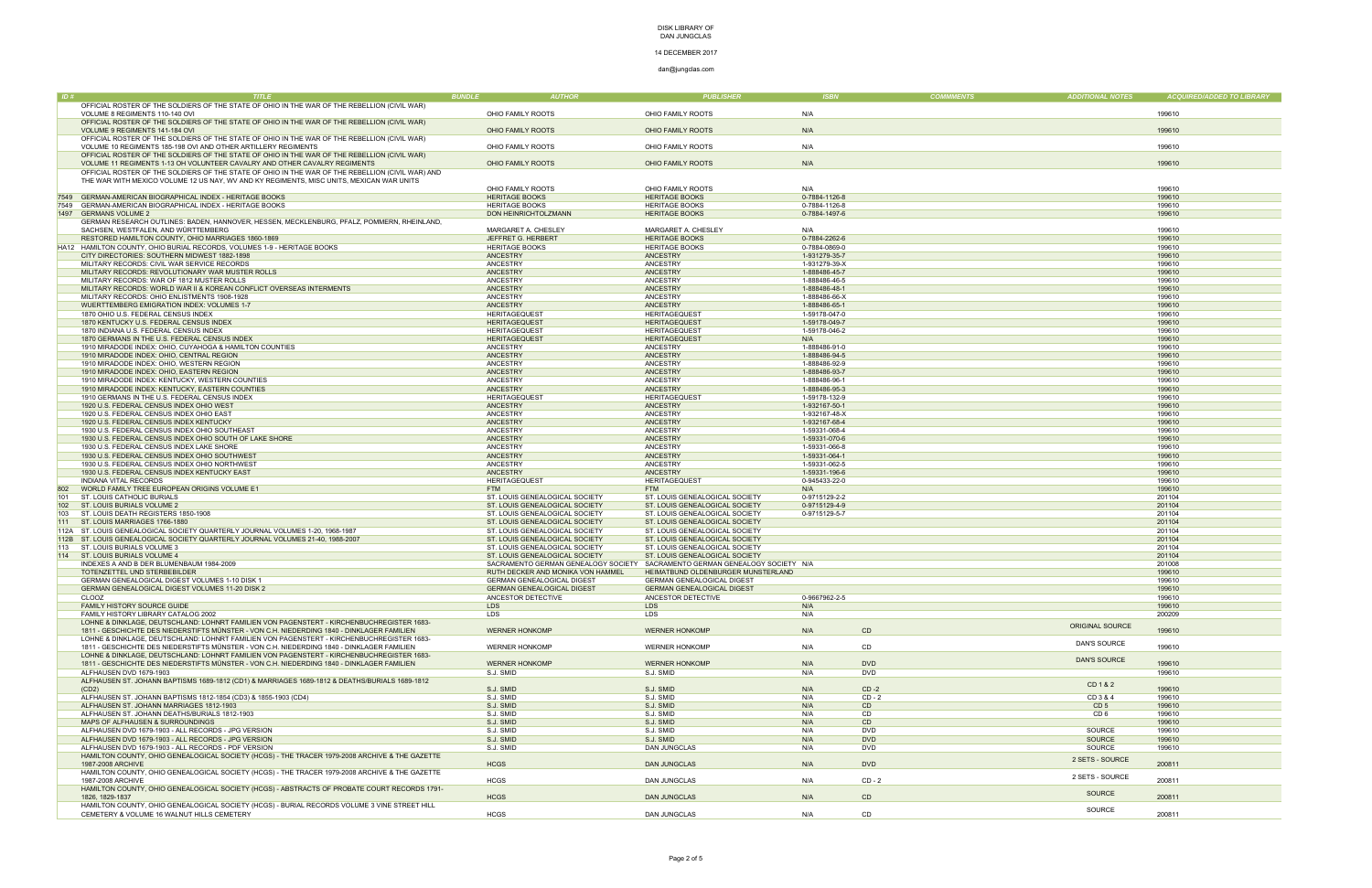## 14 DECEMBER 2017

| ID#        | <b>TITLE</b>                                                                                                                      | <b>BUNDLE</b>                             | <b>AUTHOR</b>          | <b>PUBLISHER</b>                                                            | <b>ISBN</b>          | <b>COMMMENTS</b>    | <b>ADDITIONAL NOTES</b> | <b>ACQUIRED/ADDED TO LIBRARY</b> |
|------------|-----------------------------------------------------------------------------------------------------------------------------------|-------------------------------------------|------------------------|-----------------------------------------------------------------------------|----------------------|---------------------|-------------------------|----------------------------------|
|            | OFFICIAL ROSTER OF THE SOLDIERS OF THE STATE OF OHIO IN THE WAR OF THE REBELLION (CIVIL WAR)                                      |                                           |                        |                                                                             |                      |                     |                         |                                  |
|            | VOLUME 8 REGIMENTS 110-140 OVI                                                                                                    | OHIO FAMILY ROOTS                         |                        | OHIO FAMILY ROOTS                                                           | N/A                  |                     |                         | 199610                           |
|            | OFFICIAL ROSTER OF THE SOLDIERS OF THE STATE OF OHIO IN THE WAR OF THE REBELLION (CIVIL WAR)                                      |                                           |                        |                                                                             |                      |                     |                         |                                  |
|            | VOLUME 9 REGIMENTS 141-184 OVI                                                                                                    | OHIO FAMILY ROOTS                         |                        | OHIO FAMILY ROOTS                                                           | N/A                  |                     |                         | 199610                           |
|            | OFFICIAL ROSTER OF THE SOLDIERS OF THE STATE OF OHIO IN THE WAR OF THE REBELLION (CIVIL WAR)                                      |                                           |                        |                                                                             |                      |                     |                         |                                  |
|            | VOLUME 10 REGIMENTS 185-198 OVI AND OTHER ARTILLERY REGIMENTS                                                                     | OHIO FAMILY ROOTS                         |                        | OHIO FAMILY ROOTS                                                           | N/A                  |                     |                         | 199610                           |
|            | OFFICIAL ROSTER OF THE SOLDIERS OF THE STATE OF OHIO IN THE WAR OF THE REBELLION (CIVIL WAR)                                      |                                           |                        |                                                                             |                      |                     |                         |                                  |
|            | VOLUME 11 REGIMENTS 1-13 OH VOLUNTEER CAVALRY AND OTHER CAVALRY REGIMENTS                                                         | OHIO FAMILY ROOTS                         |                        | OHIO FAMILY ROOTS                                                           | N/A                  |                     |                         | 199610                           |
|            | OFFICIAL ROSTER OF THE SOLDIERS OF THE STATE OF OHIO IN THE WAR OF THE REBELLION (CIVIL WAR) AND                                  |                                           |                        |                                                                             |                      |                     |                         |                                  |
|            | THE WAR WITH MEXICO VOLUME 12 US NAY, WV AND KY REGIMENTS, MISC UNITS, MEXICAN WAR UNITS                                          |                                           |                        |                                                                             |                      |                     |                         |                                  |
|            |                                                                                                                                   | OHIO FAMILY ROOTS                         |                        | OHIO FAMILY ROOTS                                                           | N/A                  |                     |                         | 199610                           |
| 7549       | GERMAN-AMERICAN BIOGRAPHICAL INDEX - HERITAGE BOOKS                                                                               | <b>HERITAGE BOOKS</b>                     |                        | <b>HERITAGE BOOKS</b>                                                       | 0-7884-1126-8        |                     |                         | 199610                           |
| 7549       | GERMAN-AMERICAN BIOGRAPHICAL INDEX - HERITAGE BOOKS                                                                               | <b>HERITAGE BOOKS</b>                     |                        | <b>HERITAGE BOOKS</b>                                                       | 0-7884-1126-8        |                     |                         | 199610                           |
|            | 1497 GERMANS VOLUME 2                                                                                                             | DON HEINRICHTOLZMANN                      |                        | <b>HERITAGE BOOKS</b>                                                       | 0-7884-1497-6        |                     |                         | 199610                           |
|            | GERMAN RESEARCH OUTLINES: BADEN, HANNOVER, HESSEN, MECKLENBURG, PFALZ, POMMERN, RHEINLAND,<br>SACHSEN, WESTFALEN, AND WÜRTTEMBERG |                                           |                        | MARGARET A. CHESLEY                                                         | N/A                  |                     |                         | 199610                           |
|            | RESTORED HAMILTON COUNTY, OHIO MARRIAGES 1860-1869                                                                                | MARGARET A. CHESLEY<br>JEFFRET G. HERBERT |                        | <b>HERITAGE BOOKS</b>                                                       | 0-7884-2262-6        |                     |                         | 199610                           |
|            | HA12 HAMILTON COUNTY, OHIO BURIAL RECORDS, VOLUMES 1-9 - HERITAGE BOOKS                                                           | <b>HERITAGE BOOKS</b>                     |                        | <b>HERITAGE BOOKS</b>                                                       | 0-7884-0869-0        |                     |                         | 199610                           |
|            | CITY DIRECTORIES: SOUTHERN MIDWEST 1882-1898                                                                                      | ANCESTRY                                  | ANCESTRY               |                                                                             | 1-931279-35-7        |                     |                         | 199610                           |
|            | MILITARY RECORDS: CIVIL WAR SERVICE RECORDS                                                                                       | ANCESTRY                                  | <b>ANCESTRY</b>        |                                                                             | 1-931279-39-X        |                     |                         | 199610                           |
|            | MILITARY RECORDS: REVOLUTIONARY WAR MUSTER ROLLS                                                                                  | ANCESTRY                                  | <b>ANCESTRY</b>        |                                                                             | 1-888486-45-7        |                     |                         | 199610                           |
|            | MILITARY RECORDS: WAR OF 1812 MUSTER ROLLS                                                                                        | ANCESTRY                                  | <b>ANCESTRY</b>        |                                                                             | 1-888486-46-5        |                     |                         | 199610                           |
|            | MILITARY RECORDS: WORLD WAR II & KOREAN CONFLICT OVERSEAS INTERMENTS                                                              | <b>ANCESTRY</b>                           | <b>ANCESTRY</b>        |                                                                             | 1-888486-48-1        |                     |                         | 199610                           |
|            | MILITARY RECORDS: OHIO ENLISTMENTS 1908-1928                                                                                      | ANCESTRY                                  | <b>ANCESTRY</b>        |                                                                             | 1-888486-66-X        |                     |                         | 199610                           |
|            | WUERTTEMBERG EMIGRATION INDEX: VOLUMES 1-7                                                                                        | <b>ANCESTRY</b>                           | <b>ANCESTRY</b>        |                                                                             | 1-888486-65-1        |                     |                         | 199610                           |
|            | 1870 OHIO U.S. FEDERAL CENSUS INDEX                                                                                               | <b>HERITAGEQUEST</b>                      |                        | <b>HERITAGEQUEST</b>                                                        | 1-59178-047-0        |                     |                         | 199610                           |
|            | 1870 KENTUCKY U.S. FEDERAL CENSUS INDEX                                                                                           | <b>HERITAGEQUEST</b>                      |                        | <b>HERITAGEQUEST</b>                                                        | 1-59178-049-7        |                     |                         | 199610                           |
|            | 1870 INDIANA U.S. FEDERAL CENSUS INDEX                                                                                            | <b>HERITAGEQUEST</b>                      |                        | <b>HERITAGEQUEST</b>                                                        | 1-59178-046-2        |                     |                         | 199610                           |
|            | 1870 GERMANS IN THE U.S. FEDERAL CENSUS INDEX                                                                                     | <b>HERITAGEQUEST</b>                      |                        | <b>HERITAGEQUEST</b>                                                        | N/A                  |                     |                         | 199610                           |
|            | 1910 MIRADODE INDEX: OHIO, CUYAHOGA & HAMILTON COUNTIES                                                                           | ANCESTRY                                  | <b>ANCESTRY</b>        |                                                                             | 1-888486-91-0        |                     |                         | 199610                           |
|            | 1910 MIRADODE INDEX: OHIO, CENTRAL REGION                                                                                         | <b>ANCESTRY</b>                           | <b>ANCESTRY</b>        |                                                                             | 1-888486-94-5        |                     |                         | 199610                           |
|            | 1910 MIRADODE INDEX: OHIO, WESTERN REGION                                                                                         | ANCESTRY                                  | <b>ANCESTRY</b>        |                                                                             | 1-888486-92-9        |                     |                         | 199610                           |
|            | 1910 MIRADODE INDEX: OHIO, EASTERN REGION                                                                                         | ANCESTRY                                  | <b>ANCESTRY</b>        |                                                                             | 1-888486-93-7        |                     |                         | 199610                           |
|            | 1910 MIRADODE INDEX: KENTUCKY, WESTERN COUNTIES                                                                                   | ANCESTRY                                  | <b>ANCESTRY</b>        |                                                                             | 1-888486-96-1        |                     |                         | 199610                           |
|            | 1910 MIRADODE INDEX: KENTUCKY, EASTERN COUNTIES                                                                                   | <b>ANCESTRY</b>                           | ANCESTRY               |                                                                             | 1-888486-95-3        |                     |                         | 199610                           |
|            | 1910 GERMANS IN THE U.S. FEDERAL CENSUS INDEX                                                                                     | <b>HERITAGEQUEST</b>                      |                        | <b>HERITAGEQUEST</b>                                                        | 1-59178-132-9        |                     |                         | 199610                           |
|            | 1920 U.S. FEDERAL CENSUS INDEX OHIO WEST                                                                                          | ANCESTRY                                  | <b>ANCESTRY</b>        |                                                                             | 1-932167-50-1        |                     |                         | 199610                           |
|            | 1920 U.S. FEDERAL CENSUS INDEX OHIO EAST                                                                                          | ANCESTRY                                  | ANCESTRY               |                                                                             | 1-932167-48-X        |                     |                         | 199610                           |
|            | 1920 U.S. FEDERAL CENSUS INDEX KENTUCKY                                                                                           | <b>ANCESTRY</b>                           | <b>ANCESTRY</b>        |                                                                             | 1-932167-68-4        |                     |                         | 199610                           |
|            | 1930 U.S. FEDERAL CENSUS INDEX OHIO SOUTHEAST                                                                                     | ANCESTRY                                  | ANCESTRY               |                                                                             | 1-59331-068-4        |                     |                         | 199610                           |
|            | 1930 U.S. FEDERAL CENSUS INDEX OHIO SOUTH OF LAKE SHORE                                                                           | <b>ANCESTRY</b>                           | ANCESTRY               |                                                                             | 1-59331-070-6        |                     |                         | 199610                           |
|            | 1930 U.S. FEDERAL CENSUS INDEX LAKE SHORE                                                                                         | ANCESTRY                                  | <b>ANCESTRY</b>        |                                                                             | 1-59331-066-8        |                     |                         | 199610                           |
|            | 1930 U.S. FEDERAL CENSUS INDEX OHIO SOUTHWEST                                                                                     | <b>ANCESTRY</b>                           | ANCESTRY               |                                                                             | 1-59331-064-1        |                     |                         | 199610                           |
|            | 1930 U.S. FEDERAL CENSUS INDEX OHIO NORTHWEST                                                                                     | ANCESTRY                                  | <b>ANCESTRY</b>        |                                                                             | 1-59331-062-5        |                     |                         | 199610                           |
|            | 1930 U.S. FEDERAL CENSUS INDEX KENTUCKY EAST                                                                                      | <b>ANCESTRY</b>                           | <b>ANCESTRY</b>        |                                                                             | 1-59331-196-6        |                     |                         | 199610                           |
|            | <b>INDIANA VITAL RECORDS</b>                                                                                                      | <b>HERITAGEQUEST</b><br><b>FTM</b>        |                        | <b>HERITAGEQUEST</b>                                                        | 0-945433-22-0        |                     |                         | 199610                           |
| 802<br>101 | WORLD FAMILY TREE EUROPEAN ORIGINS VOLUME E1<br>ST. LOUIS CATHOLIC BURIALS                                                        | ST. LOUIS GENEALOGICAL SOCIETY            | <b>FTM</b>             | ST. LOUIS GENEALOGICAL SOCIETY                                              | N/A<br>0-9715129-2-2 |                     |                         | 199610<br>201104                 |
| 102        | ST. LOUIS BURIALS VOLUME 2                                                                                                        | ST. LOUIS GENEALOGICAL SOCIETY            |                        | ST. LOUIS GENEALOGICAL SOCIETY                                              | 0-9715129-4-9        |                     |                         | 201104                           |
| 103        | ST. LOUIS DEATH REGISTERS 1850-1908                                                                                               | ST. LOUIS GENEALOGICAL SOCIETY            |                        | ST. LOUIS GENEALOGICAL SOCIETY                                              | 0-9715129-5-7        |                     |                         | 201104                           |
|            | ST. LOUIS MARRIAGES 1766-1880                                                                                                     | ST. LOUIS GENEALOGICAL SOCIETY            |                        | ST. LOUIS GENEALOGICAL SOCIETY                                              |                      |                     |                         | 201104                           |
|            | 112A ST. LOUIS GENEALOGICAL SOCIETY QUARTERLY JOURNAL VOLUMES 1-20, 1968-1987                                                     | ST. LOUIS GENEALOGICAL SOCIETY            |                        | ST. LOUIS GENEALOGICAL SOCIETY                                              |                      |                     |                         | 201104                           |
|            | 12B ST. LOUIS GENEALOGICAL SOCIETY QUARTERLY JOURNAL VOLUMES 21-40, 1988-2007                                                     | ST. LOUIS GENEALOGICAL SOCIETY            |                        | ST. LOUIS GENEALOGICAL SOCIETY                                              |                      |                     |                         | 201104                           |
| 113        | ST. LOUIS BURIALS VOLUME 3                                                                                                        | ST. LOUIS GENEALOGICAL SOCIETY            |                        | ST. LOUIS GENEALOGICAL SOCIETY                                              |                      |                     |                         | 201104                           |
|            | 114 ST. LOUIS BURIALS VOLUME 4                                                                                                    | ST. LOUIS GENEALOGICAL SOCIETY            |                        | ST. LOUIS GENEALOGICAL SOCIETY                                              |                      |                     |                         | 201104                           |
|            | INDEXES A AND B DER BLUMENBAUM 1984-2009                                                                                          |                                           |                        | SACRAMENTO GERMAN GENEALOGY SOCIETY SACRAMENTO GERMAN GENEALOGY SOCIETY N/A |                      |                     |                         | 201008                           |
|            | TOTENZETTEL UND STERBEBILDER                                                                                                      | RUTH DECKER AND MONIKA VON HAMMEL         |                        | HEIMATBUND OLDENBURGER MUNSTERLAND                                          |                      |                     |                         | 199610                           |
|            | GERMAN GENEALOGICAL DIGEST VOLUMES 1-10 DISK 1                                                                                    | <b>GERMAN GENEALOGICAL DIGEST</b>         |                        | <b>GERMAN GENEALOGICAL DIGEST</b>                                           |                      |                     |                         | 199610                           |
|            | GERMAN GENEALOGICAL DIGEST VOLUMES 11-20 DISK 2                                                                                   | <b>GERMAN GENEALOGICAL DIGEST</b>         |                        | <b>GERMAN GENEALOGICAL DIGEST</b>                                           |                      |                     |                         | 199610                           |
|            | CLOOZ                                                                                                                             | ANCESTOR DETECTIVE                        |                        | ANCESTOR DETECTIVE                                                          | 0-9667962-2-5        |                     |                         | 199610                           |
|            | FAMILY HISTORY SOURCE GUIDE                                                                                                       | <b>LDS</b>                                | <b>LDS</b>             |                                                                             | N/A                  |                     |                         | 199610                           |
|            | FAMILY HISTORY LIBRARY CATALOG 2002                                                                                               | LDS                                       | LDS                    |                                                                             | N/A                  |                     |                         | 200209                           |
|            | LOHNE & DINKLAGE, DEUTSCHLAND: LOHNRT FAMILIEN VON PAGENSTERT - KIRCHENBUCHREGISTER 1683-                                         |                                           |                        |                                                                             |                      |                     | <b>ORIGINAL SOURCE</b>  |                                  |
|            | 1811 - GESCHICHTE DES NIEDERSTIFTS MÜNSTER - VON C.H. NIEDERDING 1840 - DINKLAGER FAMILIEN                                        | <b>WERNER HONKOMP</b>                     |                        | <b>WERNER HONKOMP</b>                                                       | N/A                  | CD                  |                         | 199610                           |
|            | LOHNE & DINKLAGE, DEUTSCHLAND: LOHNRT FAMILIEN VON PAGENSTERT - KIRCHENBUCHREGISTER 1683-                                         |                                           |                        |                                                                             |                      |                     | <b>DAN'S SOURCE</b>     |                                  |
|            | 1811 - GESCHICHTE DES NIEDERSTIFTS MÜNSTER - VON C.H. NIEDERDING 1840 - DINKLAGER FAMILIEN                                        | <b>WERNER HONKOMP</b>                     |                        | <b>WERNER HONKOMP</b>                                                       | N/A                  | CD                  |                         | 199610                           |
|            | LOHNE & DINKLAGE, DEUTSCHLAND: LOHNRT FAMILIEN VON PAGENSTERT - KIRCHENBUCHREGISTER 1683-                                         |                                           |                        |                                                                             |                      |                     | <b>DAN'S SOURCE</b>     |                                  |
|            | 1811 - GESCHICHTE DES NIEDERSTIFTS MÜNSTER - VON C.H. NIEDERDING 1840 - DINKLAGER FAMILIEN                                        | <b>WERNER HONKOMP</b>                     |                        | <b>WERNER HONKOMP</b>                                                       | N/A                  | <b>DVD</b>          |                         | 199610                           |
|            | ALFHAUSEN DVD 1679-1903                                                                                                           | S.J. SMID                                 | S.J. SMID              |                                                                             | N/A                  | <b>DVD</b>          |                         | 199610                           |
|            | ALFHAUSEN ST. JOHANN BAPTISMS 1689-1812 (CD1) & MARRIAGES 1689-1812 & DEATHS/BURIALS 1689-1812                                    |                                           |                        |                                                                             |                      |                     | CD 1 & 2                |                                  |
|            | (CD2)<br>ALFHAUSEN ST. JOHANN BAPTISMS 1812-1854 (CD3) & 1855-1903 (CD4)                                                          | S.J. SMID<br>S.J. SMID                    | S.J. SMID<br>S.J. SMID |                                                                             | N/A<br>N/A           | $CD -2$<br>$CD - 2$ | CD 3 & 4                | 199610<br>199610                 |
|            | ALFHAUSEN ST. JOHANN MARRIAGES 1812-1903                                                                                          | S.J. SMID                                 | S.J. SMID              |                                                                             | N/A                  | CD                  | CD <sub>5</sub>         | 199610                           |
|            | ALFHAUSEN ST. JOHANN DEATHS/BURIALS 1812-1903                                                                                     | S.J. SMID                                 | S.J. SMID              |                                                                             | N/A                  | <b>CD</b>           | CD <sub>6</sub>         | 199610                           |
|            | MAPS OF ALFHAUSEN & SURROUNDINGS                                                                                                  | S.J. SMID                                 | S.J. SMID              |                                                                             | N/A                  | C <sub>D</sub>      |                         | 199610                           |
|            | ALFHAUSEN DVD 1679-1903 - ALL RECORDS - JPG VERSION                                                                               | S.J. SMID                                 | S.J. SMID              |                                                                             | N/A                  | <b>DVD</b>          | SOURCE                  | 199610                           |
|            | ALFHAUSEN DVD 1679-1903 - ALL RECORDS - JPG VERSION                                                                               | S.J. SMID                                 | S.J. SMID              |                                                                             | N/A                  | <b>DVD</b>          | SOURCE                  | 199610                           |
|            | ALFHAUSEN DVD 1679-1903 - ALL RECORDS - PDF VERSION                                                                               | S.J. SMID                                 |                        | <b>DAN JUNGCLAS</b>                                                         | N/A                  | <b>DVD</b>          | SOURCE                  | 199610                           |
|            | HAMILTON COUNTY, OHIO GENEALOGICAL SOCIETY (HCGS) - THE TRACER 1979-2008 ARCHIVE & THE GAZETTE                                    |                                           |                        |                                                                             |                      |                     |                         |                                  |
|            | 1987-2008 ARCHIVE                                                                                                                 | <b>HCGS</b>                               |                        | <b>DAN JUNGCLAS</b>                                                         | N/A                  | <b>DVD</b>          | 2 SETS - SOURCE         | 200811                           |
|            | HAMILTON COUNTY, OHIO GENEALOGICAL SOCIETY (HCGS) - THE TRACER 1979-2008 ARCHIVE & THE GAZETTE                                    |                                           |                        |                                                                             |                      |                     |                         |                                  |
|            | 1987-2008 ARCHIVE                                                                                                                 | <b>HCGS</b>                               |                        | DAN JUNGCLAS                                                                | N/A                  | $CD - 2$            | 2 SETS - SOURCE         | 200811                           |
|            | HAMILTON COUNTY, OHIO GENEALOGICAL SOCIETY (HCGS) - ABSTRACTS OF PROBATE COURT RECORDS 1791-                                      |                                           |                        |                                                                             |                      |                     |                         |                                  |
|            | 1826, 1829-1837                                                                                                                   | <b>HCGS</b>                               |                        | <b>DAN JUNGCLAS</b>                                                         | N/A                  | CD                  | <b>SOURCE</b>           | 200811                           |
|            | HAMILTON COUNTY, OHIO GENEALOGICAL SOCIETY (HCGS) - BURIAL RECORDS VOLUME 3 VINE STREET HILL                                      |                                           |                        |                                                                             |                      |                     | SOURCE                  |                                  |
|            | CEMETERY & VOLUME 16 WALNUT HILLS CEMETERY                                                                                        | <b>HCGS</b>                               |                        | <b>DAN JUNGCLAS</b>                                                         | N/A                  | CD                  |                         | 200811                           |
|            |                                                                                                                                   |                                           |                        |                                                                             |                      |                     |                         |                                  |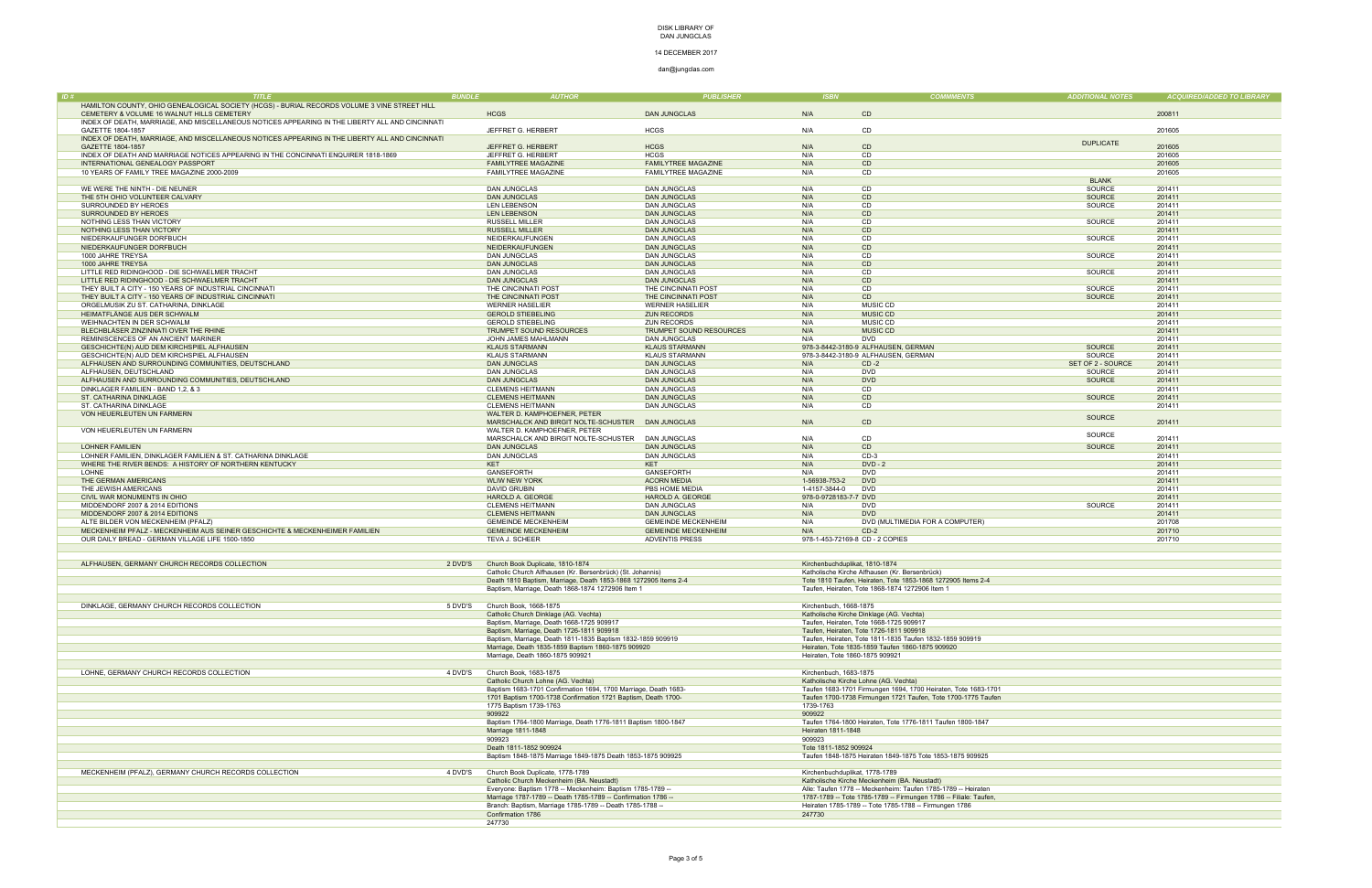### 14 DECEMBER 2017

dan@jungclas.com

| <b>ADDITIONAL NOTES</b> | <b>ACQUIRED/ADDED TO LIBRARY</b> |
|-------------------------|----------------------------------|
|                         |                                  |
|                         | 200811                           |
|                         | 201605                           |
|                         |                                  |
| <b>DUPLICATE</b>        | 201605                           |
|                         | 201605                           |
|                         | 201605                           |
|                         | 201605                           |
| <b>BLANK</b>            |                                  |
| SOURCE                  | 201411                           |
| <b>SOURCE</b>           | 201411                           |
| SOURCE                  | 201411                           |
|                         | 201411                           |
| SOURCE                  | 201411                           |
|                         | 201411                           |
| SOURCE                  | 201411                           |
|                         | 201411                           |
| SOURCE                  | 201411                           |
|                         | 201411<br>201411                 |
| SOURCE                  | 201411                           |
| <b>SOURCE</b>           | 201411                           |
| <b>SOURCE</b>           | 201411                           |
|                         | 201411                           |
|                         | 201411                           |
|                         | 201411                           |
|                         | 201411                           |
|                         | 201411                           |
| <b>SOURCE</b>           | 201411                           |
| <b>SOURCE</b>           | 201411                           |
| SET OF 2 - SOURCE       | 201411                           |
| SOURCE                  | 201411                           |
| <b>SOURCE</b>           | 201411                           |
|                         | 201411                           |
| <b>SOURCE</b>           | 201411                           |
|                         | 201411                           |
| <b>SOURCE</b>           | 201411                           |
| SOURCE                  |                                  |
| <b>SOURCE</b>           | 201411<br>201411                 |
|                         | 201411                           |
|                         | 201411                           |
|                         | 201411                           |
|                         | 201411                           |
|                         | 201411                           |
|                         | 201411                           |
| SOURCE                  | 201411                           |
|                         | 201411                           |
|                         | 201708                           |
|                         | 201710                           |
|                         | 201710                           |
|                         |                                  |

| ID# | <b>TITLE</b>                                                                                    | <b>BUNDLE</b> | <b>AUTHOR</b>                                                   | <b>PUBLISHER</b>                    | <b>ISBN</b>                     | <b>COMMMENTS</b>                                                  | <b>ADDITIONAL NOTES</b>       | <b>ACQUIRED/ADDED TO LIBRARY</b> |
|-----|-------------------------------------------------------------------------------------------------|---------------|-----------------------------------------------------------------|-------------------------------------|---------------------------------|-------------------------------------------------------------------|-------------------------------|----------------------------------|
|     | HAMILTON COUNTY, OHIO GENEALOGICAL SOCIETY (HCGS) - BURIAL RECORDS VOLUME 3 VINE STREET HILL    |               |                                                                 |                                     |                                 |                                                                   |                               |                                  |
|     | CEMETERY & VOLUME 16 WALNUT HILLS CEMETERY                                                      |               | <b>HCGS</b>                                                     | <b>DAN JUNGCLAS</b>                 | N/A                             | CD                                                                |                               | 200811                           |
|     | INDEX OF DEATH, MARRIAGE, AND MISCELLANEOUS NOTICES APPEARING IN THE LIBERTY ALL AND CINCINNATI |               |                                                                 |                                     |                                 |                                                                   |                               |                                  |
|     | GAZETTE 1804-1857                                                                               |               | JEFFRET G. HERBERT                                              | <b>HCGS</b>                         | N/A                             | CD                                                                |                               | 201605                           |
|     | INDEX OF DEATH, MARRIAGE, AND MISCELLANEOUS NOTICES APPEARING IN THE LIBERTY ALL AND CINCINNATI |               |                                                                 |                                     |                                 |                                                                   | <b>DUPLICATE</b>              |                                  |
|     | GAZETTE 1804-1857                                                                               |               | JEFFRET G. HERBERT                                              | <b>HCGS</b>                         | N/A                             | C <sub>D</sub>                                                    |                               | 201605                           |
|     | INDEX OF DEATH AND MARRIAGE NOTICES APPEARING IN THE CONCINNATI ENQUIRER 1818-1869              |               | JEFFRET G. HERBERT                                              | <b>HCGS</b>                         | N/A                             | CD.                                                               |                               | 201605                           |
|     | INTERNATIONAL GENEALOGY PASSPORT                                                                |               | <b>FAMILYTREE MAGAZINE</b>                                      | <b>FAMILYTREE MAGAZINE</b>          | N/A                             | CD                                                                |                               | 201605                           |
|     | 10 YEARS OF FAMILY TREE MAGAZINE 2000-2009                                                      |               | <b>FAMILYTREE MAGAZINE</b>                                      | <b>FAMILYTREE MAGAZINE</b>          | N/A                             | CD                                                                |                               | 201605                           |
|     |                                                                                                 |               |                                                                 |                                     | N/A                             | CD                                                                | <b>BLANK</b><br><b>SOURCE</b> | 201411                           |
|     | WE WERE THE NINTH - DIE NEUNER                                                                  |               | <b>DAN JUNGCLAS</b>                                             | <b>DAN JUNGCLAS</b>                 | N/A                             | CD                                                                | <b>SOURCE</b>                 | 201411                           |
|     | THE 5TH OHIO VOLUNTEER CALVARY<br>SURROUNDED BY HEROES                                          |               | <b>DAN JUNGCLAS</b><br><b>LEN LEBENSON</b>                      | <b>DAN JUNGCLAS</b><br>DAN JUNGCLAS | N/A                             | CD                                                                | SOURCE                        | 201411                           |
|     | SURROUNDED BY HEROES                                                                            |               | <b>LEN LEBENSON</b>                                             | <b>DAN JUNGCLAS</b>                 | N/A                             | CD                                                                |                               | 201411                           |
|     | NOTHING LESS THAN VICTORY                                                                       |               | <b>RUSSELL MILLER</b>                                           | <b>DAN JUNGCLAS</b>                 | N/A                             | CD                                                                | SOURCE                        | 201411                           |
|     | NOTHING LESS THAN VICTORY                                                                       |               | <b>RUSSELL MILLER</b>                                           | <b>DAN JUNGCLAS</b>                 | N/A                             | CD                                                                |                               | 201411                           |
|     | NIEDERKAUFUNGER DORFBUCH                                                                        |               | NEIDERKAUFUNGEN                                                 | DAN JUNGCLAS                        | N/A                             | CD                                                                | SOURCE                        | 201411                           |
|     | NIEDERKAUFUNGER DORFBUCH                                                                        |               | NEIDERKAUFUNGEN                                                 | <b>DAN JUNGCLAS</b>                 | N/A                             | CD                                                                |                               | 201411                           |
|     | 1000 JAHRE TREYSA                                                                               |               | <b>DAN JUNGCLAS</b>                                             | <b>DAN JUNGCLAS</b>                 | N/A                             | CD                                                                | SOURCE                        | 201411                           |
|     | 1000 JAHRE TREYSA                                                                               |               | <b>DAN JUNGCLAS</b>                                             | <b>DAN JUNGCLAS</b>                 | N/A                             | CD                                                                |                               | 201411                           |
|     | LITTLE RED RIDINGHOOD - DIE SCHWAELMER TRACHT                                                   |               | <b>DAN JUNGCLAS</b>                                             | DAN JUNGCLAS                        | N/A                             | CD                                                                | SOURCE                        | 201411                           |
|     | LITTLE RED RIDINGHOOD - DIE SCHWAELMER TRACHT                                                   |               | <b>DAN JUNGCLAS</b>                                             | <b>DAN JUNGCLAS</b>                 | N/A                             | CD                                                                |                               | 201411                           |
|     | THEY BUILT A CITY - 150 YEARS OF INDUSTRIAL CINCINNATI                                          |               | THE CINCINNATI POST                                             | THE CINCINNATI POST                 | N/A                             | CD.                                                               | SOURCE                        | 201411                           |
|     | THEY BUILT A CITY - 150 YEARS OF INDUSTRIAL CINCINNATI                                          |               | THE CINCINNATI POST                                             | THE CINCINNATI POST                 | N/A                             | CD                                                                | SOURCE                        | 201411                           |
|     | ORGELMUSIK ZU ST. CATHARINA, DINKLAGE                                                           |               | <b>WERNER HASELIER</b>                                          | <b>WERNER HASELIER</b>              | N/A                             | <b>MUSIC CD</b>                                                   |                               | 201411                           |
|     | HEIMATFLÄNGE AUS DER SCHWALM                                                                    |               | <b>GEROLD STIEBELING</b>                                        | <b>ZUN RECORDS</b>                  | N/A                             | <b>MUSIC CD</b>                                                   |                               | 201411                           |
|     | WEIHNACHTEN IN DER SCHWALM                                                                      |               | <b>GEROLD STIEBELING</b>                                        | <b>ZUN RECORDS</b>                  | N/A                             | <b>MUSIC CD</b>                                                   |                               | 201411                           |
|     | BLECHBLÄSER ZINZINNATI OVER THE RHINE                                                           |               | TRUMPET SOUND RESOURCES                                         | TRUMPET SOUND RESOURCES             | N/A                             | <b>MUSIC CD</b>                                                   |                               | 201411                           |
|     | REMINISCENCES OF AN ANCIENT MARINER                                                             |               | JOHN JAMES MAHLMANN                                             | <b>DAN JUNGCLAS</b>                 | N/A                             | DVD                                                               |                               | 201411                           |
|     | GESCHICHTE(N) AUD DEM KIRCHSPIEL ALFHAUSEN                                                      |               | <b>KLAUS STARMANN</b>                                           | <b>KLAUS STARMANN</b>               |                                 | 978-3-8442-3180-9 ALFHAUSEN, GERMAN                               | <b>SOURCE</b>                 | 201411                           |
|     | GESCHICHTE(N) AUD DEM KIRCHSPIEL ALFHAUSEN                                                      |               | <b>KLAUS STARMANN</b>                                           | <b>KLAUS STARMANN</b>               |                                 | 978-3-8442-3180-9 ALFHAUSEN, GERMAN                               | <b>SOURCE</b>                 | 201411                           |
|     | ALFHAUSEN AND SURROUNDING COMMUNITIES, DEUTSCHLAND                                              |               | <b>DAN JUNGCLAS</b>                                             | <b>DAN JUNGCLAS</b>                 | N/A                             | $CD -2$                                                           | SET OF 2 - SOURCE             | 201411                           |
|     | ALFHAUSEN, DEUTSCHLAND                                                                          |               | DAN JUNGCLAS                                                    | <b>DAN JUNGCLAS</b>                 | N/A                             | <b>DVD</b>                                                        | SOURCE                        | 201411                           |
|     | ALFHAUSEN AND SURROUNDING COMMUNITIES, DEUTSCHLAND                                              |               | <b>DAN JUNGCLAS</b>                                             | <b>DAN JUNGCLAS</b>                 | N/A                             | <b>DVD</b>                                                        | <b>SOURCE</b>                 | 201411                           |
|     | DINKLAGER FAMILIEN - BAND 1,2, & 3                                                              |               | <b>CLEMENS HEITMANN</b>                                         | <b>DAN JUNGCLAS</b>                 | N/A                             | CD.                                                               |                               | 201411                           |
|     | ST. CATHARINA DINKLAGE                                                                          |               | <b>CLEMENS HEITMANN</b>                                         | <b>DAN JUNGCLAS</b>                 | N/A                             | CD                                                                | SOURCE                        | 201411                           |
|     | ST. CATHARINA DINKLAGE                                                                          |               | <b>CLEMENS HEITMANN</b>                                         | <b>DAN JUNGCLAS</b>                 | N/A                             | CD                                                                |                               | 201411                           |
|     | VON HEUERLEUTEN UN FARMERN                                                                      |               | WALTER D. KAMPHOEFNER, PETER                                    |                                     |                                 |                                                                   |                               |                                  |
|     |                                                                                                 |               | MARSCHALCK AND BIRGIT NOLTE-SCHUSTER DAN JUNGCLAS               |                                     | N/A                             | CD                                                                | SOURCE                        | 201411                           |
|     | VON HEUERLEUTEN UN FARMERN                                                                      |               | WALTER D. KAMPHOEFNER, PETER                                    |                                     |                                 |                                                                   |                               |                                  |
|     |                                                                                                 |               | MARSCHALCK AND BIRGIT NOLTE-SCHUSTER                            | <b>DAN JUNGCLAS</b>                 | N/A                             | CD                                                                | SOURCE                        | 201411                           |
|     | <b>LOHNER FAMILIEN</b>                                                                          |               | <b>DAN JUNGCLAS</b>                                             | <b>DAN JUNGCLAS</b>                 | N/A                             | CD                                                                | <b>SOURCE</b>                 | 201411                           |
|     | LOHNER FAMILIEN, DINKLAGER FAMILIEN & ST. CATHARINA DINKLAGE                                    |               | <b>DAN JUNGCLAS</b>                                             | <b>DAN JUNGCLAS</b>                 | N/A                             | $CD-3$                                                            |                               | 201411                           |
|     | WHERE THE RIVER BENDS: A HISTORY OF NORTHERN KENTUCKY                                           |               | <b>KET</b>                                                      | KET                                 | N/A                             | $DVD - 2$                                                         |                               | 201411                           |
|     | LOHNE                                                                                           |               | GANSEFORTH                                                      | GANSEFORTH                          | N/A                             | <b>DVD</b>                                                        |                               | 201411                           |
|     | THE GERMAN AMERICANS                                                                            |               | <b>WLIW NEW YORK</b>                                            | <b>ACORN MEDIA</b>                  | 1-56938-753-2                   | <b>DVD</b>                                                        |                               | 201411                           |
|     | THE JEWISH AMERICANS                                                                            |               | <b>DAVID GRUBIN</b>                                             | PBS HOME MEDIA                      | 1-4157-3844-0                   | DVD                                                               |                               | 201411                           |
|     | CIVIL WAR MONUMENTS IN OHIO                                                                     |               | <b>HAROLD A. GEORGE</b>                                         | <b>HAROLD A. GEORGE</b>             | 978-0-9728183-7-7 DVD           |                                                                   |                               | 201411                           |
|     | MIDDENDORF 2007 & 2014 EDITIONS                                                                 |               | <b>CLEMENS HEITMANN</b>                                         | DAN JUNGCLAS                        | N/A                             | <b>DVD</b>                                                        | SOURCE                        | 201411                           |
|     | MIDDENDORF 2007 & 2014 EDITIONS                                                                 |               | <b>CLEMENS HEITMANN</b>                                         | DAN JUNGCLAS                        | N/A                             | <b>DVD</b>                                                        |                               | 201411                           |
|     | ALTE BILDER VON MECKENHEIM (PFALZ)                                                              |               | <b>GEMEINDE MECKENHEIM</b>                                      | <b>GEMEINDE MECKENHEIM</b>          | N/A                             | DVD (MULTIMEDIA FOR A COMPUTER)                                   |                               | 201708                           |
|     | MECKENHEIM PFALZ - MECKENHEIM AUS SEINER GESCHICHTE & MECKENHEIMER FAMILIEN                     |               | <b>GEMEINDE MECKENHEIM</b>                                      | <b>GEMEINDE MECKENHEIM</b>          | N/A                             | $CD-2$                                                            |                               | 201710                           |
|     | OUR DAILY BREAD - GERMAN VILLAGE LIFE 1500-1850                                                 |               | TEVA J. SCHEER                                                  | <b>ADVENTIS PRESS</b>               |                                 | 978-1-453-72169-8 CD - 2 COPIES                                   |                               | 201710                           |
|     |                                                                                                 |               |                                                                 |                                     |                                 |                                                                   |                               |                                  |
|     |                                                                                                 |               |                                                                 |                                     |                                 |                                                                   |                               |                                  |
|     | ALFHAUSEN, GERMANY CHURCH RECORDS COLLECTION                                                    | 2 DVD'S       | Church Book Duplicate, 1810-1874                                |                                     | Kirchenbuchduplikat, 1810-1874  |                                                                   |                               |                                  |
|     |                                                                                                 |               | Catholic Church Alfhausen (Kr. Bersenbrück) (St. Johannis)      |                                     |                                 | Katholische Kirche Alfhausen (Kr. Bersenbrück)                    |                               |                                  |
|     |                                                                                                 |               | Death 1810 Baptism, Marriage, Death 1853-1868 1272905 Items 2-4 |                                     |                                 | Tote 1810 Taufen, Heiraten, Tote 1853-1868 1272905 Items 2-4      |                               |                                  |
|     |                                                                                                 |               | Baptism, Marriage, Death 1868-1874 1272906 Item 1               |                                     |                                 | Taufen, Heiraten, Tote 1868-1874 1272906 Item 1                   |                               |                                  |
|     |                                                                                                 |               |                                                                 |                                     |                                 |                                                                   |                               |                                  |
|     | DINKLAGE, GERMANY CHURCH RECORDS COLLECTION                                                     | 5 DVD'S       | Church Book, 1668-1875                                          |                                     | Kirchenbuch, 1668-1875          |                                                                   |                               |                                  |
|     |                                                                                                 |               | Catholic Church Dinklage (AG. Vechta)                           |                                     |                                 | Katholische Kirche Dinklage (AG. Vechta)                          |                               |                                  |
|     |                                                                                                 |               | Baptism, Marriage, Death 1668-1725 909917                       |                                     |                                 | Taufen, Heiraten, Tote 1668-1725 909917                           |                               |                                  |
|     |                                                                                                 |               | Baptism, Marriage, Death 1726-1811 909918                       |                                     |                                 | Taufen, Heiraten, Tote 1726-1811 909918                           |                               |                                  |
|     |                                                                                                 |               | Baptism, Marriage, Death 1811-1835 Baptism 1832-1859 909919     |                                     |                                 | Taufen, Heiraten, Tote 1811-1835 Taufen 1832-1859 909919          |                               |                                  |
|     |                                                                                                 |               | Marriage, Death 1835-1859 Baptism 1860-1875 909920              |                                     |                                 | Heiraten, Tote 1835-1859 Taufen 1860-1875 909920                  |                               |                                  |
|     |                                                                                                 |               | Marriage, Death 1860-1875 909921                                |                                     | Heiraten, Tote 1860-1875 909921 |                                                                   |                               |                                  |
|     |                                                                                                 |               |                                                                 |                                     |                                 |                                                                   |                               |                                  |
|     | LOHNE, GERMANY CHURCH RECORDS COLLECTION                                                        | 4 DVD'S       | Church Book, 1683-1875                                          |                                     | Kirchenbuch, 1683-1875          |                                                                   |                               |                                  |
|     |                                                                                                 |               | Catholic Church Lohne (AG. Vechta)                              |                                     |                                 | Katholische Kirche Lohne (AG. Vechta)                             |                               |                                  |
|     |                                                                                                 |               | Baptism 1683-1701 Confirmation 1694, 1700 Marriage, Death 1683- |                                     |                                 | Taufen 1683-1701 Firmungen 1694, 1700 Heiraten, Tote 1683-1701    |                               |                                  |
|     |                                                                                                 |               | 1701 Baptism 1700-1738 Confirmation 1721 Baptism, Death 1700-   |                                     |                                 | Taufen 1700-1738 Firmungen 1721 Taufen, Tote 1700-1775 Taufen     |                               |                                  |
|     |                                                                                                 |               | 1775 Baptism 1739-1763                                          |                                     | 1739-1763                       |                                                                   |                               |                                  |
|     |                                                                                                 |               | 909922                                                          |                                     | 909922                          |                                                                   |                               |                                  |
|     |                                                                                                 |               | Baptism 1764-1800 Marriage, Death 1776-1811 Baptism 1800-1847   |                                     |                                 | Taufen 1764-1800 Heiraten, Tote 1776-1811 Taufen 1800-1847        |                               |                                  |
|     |                                                                                                 |               | Marriage 1811-1848                                              |                                     | Heiraten 1811-1848              |                                                                   |                               |                                  |
|     |                                                                                                 |               | 909923                                                          |                                     | 909923                          |                                                                   |                               |                                  |
|     |                                                                                                 |               | Death 1811-1852 909924                                          |                                     | Tote 1811-1852 909924           |                                                                   |                               |                                  |
|     |                                                                                                 |               | Baptism 1848-1875 Marriage 1849-1875 Death 1853-1875 909925     |                                     |                                 | Taufen 1848-1875 Heiraten 1849-1875 Tote 1853-1875 909925         |                               |                                  |
|     |                                                                                                 |               |                                                                 |                                     |                                 |                                                                   |                               |                                  |
|     | MECKENHEIM (PFALZ), GERMANY CHURCH RECORDS COLLECTION                                           | 4 DVD'S       | Church Book Duplicate, 1778-1789                                |                                     | Kirchenbuchduplikat, 1778-1789  |                                                                   |                               |                                  |
|     |                                                                                                 |               | Catholic Church Meckenheim (BA. Neustadt)                       |                                     |                                 | Katholische Kirche Meckenheim (BA. Neustadt)                      |                               |                                  |
|     |                                                                                                 |               | Everyone: Baptism 1778 -- Meckenheim: Baptism 1785-1789 --      |                                     |                                 | Alle: Taufen 1778 -- Meckenheim: Taufen 1785-1789 -- Heiraten     |                               |                                  |
|     |                                                                                                 |               | Marriage 1787-1789 -- Death 1785-1789 -- Confirmation 1786 --   |                                     |                                 | 1787-1789 -- Tote 1785-1789 -- Firmungen 1786 -- Filiale: Taufen, |                               |                                  |
|     |                                                                                                 |               | Branch: Baptism, Marriage 1785-1789 -- Death 1785-1788 --       |                                     |                                 | Heiraten 1785-1789 -- Tote 1785-1788 -- Firmungen 1786            |                               |                                  |
|     |                                                                                                 |               | Confirmation 1786                                               |                                     | 247730                          |                                                                   |                               |                                  |
|     |                                                                                                 |               | 247730                                                          |                                     |                                 |                                                                   |                               |                                  |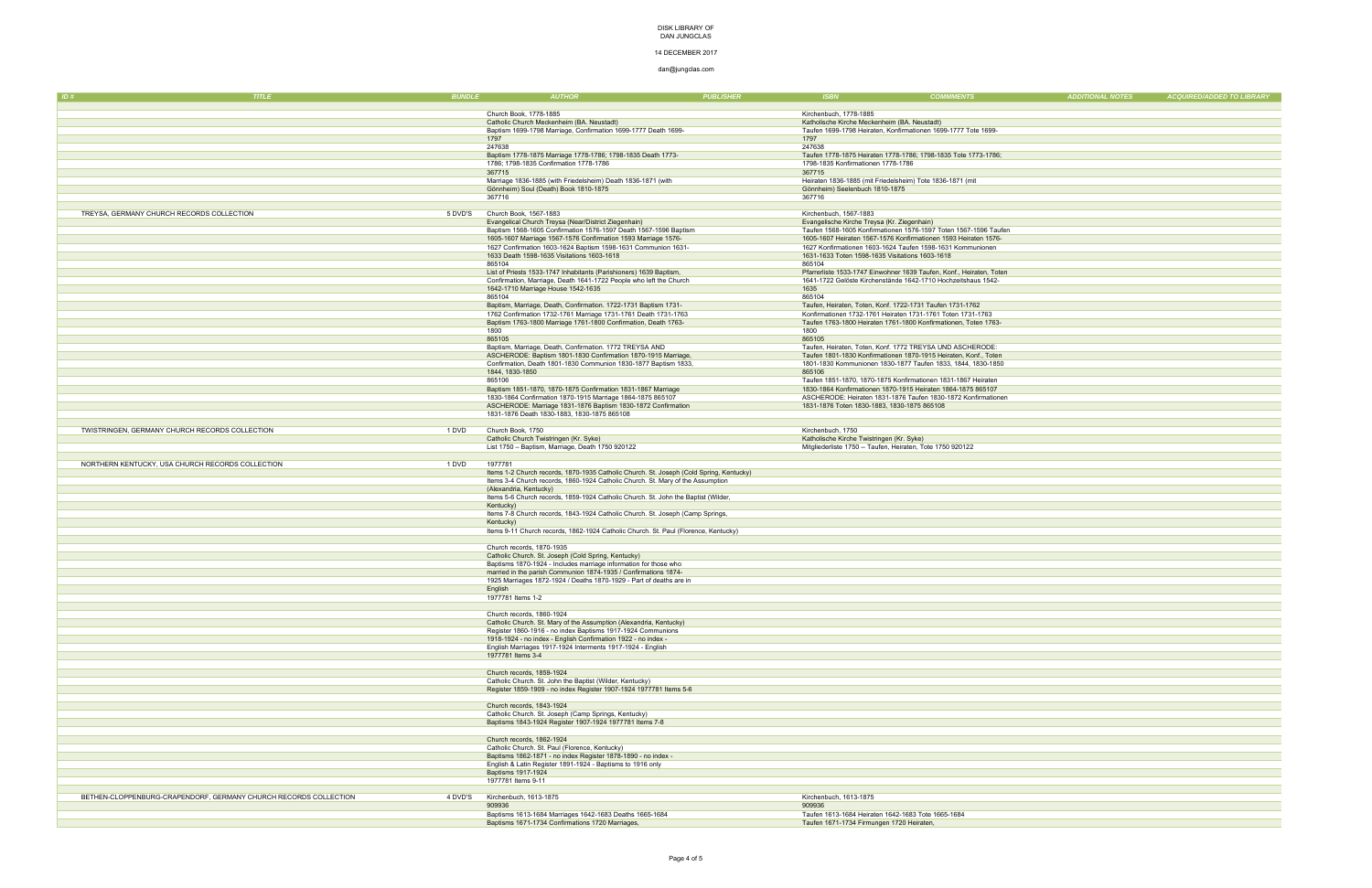#### 14 DECEMBER 2017

| ID#                                              | <b>TITLE</b>                                                     | <b>BUNDLE</b> | <b>AUTHOR</b>                                                                                                                            | <b>PUBLISHER</b> | <b>ISBN</b>                                                                                     | <b>COMMMENTS</b>                                                                                                                      | <b>ADDITIONAL NOTES</b> | <b>ACQUIRED/ADDED TO LIBRARY</b> |
|--------------------------------------------------|------------------------------------------------------------------|---------------|------------------------------------------------------------------------------------------------------------------------------------------|------------------|-------------------------------------------------------------------------------------------------|---------------------------------------------------------------------------------------------------------------------------------------|-------------------------|----------------------------------|
|                                                  |                                                                  |               |                                                                                                                                          |                  |                                                                                                 |                                                                                                                                       |                         |                                  |
|                                                  |                                                                  |               | Church Book, 1778-1885                                                                                                                   |                  | Kirchenbuch, 1778-1885                                                                          |                                                                                                                                       |                         |                                  |
|                                                  |                                                                  |               | Catholic Church Meckenheim (BA. Neustadt)<br>Baptism 1699-1798 Marriage, Confirmation 1699-1777 Death 1699-                              |                  | Katholische Kirche Meckenheim (BA. Neustadt)                                                    | Taufen 1699-1798 Heiraten, Konfirmationen 1699-1777 Tote 1699-                                                                        |                         |                                  |
|                                                  |                                                                  |               | 1797                                                                                                                                     |                  | 1797                                                                                            |                                                                                                                                       |                         |                                  |
|                                                  |                                                                  |               | 247638                                                                                                                                   |                  | 247638                                                                                          |                                                                                                                                       |                         |                                  |
|                                                  |                                                                  |               | Baptism 1778-1875 Marriage 1778-1786; 1798-1835 Death 1773-<br>1786; 1798-1835 Confirmation 1778-1786                                    |                  | 1798-1835 Konfirmationen 1778-1786                                                              | Taufen 1778-1875 Heiraten 1778-1786; 1798-1835 Tote 1773-1786;                                                                        |                         |                                  |
|                                                  |                                                                  |               | 367715                                                                                                                                   |                  | 367715                                                                                          |                                                                                                                                       |                         |                                  |
|                                                  |                                                                  |               | Marriage 1836-1885 (with Friedelsheim) Death 1836-1871 (with                                                                             |                  |                                                                                                 | Heiraten 1836-1885 (mit Friedelsheim) Tote 1836-1871 (mit                                                                             |                         |                                  |
|                                                  |                                                                  |               | Gönnheim) Soul (Death) Book 1810-1875                                                                                                    |                  | Gönnheim) Seelenbuch 1810-1875                                                                  |                                                                                                                                       |                         |                                  |
|                                                  |                                                                  |               | 367716                                                                                                                                   |                  | 367716                                                                                          |                                                                                                                                       |                         |                                  |
| TREYSA, GERMANY CHURCH RECORDS COLLECTION        |                                                                  | 5 DVD'S       | Church Book, 1567-1883                                                                                                                   |                  | Kirchenbuch, 1567-1883                                                                          |                                                                                                                                       |                         |                                  |
|                                                  |                                                                  |               | Evangelical Church Treysa (Near/District Ziegenhain)                                                                                     |                  | Evangelische Kirche Treysa (Kr. Ziegenhain)                                                     |                                                                                                                                       |                         |                                  |
|                                                  |                                                                  |               | Baptism 1568-1605 Confirmation 1576-1597 Death 1567-1596 Baptism<br>1605-1607 Marriage 1567-1576 Confirmation 1593 Marriage 1576-        |                  |                                                                                                 | Taufen 1568-1605 Konfirmationen 1576-1597 Toten 1567-1596 Taufen<br>1605-1607 Heiraten 1567-1576 Konfirmationen 1593 Heiraten 1576-   |                         |                                  |
|                                                  |                                                                  |               | 1627 Confirmation 1603-1624 Baptism 1598-1631 Communion 1631-                                                                            |                  |                                                                                                 | 1627 Konfirmationen 1603-1624 Taufen 1598-1631 Kommunionen                                                                            |                         |                                  |
|                                                  |                                                                  |               | 1633 Death 1598-1635 Visitations 1603-1618                                                                                               |                  | 1631-1633 Toten 1598-1635 Visitations 1603-1618                                                 |                                                                                                                                       |                         |                                  |
|                                                  |                                                                  |               | 865104                                                                                                                                   |                  | 865104                                                                                          |                                                                                                                                       |                         |                                  |
|                                                  |                                                                  |               | List of Priests 1533-1747 Inhabitants (Parishioners) 1639 Baptism,<br>Confirmation, Marriage, Death 1641-1722 People who left the Church |                  |                                                                                                 | Pfarrerliste 1533-1747 Einwohner 1639 Taufen, Konf., Heiraten, Toten<br>1641-1722 Gelöste Kirchenstände 1642-1710 Hochzeitshaus 1542- |                         |                                  |
|                                                  |                                                                  |               | 1642-1710 Marriage House 1542-1635                                                                                                       |                  | 1635                                                                                            |                                                                                                                                       |                         |                                  |
|                                                  |                                                                  |               | 865104                                                                                                                                   |                  | 865104                                                                                          |                                                                                                                                       |                         |                                  |
|                                                  |                                                                  |               | Baptism, Marriage, Death, Confirmation. 1722-1731 Baptism 1731-<br>1762 Confirmation 1732-1761 Marriage 1731-1761 Death 1731-1763        |                  |                                                                                                 | Taufen, Heiraten, Toten, Konf. 1722-1731 Taufen 1731-1762<br>Konfirmationen 1732-1761 Heiraten 1731-1761 Toten 1731-1763              |                         |                                  |
|                                                  |                                                                  |               | Baptism 1763-1800 Marriage 1761-1800 Confirmation, Death 1763-                                                                           |                  |                                                                                                 | Taufen 1763-1800 Heiraten 1761-1800 Konfirmationen, Toten 1763-                                                                       |                         |                                  |
|                                                  |                                                                  |               | 1800                                                                                                                                     |                  | 1800                                                                                            |                                                                                                                                       |                         |                                  |
|                                                  |                                                                  |               | 865105                                                                                                                                   |                  | 865105                                                                                          |                                                                                                                                       |                         |                                  |
|                                                  |                                                                  |               | Baptism, Marriage, Death, Confirmation. 1772 TREYSA AND<br>ASCHERODE: Baptism 1801-1830 Confirmation 1870-1915 Marriage,                 |                  |                                                                                                 | Taufen, Heiraten, Toten, Konf. 1772 TREYSA UND ASCHERODE:<br>Taufen 1801-1830 Konfirmationen 1870-1915 Heiraten, Konf., Toten         |                         |                                  |
|                                                  |                                                                  |               | Confirmation, Death 1801-1830 Communion 1830-1877 Baptism 1833,                                                                          |                  |                                                                                                 | 1801-1830 Kommunionen 1830-1877 Taufen 1833, 1844, 1830-1850                                                                          |                         |                                  |
|                                                  |                                                                  |               | 1844, 1830-1850                                                                                                                          |                  | 865106                                                                                          |                                                                                                                                       |                         |                                  |
|                                                  |                                                                  |               | 865106                                                                                                                                   |                  |                                                                                                 | Taufen 1851-1870, 1870-1875 Konfirmationen 1831-1867 Heiraten                                                                         |                         |                                  |
|                                                  |                                                                  |               | Baptism 1851-1870, 1870-1875 Confirmation 1831-1867 Marriage<br>1830-1864 Confirmation 1870-1915 Marriage 1864-1875 865107               |                  |                                                                                                 | 1830-1864 Konfirmationen 1870-1915 Heiraten 1864-1875 865107<br>ASCHERODE: Heiraten 1831-1876 Taufen 1830-1872 Konfirmationen         |                         |                                  |
|                                                  |                                                                  |               | ASCHERODE: Marriage 1831-1876 Baptism 1830-1872 Confirmation                                                                             |                  | 1831-1876 Toten 1830-1883, 1830-1875 865108                                                     |                                                                                                                                       |                         |                                  |
|                                                  |                                                                  |               | 1831-1876 Death 1830-1883, 1830-1875 865108                                                                                              |                  |                                                                                                 |                                                                                                                                       |                         |                                  |
| TWISTRINGEN, GERMANY CHURCH RECORDS COLLECTION   |                                                                  | 1 DVD         | Church Book, 1750                                                                                                                        |                  | Kirchenbuch, 1750                                                                               |                                                                                                                                       |                         |                                  |
|                                                  |                                                                  |               | Catholic Church Twistringen (Kr. Syke)                                                                                                   |                  | Katholische Kirche Twistringen (Kr. Syke)                                                       |                                                                                                                                       |                         |                                  |
|                                                  |                                                                  |               | List 1750 - Baptism, Marriage, Death 1750 920122                                                                                         |                  | Mitgliederliste 1750 -- Taufen, Heiraten, Tote 1750 920122                                      |                                                                                                                                       |                         |                                  |
| NORTHERN KENTUCKY, USA CHURCH RECORDS COLLECTION |                                                                  | 1 DVD         | 1977781                                                                                                                                  |                  |                                                                                                 |                                                                                                                                       |                         |                                  |
|                                                  |                                                                  |               | Items 1-2 Church records, 1870-1935 Catholic Church. St. Joseph (Cold Spring, Kentucky)                                                  |                  |                                                                                                 |                                                                                                                                       |                         |                                  |
|                                                  |                                                                  |               | Items 3-4 Church records, 1860-1924 Catholic Church. St. Mary of the Assumption                                                          |                  |                                                                                                 |                                                                                                                                       |                         |                                  |
|                                                  |                                                                  |               | (Alexandria, Kentucky)<br>Items 5-6 Church records, 1859-1924 Catholic Church. St. John the Baptist (Wilder,                             |                  |                                                                                                 |                                                                                                                                       |                         |                                  |
|                                                  |                                                                  |               | Kentucky)                                                                                                                                |                  |                                                                                                 |                                                                                                                                       |                         |                                  |
|                                                  |                                                                  |               | Items 7-8 Church records, 1843-1924 Catholic Church. St. Joseph (Camp Springs,                                                           |                  |                                                                                                 |                                                                                                                                       |                         |                                  |
|                                                  |                                                                  |               | Kentucky)                                                                                                                                |                  |                                                                                                 |                                                                                                                                       |                         |                                  |
|                                                  |                                                                  |               | Items 9-11 Church records, 1862-1924 Catholic Church. St. Paul (Florence, Kentucky)                                                      |                  |                                                                                                 |                                                                                                                                       |                         |                                  |
|                                                  |                                                                  |               | Church records, 1870-1935                                                                                                                |                  |                                                                                                 |                                                                                                                                       |                         |                                  |
|                                                  |                                                                  |               | Catholic Church. St. Joseph (Cold Spring, Kentucky)                                                                                      |                  |                                                                                                 |                                                                                                                                       |                         |                                  |
|                                                  |                                                                  |               | Baptisms 1870-1924 - Includes marriage information for those who<br>married in the parish Communion 1874-1935 / Confirmations 1874-      |                  |                                                                                                 |                                                                                                                                       |                         |                                  |
|                                                  |                                                                  |               | 1925 Marriages 1872-1924 / Deaths 1870-1929 - Part of deaths are in                                                                      |                  |                                                                                                 |                                                                                                                                       |                         |                                  |
|                                                  |                                                                  |               | English                                                                                                                                  |                  |                                                                                                 |                                                                                                                                       |                         |                                  |
|                                                  |                                                                  |               | 1977781 Items 1-2                                                                                                                        |                  |                                                                                                 |                                                                                                                                       |                         |                                  |
|                                                  |                                                                  |               | Church records, 1860-1924                                                                                                                |                  |                                                                                                 |                                                                                                                                       |                         |                                  |
|                                                  |                                                                  |               | Catholic Church. St. Mary of the Assumption (Alexandria, Kentucky)                                                                       |                  |                                                                                                 |                                                                                                                                       |                         |                                  |
|                                                  |                                                                  |               | Register 1860-1916 - no index Baptisms 1917-1924 Communions<br>1918-1924 - no index - English Confirmation 1922 - no index -             |                  |                                                                                                 |                                                                                                                                       |                         |                                  |
|                                                  |                                                                  |               | English Marriages 1917-1924 Interments 1917-1924 - English                                                                               |                  |                                                                                                 |                                                                                                                                       |                         |                                  |
|                                                  |                                                                  |               | 1977781 Items 3-4                                                                                                                        |                  |                                                                                                 |                                                                                                                                       |                         |                                  |
|                                                  |                                                                  |               | Church records, 1859-1924                                                                                                                |                  |                                                                                                 |                                                                                                                                       |                         |                                  |
|                                                  |                                                                  |               | Catholic Church. St. John the Baptist (Wilder, Kentucky)                                                                                 |                  |                                                                                                 |                                                                                                                                       |                         |                                  |
|                                                  |                                                                  |               | Register 1859-1909 - no index Register 1907-1924 1977781 Items 5-6                                                                       |                  |                                                                                                 |                                                                                                                                       |                         |                                  |
|                                                  |                                                                  |               | Church records, 1843-1924                                                                                                                |                  |                                                                                                 |                                                                                                                                       |                         |                                  |
|                                                  |                                                                  |               | Catholic Church. St. Joseph (Camp Springs, Kentucky)                                                                                     |                  |                                                                                                 |                                                                                                                                       |                         |                                  |
|                                                  |                                                                  |               | Baptisms 1843-1924 Register 1907-1924 1977781 Items 7-8                                                                                  |                  |                                                                                                 |                                                                                                                                       |                         |                                  |
|                                                  |                                                                  |               |                                                                                                                                          |                  |                                                                                                 |                                                                                                                                       |                         |                                  |
|                                                  |                                                                  |               | Church records, 1862-1924<br>Catholic Church. St. Paul (Florence, Kentucky)                                                              |                  |                                                                                                 |                                                                                                                                       |                         |                                  |
|                                                  |                                                                  |               | Baptisms 1862-1871 - no index Register 1878-1890 - no index -                                                                            |                  |                                                                                                 |                                                                                                                                       |                         |                                  |
|                                                  |                                                                  |               | English & Latin Register 1891-1924 - Baptisms to 1916 only                                                                               |                  |                                                                                                 |                                                                                                                                       |                         |                                  |
|                                                  |                                                                  |               | Baptisms 1917-1924                                                                                                                       |                  |                                                                                                 |                                                                                                                                       |                         |                                  |
|                                                  |                                                                  |               | 1977781 Items 9-11                                                                                                                       |                  |                                                                                                 |                                                                                                                                       |                         |                                  |
|                                                  | BETHEN-CLOPPENBURG-CRAPENDORF, GERMANY CHURCH RECORDS COLLECTION | 4 DVD'S       | Kirchenbuch, 1613-1875                                                                                                                   |                  | Kirchenbuch, 1613-1875                                                                          |                                                                                                                                       |                         |                                  |
|                                                  |                                                                  |               | 909936                                                                                                                                   |                  | 909936                                                                                          |                                                                                                                                       |                         |                                  |
|                                                  |                                                                  |               | Baptisms 1613-1684 Marriages 1642-1683 Deaths 1665-1684<br>Baptisms 1671-1734 Confirmations 1720 Marriages,                              |                  | Taufen 1613-1684 Heiraten 1642-1683 Tote 1665-1684<br>Taufen 1671-1734 Firmungen 1720 Heiraten, |                                                                                                                                       |                         |                                  |
|                                                  |                                                                  |               |                                                                                                                                          |                  |                                                                                                 |                                                                                                                                       |                         |                                  |